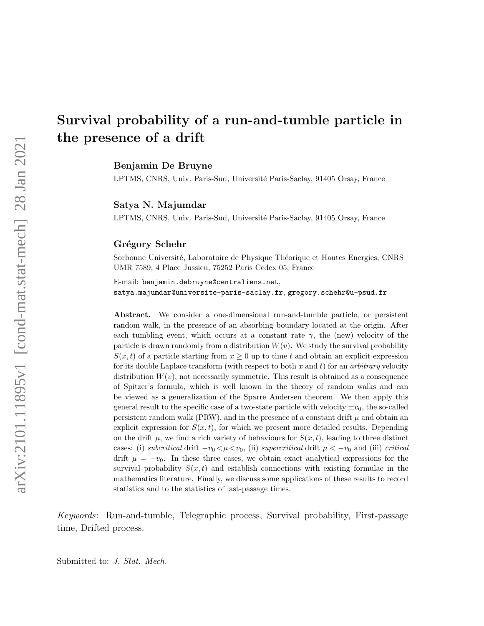Benjamin De Bruyne

LPTMS, CNRS, Univ. Paris-Sud, Université Paris-Saclay, 91405 Orsay, France

Satya N. Majumdar

LPTMS, CNRS, Univ. Paris-Sud, Université Paris-Saclay, 91405 Orsay, France

#### Grégory Schehr

Sorbonne Université, Laboratoire de Physique Théorique et Hautes Energies, CNRS UMR 7589, 4 Place Jussieu, 75252 Paris Cedex 05, France

E-mail: benjamin.debruyne@centraliens.net, satya.majumdar@universite-paris-saclay.fr, gregory.schehr@u-psud.fr

Abstract. We consider a one-dimensional run-and-tumble particle, or persistent random walk, in the presence of an absorbing boundary located at the origin. After each tumbling event, which occurs at a constant rate  $\gamma$ , the (new) velocity of the particle is drawn randomly from a distribution  $W(v)$ . We study the survival probability  $S(x,t)$  of a particle starting from  $x \geq 0$  up to time t and obtain an explicit expression for its double Laplace transform (with respect to both x and t) for an *arbitrary* velocity distribution  $W(v)$ , not necessarily symmetric. This result is obtained as a consequence of Spitzer's formula, which is well known in the theory of random walks and can be viewed as a generalization of the Sparre Andersen theorem. We then apply this general result to the specific case of a two-state particle with velocity  $\pm v_0$ , the so-called persistent random walk (PRW), and in the presence of a constant drift  $\mu$  and obtain an explicit expression for  $S(x, t)$ , for which we present more detailed results. Depending on the drift  $\mu$ , we find a rich variety of behaviours for  $S(x, t)$ , leading to three distinct cases: (i) subcritical drift  $-v_0 < \mu < v_0$ , (ii) supercritical drift  $\mu < -v_0$  and (iii) critical drift  $\mu = -v_0$ . In these three cases, we obtain exact analytical expressions for the survival probability  $S(x, t)$  and establish connections with existing formulae in the mathematics literature. Finally, we discuss some applications of these results to record statistics and to the statistics of last-passage times.

Keywords: Run-and-tumble, Telegraphic process, Survival probability, First-passage time, Drifted process.

Submitted to: J. Stat. Mech.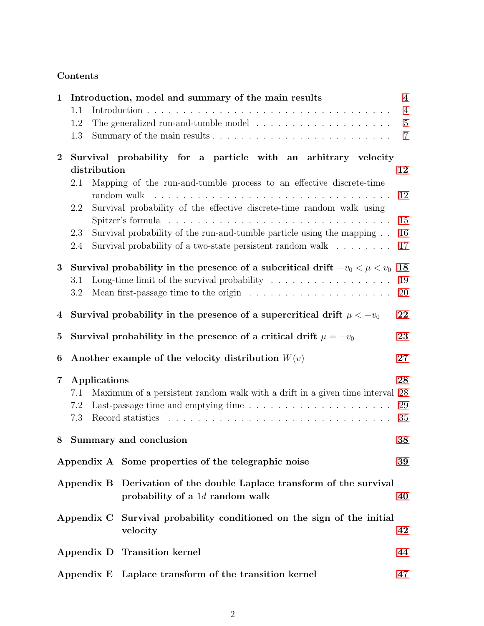# Contents

| $\mathbf{1}$     | Introduction, model and summary of the main results                                                       |  |                                                                                                                                     | $\boldsymbol{4}$ |  |
|------------------|-----------------------------------------------------------------------------------------------------------|--|-------------------------------------------------------------------------------------------------------------------------------------|------------------|--|
|                  | 1.1                                                                                                       |  |                                                                                                                                     | $\overline{4}$   |  |
|                  | 1.2                                                                                                       |  |                                                                                                                                     | $\overline{5}$   |  |
|                  | 1.3                                                                                                       |  |                                                                                                                                     | $\overline{7}$   |  |
| $\boldsymbol{2}$ | Survival probability for a particle with an arbitrary velocity                                            |  |                                                                                                                                     |                  |  |
|                  | distribution<br>12                                                                                        |  |                                                                                                                                     |                  |  |
|                  | 2.1                                                                                                       |  | Mapping of the run-and-tumble process to an effective discrete-time                                                                 | 12               |  |
|                  | 2.2                                                                                                       |  | Survival probability of the effective discrete-time random walk using                                                               |                  |  |
|                  |                                                                                                           |  |                                                                                                                                     | 15               |  |
|                  | 2.3<br>2.4                                                                                                |  | Survival probability of the run-and-tumble particle using the mapping<br>Survival probability of a two-state persistent random walk | 16<br>17         |  |
| 3                | 18<br>Survival probability in the presence of a subcritical drift $-v_0 < \mu < v_0$                      |  |                                                                                                                                     |                  |  |
|                  | 3.1                                                                                                       |  | Long-time limit of the survival probability $\dots \dots \dots \dots \dots \dots$                                                   | 19               |  |
|                  | 3.2                                                                                                       |  | Mean first-passage time to the origin $\dots \dots \dots \dots \dots \dots \dots$                                                   | 20               |  |
| $\overline{4}$   | Survival probability in the presence of a supercritical drift $\mu < -v_0$                                |  |                                                                                                                                     |                  |  |
| $\bf{5}$         | Survival probability in the presence of a critical drift $\mu = -v_0$                                     |  |                                                                                                                                     |                  |  |
| 6                | Another example of the velocity distribution $W(v)$                                                       |  |                                                                                                                                     |                  |  |
| $\overline{7}$   | Applications                                                                                              |  |                                                                                                                                     |                  |  |
|                  | Maximum of a persistent random walk with a drift in a given time interval 28<br>7.1                       |  |                                                                                                                                     |                  |  |
|                  | 29<br>Last-passage time and emptying time $\ldots \ldots \ldots \ldots \ldots \ldots$<br>7.2<br>35<br>7.3 |  |                                                                                                                                     |                  |  |
| 8                |                                                                                                           |  | Summary and conclusion                                                                                                              | 38               |  |
|                  |                                                                                                           |  | Appendix A Some properties of the telegraphic noise                                                                                 | 39               |  |
|                  |                                                                                                           |  | Appendix B Derivation of the double Laplace transform of the survival<br>probability of a $1d$ random walk                          | 40               |  |
|                  |                                                                                                           |  | Appendix C Survival probability conditioned on the sign of the initial<br>velocity                                                  | 42               |  |
|                  |                                                                                                           |  | Appendix D Transition kernel                                                                                                        | 44               |  |
|                  |                                                                                                           |  | Appendix E Laplace transform of the transition kernel                                                                               | 47               |  |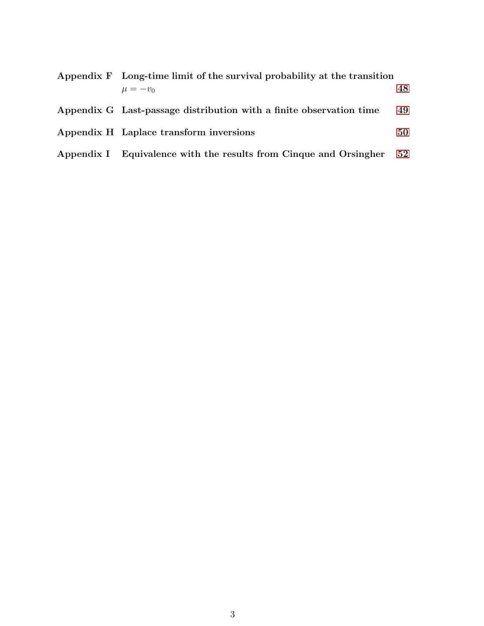| Appendix F Long-time limit of the survival probability at the transition |      |
|--------------------------------------------------------------------------|------|
| $\mu = -v_0$                                                             | 48   |
| Appendix G Last-passage distribution with a finite observation time      | 49   |
| Appendix H Laplace transform inversions                                  | 50   |
| Appendix I Equivalence with the results from Cinque and Orsingher        | - 52 |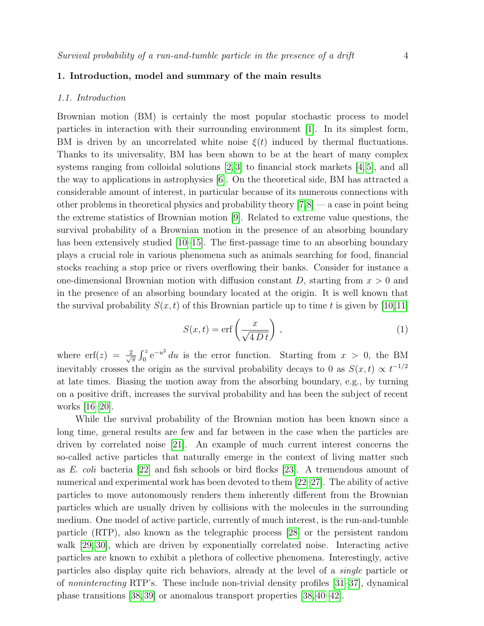# <span id="page-3-0"></span>1. Introduction, model and summary of the main results

#### <span id="page-3-1"></span>1.1. Introduction

Brownian motion (BM) is certainly the most popular stochastic process to model particles in interaction with their surrounding environment [\[1\]](#page-55-0). In its simplest form, BM is driven by an uncorrelated white noise  $\xi(t)$  induced by thermal fluctuations. Thanks to its universality, BM has been shown to be at the heart of many complex systems ranging from colloidal solutions  $[2,3]$  $[2,3]$  to financial stock markets  $[4,5]$  $[4,5]$ , and all the way to applications in astrophysics [\[6\]](#page-55-5). On the theoretical side, BM has attracted a considerable amount of interest, in particular because of its numerous connections with other problems in theoretical physics and probability theory  $[7,8]$  $[7,8]$  — a case in point being the extreme statistics of Brownian motion [\[9\]](#page-55-8). Related to extreme value questions, the survival probability of a Brownian motion in the presence of an absorbing boundary has been extensively studied [\[10–](#page-55-9)[15\]](#page-55-10). The first-passage time to an absorbing boundary plays a crucial role in various phenomena such as animals searching for food, financial stocks reaching a stop price or rivers overflowing their banks. Consider for instance a one-dimensional Brownian motion with diffusion constant  $D$ , starting from  $x > 0$  and in the presence of an absorbing boundary located at the origin. It is well known that the survival probability  $S(x, t)$  of this Brownian particle up to time t is given by [\[10,](#page-55-9)[11\]](#page-55-11)

$$
S(x,t) = \text{erf}\left(\frac{x}{\sqrt{4Dt}}\right),\tag{1}
$$

where  $\text{erf}(z) = \frac{2}{\sqrt{3}}$  $\frac{R}{\pi} \int_0^z e^{-u^2} du$  is the error function. Starting from  $x > 0$ , the BM inevitably crosses the origin as the survival probability decays to 0 as  $S(x,t) \propto t^{-1/2}$ at late times. Biasing the motion away from the absorbing boundary, e.g., by turning on a positive drift, increases the survival probability and has been the subject of recent works [\[16](#page-55-12)[–20\]](#page-55-13).

While the survival probability of the Brownian motion has been known since a long time, general results are few and far between in the case when the particles are driven by correlated noise [\[21\]](#page-55-14). An example of much current interest concerns the so-called active particles that naturally emerge in the context of living matter such as E. coli bacteria [\[22\]](#page-55-15) and fish schools or bird flocks [\[23\]](#page-55-16). A tremendous amount of numerical and experimental work has been devoted to them [\[22–](#page-55-15)[27\]](#page-56-0). The ability of active particles to move autonomously renders them inherently different from the Brownian particles which are usually driven by collisions with the molecules in the surrounding medium. One model of active particle, currently of much interest, is the run-and-tumble particle (RTP), also known as the telegraphic process [\[28\]](#page-56-1) or the persistent random walk [\[29,](#page-56-2) [30\]](#page-56-3), which are driven by exponentially correlated noise. Interacting active particles are known to exhibit a plethora of collective phenomena. Interestingly, active particles also display quite rich behaviors, already at the level of a single particle or of noninteracting RTP's. These include non-trivial density profiles [\[31–](#page-56-4)[37\]](#page-56-5), dynamical phase transitions [\[38,](#page-56-6) [39\]](#page-56-7) or anomalous transport properties [\[38,](#page-56-6) [40–](#page-56-8)[42\]](#page-56-9).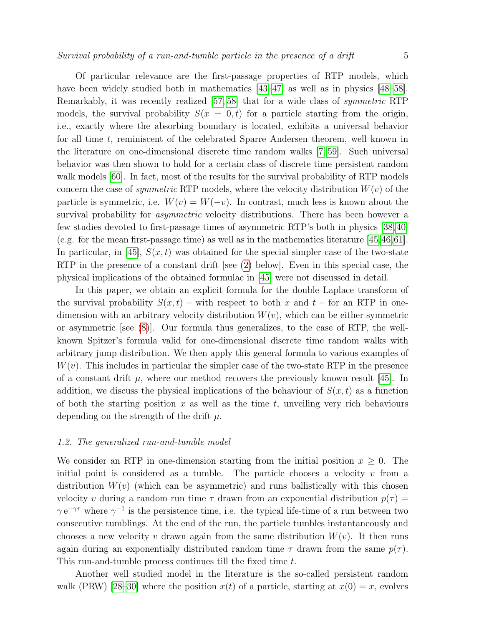Of particular relevance are the first-passage properties of RTP models, which have been widely studied both in mathematics  $[43-47]$  $[43-47]$  as well as in physics  $[48-58]$  $[48-58]$ .

Remarkably, it was recently realized [\[57,](#page-56-14) [58\]](#page-56-13) that for a wide class of symmetric RTP models, the survival probability  $S(x = 0, t)$  for a particle starting from the origin, i.e., exactly where the absorbing boundary is located, exhibits a universal behavior for all time t, reminiscent of the celebrated Sparre Andersen theorem, well known in the literature on one-dimensional discrete time random walks [\[7,](#page-55-6) [59\]](#page-56-15). Such universal behavior was then shown to hold for a certain class of discrete time persistent random walk models  $[60]$ . In fact, most of the results for the survival probability of RTP models concern the case of *symmetric* RTP models, where the velocity distribution  $W(v)$  of the particle is symmetric, i.e.  $W(v) = W(-v)$ . In contrast, much less is known about the survival probability for *asymmetric* velocity distributions. There has been however a few studies devoted to first-passage times of asymmetric RTP's both in physics [\[38,](#page-56-6) [40\]](#page-56-8) (e.g. for the mean first-passage time) as well as in the mathematics literature [\[45,](#page-56-17)[46,](#page-56-18)[61\]](#page-56-19). In particular, in [\[45\]](#page-56-17),  $S(x, t)$  was obtained for the special simpler case of the two-state RTP in the presence of a constant drift [see [\(2\)](#page-5-0) below]. Even in this special case, the physical implications of the obtained formulae in [\[45\]](#page-56-17) were not discussed in detail.

In this paper, we obtain an explicit formula for the double Laplace transform of the survival probability  $S(x,t)$  – with respect to both x and  $t$  – for an RTP in onedimension with an arbitrary velocity distribution  $W(v)$ , which can be either symmetric or asymmetric [see [\(8\)](#page-6-1)]. Our formula thus generalizes, to the case of RTP, the wellknown Spitzer's formula valid for one-dimensional discrete time random walks with arbitrary jump distribution. We then apply this general formula to various examples of  $W(v)$ . This includes in particular the simpler case of the two-state RTP in the presence of a constant drift  $\mu$ , where our method recovers the previously known result [\[45\]](#page-56-17). In addition, we discuss the physical implications of the behaviour of  $S(x, t)$  as a function of both the starting position  $x$  as well as the time  $t$ , unveiling very rich behaviours depending on the strength of the drift  $\mu$ .

#### <span id="page-4-0"></span>1.2. The generalized run-and-tumble model

We consider an RTP in one-dimension starting from the initial position  $x \geq 0$ . The initial point is considered as a tumble. The particle chooses a velocity  $v$  from a distribution  $W(v)$  (which can be asymmetric) and runs ballistically with this chosen velocity v during a random run time  $\tau$  drawn from an exponential distribution  $p(\tau)$  =  $\gamma e^{-\gamma \tau}$  where  $\gamma^{-1}$  is the persistence time, i.e. the typical life-time of a run between two consecutive tumblings. At the end of the run, the particle tumbles instantaneously and chooses a new velocity v drawn again from the same distribution  $W(v)$ . It then runs again during an exponentially distributed random time  $\tau$  drawn from the same  $p(\tau)$ . This run-and-tumble process continues till the fixed time t.

Another well studied model in the literature is the so-called persistent random walk (PRW) [\[28–](#page-56-1)[30\]](#page-56-3) where the position  $x(t)$  of a particle, starting at  $x(0) = x$ , evolves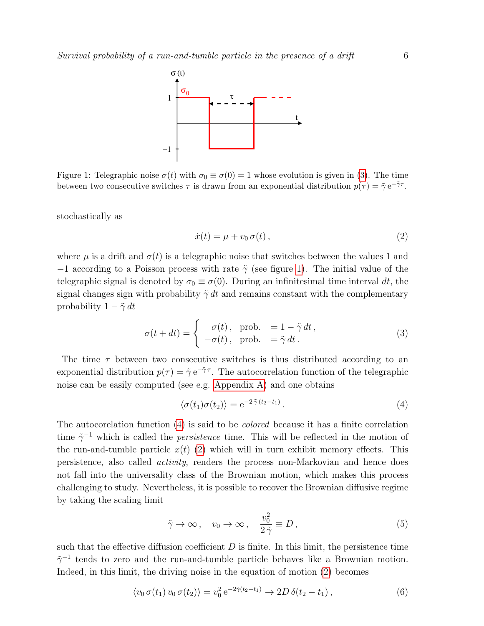<span id="page-5-2"></span>

Figure 1: Telegraphic noise  $\sigma(t)$  with  $\sigma_0 \equiv \sigma(0) = 1$  whose evolution is given in [\(3\)](#page-5-1). The time between two consecutive switches  $\tau$  is drawn from an exponential distribution  $p(\tau) = \tilde{\gamma} e^{-\tilde{\gamma}\tau}$ .

stochastically as

<span id="page-5-1"></span><span id="page-5-0"></span>
$$
\dot{x}(t) = \mu + v_0 \,\sigma(t) \,, \tag{2}
$$

where  $\mu$  is a drift and  $\sigma(t)$  is a telegraphic noise that switches between the values 1 and  $-1$  according to a Poisson process with rate  $\tilde{\gamma}$  (see figure [1\)](#page-5-2). The initial value of the telegraphic signal is denoted by  $\sigma_0 \equiv \sigma(0)$ . During an infinitesimal time interval dt, the signal changes sign with probability  $\tilde{\gamma}$  dt and remains constant with the complementary probability  $1 - \tilde{\gamma} dt$ 

$$
\sigma(t+dt) = \begin{cases}\n\sigma(t), & \text{prob.} = 1 - \tilde{\gamma} dt, \\
-\sigma(t), & \text{prob.} = \tilde{\gamma} dt.\n\end{cases}
$$
\n(3)

The time  $\tau$  between two consecutive switches is thus distributed according to an exponential distribution  $p(\tau) = \tilde{\gamma} e^{-\tilde{\gamma}\tau}$ . The autocorrelation function of the telegraphic noise can be easily computed (see e.g. [Appendix A\)](#page-38-0) and one obtains

<span id="page-5-3"></span>
$$
\langle \sigma(t_1)\sigma(t_2)\rangle = e^{-2\tilde{\gamma}(t_2 - t_1)}.
$$
\n(4)

The autocorelation function [\(4\)](#page-5-3) is said to be colored because it has a finite correlation time  $\tilde{\gamma}^{-1}$  which is called the *persistence* time. This will be reflected in the motion of the run-and-tumble particle  $x(t)$  [\(2\)](#page-5-0) which will in turn exhibit memory effects. This persistence, also called activity, renders the process non-Markovian and hence does not fall into the universality class of the Brownian motion, which makes this process challenging to study. Nevertheless, it is possible to recover the Brownian diffusive regime by taking the scaling limit

<span id="page-5-4"></span>
$$
\tilde{\gamma} \to \infty \,, \quad v_0 \to \infty \,, \quad \frac{v_0^2}{2\tilde{\gamma}} \equiv D \,, \tag{5}
$$

such that the effective diffusion coefficient  $D$  is finite. In this limit, the persistence time  $\tilde{\gamma}^{-1}$  tends to zero and the run-and-tumble particle behaves like a Brownian motion. Indeed, in this limit, the driving noise in the equation of motion [\(2\)](#page-5-0) becomes

$$
\langle v_0 \,\sigma(t_1) \, v_0 \,\sigma(t_2) \rangle = v_0^2 \,\mathrm{e}^{-2\tilde{\gamma}(t_2 - t_1)} \to 2D \,\delta(t_2 - t_1) \,,\tag{6}
$$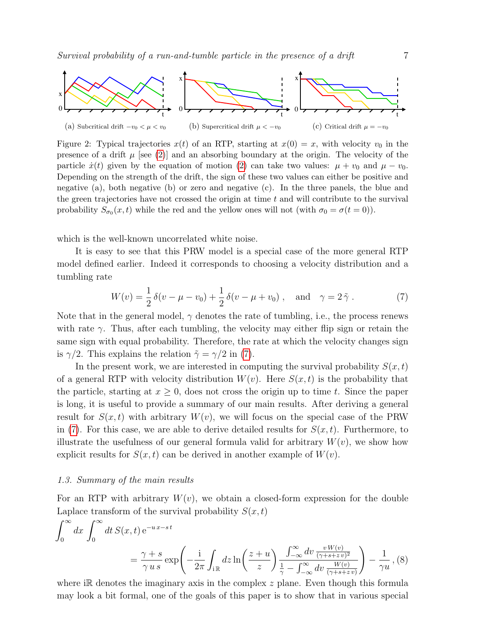<span id="page-6-3"></span>

Figure 2: Typical trajectories  $x(t)$  of an RTP, starting at  $x(0) = x$ , with velocity  $v_0$  in the presence of a drift  $\mu$  [see [\(2\)](#page-5-0)] and an absorbing boundary at the origin. The velocity of the particle  $\dot{x}(t)$  given by the equation of motion [\(2\)](#page-5-0) can take two values:  $\mu + v_0$  and  $\mu - v_0$ . Depending on the strength of the drift, the sign of these two values can either be positive and negative (a), both negative (b) or zero and negative (c). In the three panels, the blue and the green trajectories have not crossed the origin at time  $t$  and will contribute to the survival probability  $S_{\sigma_0}(x,t)$  while the red and the yellow ones will not (with  $\sigma_0 = \sigma(t=0)$ ).

which is the well-known uncorrelated white noise.

It is easy to see that this PRW model is a special case of the more general RTP model defined earlier. Indeed it corresponds to choosing a velocity distribution and a tumbling rate

<span id="page-6-2"></span>
$$
W(v) = \frac{1}{2}\delta(v - \mu - v_0) + \frac{1}{2}\delta(v - \mu + v_0), \text{ and } \gamma = 2\tilde{\gamma}.
$$
 (7)

Note that in the general model,  $\gamma$  denotes the rate of tumbling, i.e., the process renews with rate  $\gamma$ . Thus, after each tumbling, the velocity may either flip sign or retain the same sign with equal probability. Therefore, the rate at which the velocity changes sign is  $\gamma/2$ . This explains the relation  $\tilde{\gamma} = \gamma/2$  in [\(7\)](#page-6-2).

In the present work, we are interested in computing the survival probability  $S(x,t)$ of a general RTP with velocity distribution  $W(v)$ . Here  $S(x,t)$  is the probability that the particle, starting at  $x \geq 0$ , does not cross the origin up to time t. Since the paper is long, it is useful to provide a summary of our main results. After deriving a general result for  $S(x, t)$  with arbitrary  $W(v)$ , we will focus on the special case of the PRW in [\(7\)](#page-6-2). For this case, we are able to derive detailed results for  $S(x, t)$ . Furthermore, to illustrate the usefulness of our general formula valid for arbitrary  $W(v)$ , we show how explicit results for  $S(x, t)$  can be derived in another example of  $W(v)$ .

### <span id="page-6-0"></span>1.3. Summary of the main results

For an RTP with arbitrary  $W(v)$ , we obtain a closed-form expression for the double Laplace transform of the survival probability  $S(x,t)$ 

<span id="page-6-1"></span>
$$
\int_0^\infty dx \int_0^\infty dt S(x,t) e^{-ux-st}
$$
  
=  $\frac{\gamma + s}{\gamma u s} \exp\left(-\frac{i}{2\pi} \int_{i\mathbb{R}} dz \ln\left(\frac{z+u}{z}\right) \frac{\int_{-\infty}^\infty dv \frac{v W(v)}{(\gamma + s + z v)^2}}{\frac{1}{\gamma} - \int_{-\infty}^\infty dv \frac{W(v)}{(\gamma + s + z v)}}\right) - \frac{1}{\gamma u},$  (8)

where i $\mathbb R$  denotes the imaginary axis in the complex  $z$  plane. Even though this formula may look a bit formal, one of the goals of this paper is to show that in various special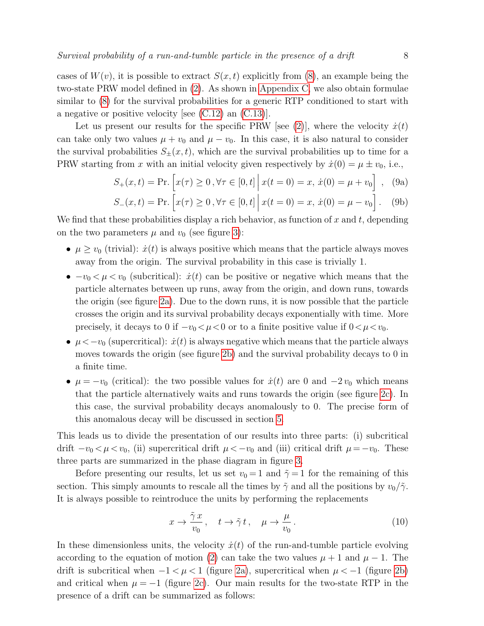cases of  $W(v)$ , it is possible to extract  $S(x, t)$  explicitly from [\(8\)](#page-6-1), an example being the two-state PRW model defined in [\(2\)](#page-5-0). As shown in [Appendix C,](#page-41-0) we also obtain formulae similar to [\(8\)](#page-6-1) for the survival probabilities for a generic RTP conditioned to start with a negative or positive velocity [see [\(C.12\)](#page-42-0) an [\(C.13\)](#page-43-1)].

Let us present our results for the specific PRW [see [\(2\)](#page-5-0)], where the velocity  $\dot{x}(t)$ can take only two values  $\mu + v_0$  and  $\mu - v_0$ . In this case, it is also natural to consider the survival probabilities  $S_{\pm}(x,t)$ , which are the survival probabilities up to time for a PRW starting from x with an initial velocity given respectively by  $\dot{x}(0) = \mu \pm v_0$ , i.e.,

<span id="page-7-0"></span>
$$
S_{+}(x,t) = \Pr.\left[x(\tau) \ge 0, \forall \tau \in [0,t] \, \middle| \, x(t=0) = x, \, \dot{x}(0) = \mu + v_0\right], \tag{9a}
$$

$$
S_{-}(x,t) = \Pr\left[x(\tau) \ge 0, \forall \tau \in [0,t] \, \middle| \, x(t=0) = x, \, \dot{x}(0) = \mu - v_0\right]. \tag{9b}
$$

We find that these probabilities display a rich behavior, as function of x and t, depending on the two parameters  $\mu$  and  $v_0$  (see figure [3\)](#page-8-0):

- $\mu \geq v_0$  (trivial):  $\dot{x}(t)$  is always positive which means that the particle always moves away from the origin. The survival probability in this case is trivially 1.
- $-v_0 < \mu < v_0$  (subcritical):  $\dot{x}(t)$  can be positive or negative which means that the particle alternates between up runs, away from the origin, and down runs, towards the origin (see figure [2a\)](#page-6-3). Due to the down runs, it is now possible that the particle crosses the origin and its survival probability decays exponentially with time. More precisely, it decays to 0 if  $-v_0 < \mu < 0$  or to a finite positive value if  $0 < \mu < v_0$ .
- $\mu < -v_0$  (supercritical):  $\dot{x}(t)$  is always negative which means that the particle always moves towards the origin (see figure [2b\)](#page-6-3) and the survival probability decays to 0 in a finite time.
- $\mu = -v_0$  (critical): the two possible values for  $\dot{x}(t)$  are 0 and  $-2v_0$  which means that the particle alternatively waits and runs towards the origin (see figure [2c\)](#page-6-3). In this case, the survival probability decays anomalously to 0. The precise form of this anomalous decay will be discussed in section [5.](#page-22-0)

This leads us to divide the presentation of our results into three parts: (i) subcritical drift  $-v_0 < \mu < v_0$ , (ii) supercritical drift  $\mu < -v_0$  and (iii) critical drift  $\mu = -v_0$ . These three parts are summarized in the phase diagram in figure [3.](#page-8-0)

Before presenting our results, let us set  $v_0 = 1$  and  $\tilde{\gamma} = 1$  for the remaining of this section. This simply amounts to rescale all the times by  $\tilde{\gamma}$  and all the positions by  $v_0/\tilde{\gamma}$ . It is always possible to reintroduce the units by performing the replacements

<span id="page-7-1"></span>
$$
x \to \frac{\tilde{\gamma} x}{v_0}, \quad t \to \tilde{\gamma} t, \quad \mu \to \frac{\mu}{v_0}.
$$
 (10)

In these dimensionless units, the velocity  $\dot{x}(t)$  of the run-and-tumble particle evolving according to the equation of motion [\(2\)](#page-5-0) can take the two values  $\mu + 1$  and  $\mu - 1$ . The drift is subcritical when  $-1 < \mu < 1$  (figure [2a\)](#page-6-3), supercritical when  $\mu < -1$  (figure [2b\)](#page-6-3) and critical when  $\mu = -1$  (figure [2c\)](#page-6-3). Our main results for the two-state RTP in the presence of a drift can be summarized as follows: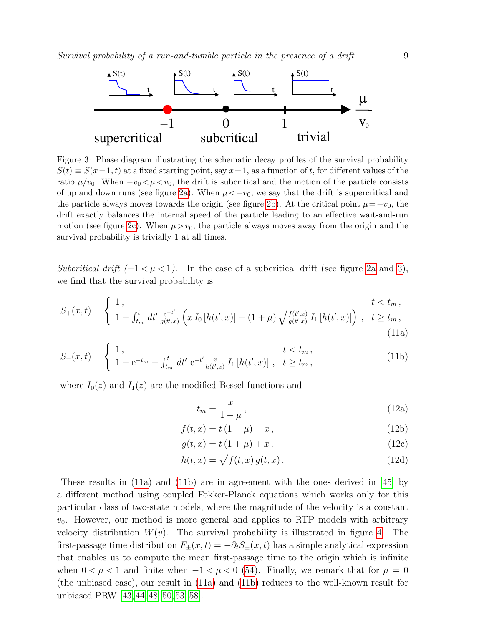<span id="page-8-0"></span>

Figure 3: Phase diagram illustrating the schematic decay profiles of the survival probability  $S(t) \equiv S(x=1, t)$  at a fixed starting point, say  $x=1$ , as a function of t, for different values of the ratio  $\mu/v_0$ . When  $-v_0 < \mu < v_0$ , the drift is subcritical and the motion of the particle consists of up and down runs (see figure [2a\)](#page-6-3). When  $\mu < -v_0$ , we say that the drift is supercritical and the particle always moves towards the origin (see figure [2b\)](#page-6-3). At the critical point  $\mu = -v_0$ , the drift exactly balances the internal speed of the particle leading to an effective wait-and-run motion (see figure [2c\)](#page-6-3). When  $\mu > v_0$ , the particle always moves away from the origin and the survival probability is trivially 1 at all times.

Subcritical drift  $(-1 < \mu < 1)$ . In the case of a subcritical drift (see figure [2a](#page-6-3) and [3\)](#page-8-0), we find that the survival probability is

$$
S_{+}(x,t) = \begin{cases} 1, & t < t_m, \\ 1 - \int_{t_m}^{t} dt' \frac{e^{-t'}}{g(t',x)} \left( x I_0 \left[ h(t',x) \right] + (1+\mu) \sqrt{\frac{f(t',x)}{g(t',x)}} I_1 \left[ h(t',x) \right] \right), & t \ge t_m, \\ (11a)
$$

$$
S_{-}(x,t) = \begin{cases} 1, & t < t_m, \\ 1 - e^{-t_m} - \int_{t_m}^t dt' e^{-t'} \frac{x}{h(t',x)} I_1[h(t',x)], & t \ge t_m, \end{cases}
$$
(11b)

where  $I_0(z)$  and  $I_1(z)$  are the modified Bessel functions and

<span id="page-8-4"></span><span id="page-8-3"></span><span id="page-8-2"></span><span id="page-8-1"></span>
$$
t_m = \frac{x}{1 - \mu},\tag{12a}
$$

$$
f(t, x) = t(1 - \mu) - x, \qquad (12b)
$$

$$
g(t, x) = t(1 + \mu) + x,\t(12c)
$$

$$
h(t,x) = \sqrt{f(t,x)g(t,x)}.
$$
\n(12d)

These results in [\(11a\)](#page-8-1) and [\(11b\)](#page-8-2) are in agreement with the ones derived in [\[45\]](#page-56-17) by a different method using coupled Fokker-Planck equations which works only for this particular class of two-state models, where the magnitude of the velocity is a constant  $v_0$ . However, our method is more general and applies to RTP models with arbitrary velocity distribution  $W(v)$ . The survival probability is illustrated in figure [4.](#page-9-0) The first-passage time distribution  $F_{\pm}(x,t) = -\partial_t S_{\pm}(x,t)$  has a simple analytical expression that enables us to compute the mean first-passage time to the origin which is infinite when  $0 < \mu < 1$  and finite when  $-1 < \mu < 0$  [\(54\)](#page-20-0). Finally, we remark that for  $\mu = 0$ (the unbiased case), our result in [\(11a\)](#page-8-1) and [\(11b\)](#page-8-2) reduces to the well-known result for unbiased PRW [\[43,](#page-56-10) [44,](#page-56-20) [48–](#page-56-12)[50,](#page-56-21) [53–](#page-56-22)[58\]](#page-56-13).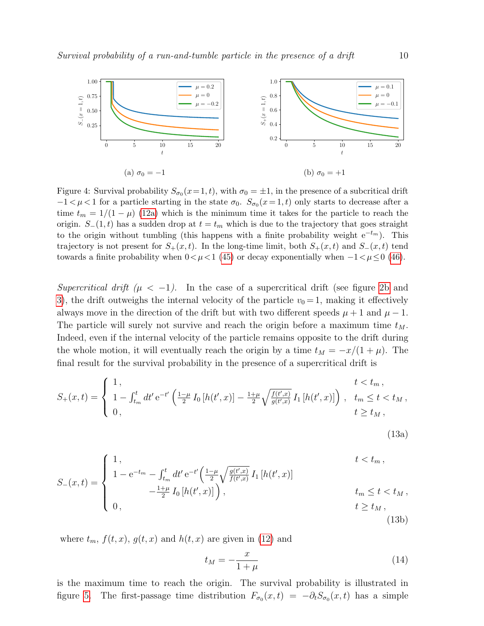<span id="page-9-0"></span>

Figure 4: Survival probability  $S_{\sigma_0}(x=1,t)$ , with  $\sigma_0 = \pm 1$ , in the presence of a subcritical drift  $-1 < \mu < 1$  for a particle starting in the state  $\sigma_0$ .  $S_{\sigma_0}(x=1,t)$  only starts to decrease after a time  $t_m = 1/(1 - \mu)$  [\(12a\)](#page-8-3) which is the minimum time it takes for the particle to reach the origin.  $S_-(1,t)$  has a sudden drop at  $t = t_m$  which is due to the trajectory that goes straight to the origin without tumbling (this happens with a finite probability weight  $e^{-t_m}$ ). This trajectory is not present for  $S_{+}(x,t)$ . In the long-time limit, both  $S_{+}(x,t)$  and  $S_{-}(x,t)$  tend towards a finite probability when  $0 < \mu < 1$  [\(45\)](#page-18-1) or decay exponentially when  $-1 < \mu \le 0$  [\(46\)](#page-18-2).

Supercritical drift  $(\mu < -1)$ . In the case of a supercritical drift (see figure [2b](#page-6-3) and [3\)](#page-8-0), the drift outweighs the internal velocity of the particle  $v_0 = 1$ , making it effectively always move in the direction of the drift but with two different speeds  $\mu + 1$  and  $\mu - 1$ . The particle will surely not survive and reach the origin before a maximum time  $t_M$ . Indeed, even if the internal velocity of the particle remains opposite to the drift during the whole motion, it will eventually reach the origin by a time  $t_M = -x/(1 + \mu)$ . The final result for the survival probability in the presence of a supercritical drift is

$$
S_{+}(x,t) = \begin{cases} 1, & t < t_m, \\ 1 - \int_{t_m}^{t} dt' e^{-t'} \left( \frac{1-\mu}{2} I_0 \left[ h(t',x) \right] - \frac{1+\mu}{2} \sqrt{\frac{f(t',x)}{g(t',x)}} I_1 \left[ h(t',x) \right] \right), & t_m \le t < t_M, \\ 0, & t \ge t_M, \end{cases}
$$

<span id="page-9-3"></span><span id="page-9-2"></span><span id="page-9-1"></span>
$$
(13a)
$$

$$
S_{-}(x,t) = \begin{cases} 1, & t < t_m, \\ 1 - e^{-t_m} - \int_{t_m}^t dt' e^{-t'} \left( \frac{1 - \mu}{2} \sqrt{\frac{g(t',x)}{f(t',x)}} I_1 \left[ h(t',x) \right] \right. \\ - \frac{1 + \mu}{2} I_0 \left[ h(t',x) \right] \right), & t_m \le t < t_M, \\ 0, & t \ge t_M, \end{cases}
$$
(13b)

where  $t_m$ ,  $f(t, x)$ ,  $g(t, x)$  and  $h(t, x)$  are given in [\(12\)](#page-8-4) and

$$
t_M = -\frac{x}{1+\mu} \tag{14}
$$

is the maximum time to reach the origin. The survival probability is illustrated in figure [5.](#page-10-0) The first-passage time distribution  $F_{\sigma_0}(x,t) = -\partial_t S_{\sigma_0}(x,t)$  has a simple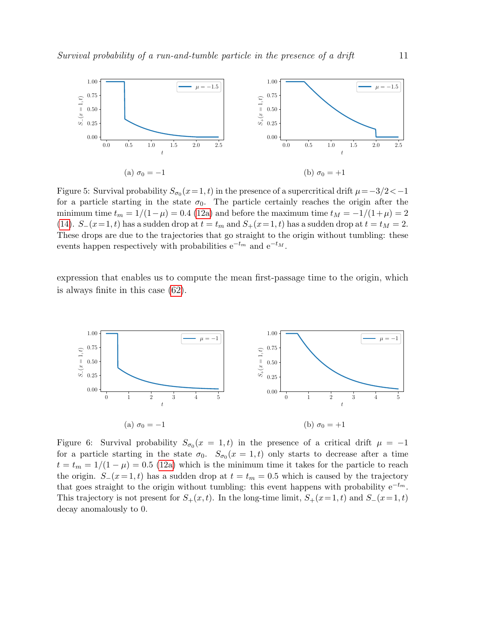<span id="page-10-0"></span>

Figure 5: Survival probability  $S_{\sigma_0}(x=1,t)$  in the presence of a supercritical drift  $\mu = -3/2 < -1$ for a particle starting in the state  $\sigma_0$ . The particle certainly reaches the origin after the minimum time  $t_m = 1/(1-\mu) = 0.4$  [\(12a\)](#page-8-3) and before the maximum time  $t_M = -1/(1+\mu) = 2$ [\(14\)](#page-9-1).  $S_-(x=1,t)$  has a sudden drop at  $t = t_m$  and  $S_+(x=1,t)$  has a sudden drop at  $t = t_M = 2$ . These drops are due to the trajectories that go straight to the origin without tumbling: these events happen respectively with probabilities  $e^{-t_m}$  and  $e^{-t_M}$ .

expression that enables us to compute the mean first-passage time to the origin, which is always finite in this case [\(62\)](#page-22-1).

<span id="page-10-1"></span>

Figure 6: Survival probability  $S_{\sigma_0}(x = 1, t)$  in the presence of a critical drift  $\mu = -1$ for a particle starting in the state  $\sigma_0$ .  $S_{\sigma_0}(x=1,t)$  only starts to decrease after a time  $t = t_m = 1/(1 - \mu) = 0.5$  [\(12a\)](#page-8-3) which is the minimum time it takes for the particle to reach the origin.  $S_-(x=1,t)$  has a sudden drop at  $t = t_m = 0.5$  which is caused by the trajectory that goes straight to the origin without tumbling: this event happens with probability  $e^{-tm}$ . This trajectory is not present for  $S_+(x,t)$ . In the long-time limit,  $S_+(x=1,t)$  and  $S_-(x=1,t)$ decay anomalously to 0.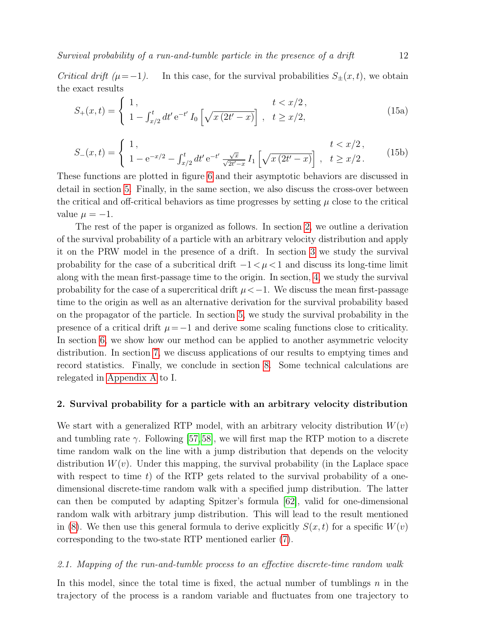Critical drift ( $\mu$ =−1). In this case, for the survival probabilities  $S_{\pm}(x, t)$ , we obtain the exact results

$$
S_{+}(x,t) = \begin{cases} 1, & t < x/2, \\ 1 - \int_{x/2}^{t} dt' e^{-t'} I_0 \left[ \sqrt{x (2t'-x)} \right], & t \ge x/2, \end{cases}
$$
(15a)

$$
S_{-}(x,t) = \begin{cases} 1, & t < x/2, \\ 1 - e^{-x/2} - \int_{x/2}^{t} dt' e^{-t'} \frac{\sqrt{x}}{\sqrt{2t'-x}} I_1 \left[ \sqrt{x(2t'-x)} \right], & t \ge x/2. \end{cases}
$$
(15b)

These functions are plotted in figure [6](#page-10-1) and their asymptotic behaviors are discussed in detail in section [5.](#page-22-0) Finally, in the same section, we also discuss the cross-over between the critical and off-critical behaviors as time progresses by setting  $\mu$  close to the critical value  $\mu = -1$ .

The rest of the paper is organized as follows. In section [2,](#page-11-0) we outline a derivation of the survival probability of a particle with an arbitrary velocity distribution and apply it on the PRW model in the presence of a drift. In section [3](#page-17-0) we study the survival probability for the case of a subcritical drift  $-1 < \mu < 1$  and discuss its long-time limit along with the mean first-passage time to the origin. In section, [4,](#page-21-0) we study the survival probability for the case of a supercritical drift  $\mu < -1$ . We discuss the mean first-passage time to the origin as well as an alternative derivation for the survival probability based on the propagator of the particle. In section [5,](#page-22-0) we study the survival probability in the presence of a critical drift  $\mu = -1$  and derive some scaling functions close to criticality. In section [6,](#page-26-0) we show how our method can be applied to another asymmetric velocity distribution. In section [7,](#page-27-0) we discuss applications of our results to emptying times and record statistics. Finally, we conclude in section [8.](#page-37-0) Some technical calculations are relegated in [Appendix A](#page-38-0) to I.

# <span id="page-11-0"></span>2. Survival probability for a particle with an arbitrary velocity distribution

We start with a generalized RTP model, with an arbitrary velocity distribution  $W(v)$ and tumbling rate  $\gamma$ . Following [\[57,](#page-56-14)[58\]](#page-56-13), we will first map the RTP motion to a discrete time random walk on the line with a jump distribution that depends on the velocity distribution  $W(v)$ . Under this mapping, the survival probability (in the Laplace space with respect to time  $t$ ) of the RTP gets related to the survival probability of a onedimensional discrete-time random walk with a specified jump distribution. The latter can then be computed by adapting Spitzer's formula [\[62\]](#page-56-23), valid for one-dimensional random walk with arbitrary jump distribution. This will lead to the result mentioned in [\(8\)](#page-6-1). We then use this general formula to derive explicitly  $S(x, t)$  for a specific  $W(v)$ corresponding to the two-state RTP mentioned earlier [\(7\)](#page-6-2).

# <span id="page-11-1"></span>2.1. Mapping of the run-and-tumble process to an effective discrete-time random walk

In this model, since the total time is fixed, the actual number of tumblings  $n$  in the trajectory of the process is a random variable and fluctuates from one trajectory to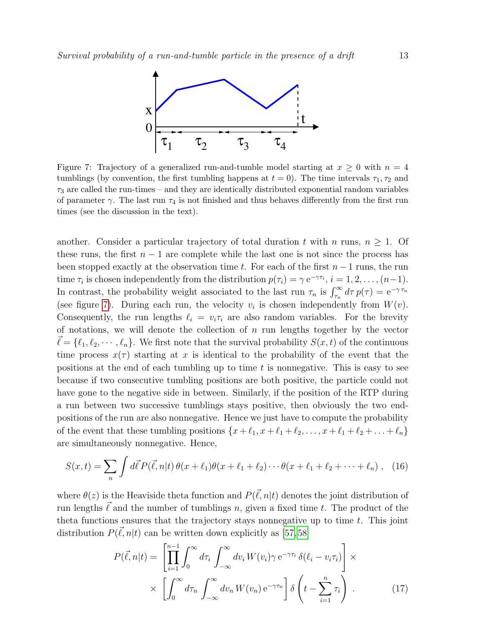<span id="page-12-0"></span>

Figure 7: Trajectory of a generalized run-and-tumble model starting at  $x \geq 0$  with  $n = 4$ tumblings (by convention, the first tumbling happens at  $t = 0$ ). The time intervals  $\tau_1, \tau_2$  and  $\tau_3$  are called the run-times – and they are identically distributed exponential random variables of parameter  $\gamma$ . The last run  $\tau_4$  is not finished and thus behaves differently from the first run times (see the discussion in the text).

another. Consider a particular trajectory of total duration t with n runs,  $n \geq 1$ . Of these runs, the first  $n - 1$  are complete while the last one is not since the process has been stopped exactly at the observation time t. For each of the first  $n-1$  runs, the run time  $\tau_i$  is chosen independently from the distribution  $p(\tau_i) = \gamma e^{-\gamma \tau_i}$ ,  $i = 1, 2, ..., (n-1)$ . In contrast, the probability weight associated to the last run  $\tau_n$  is  $\int_{\tau_n}^{\infty} d\tau p(\tau) = e^{-\gamma \tau_n}$ (see figure [7\)](#page-12-0). During each run, the velocity  $v_i$  is chosen independently from  $W(v)$ . Consequently, the run lengths  $\ell_i = v_i \tau_i$  are also random variables. For the brevity of notations, we will denote the collection of  $n$  run lengths together by the vector  $\ell = {\ell_1, \ell_2, \cdots, \ell_n}.$  We first note that the survival probability  $S(x, t)$  of the continuous time process  $x(\tau)$  starting at x is identical to the probability of the event that the positions at the end of each tumbling up to time  $t$  is nonnegative. This is easy to see because if two consecutive tumbling positions are both positive, the particle could not have gone to the negative side in between. Similarly, if the position of the RTP during a run between two successive tumblings stays positive, then obviously the two endpositions of the run are also nonnegative. Hence we just have to compute the probability of the event that these tumbling positions  $\{x + \ell_1, x + \ell_1 + \ell_2, \ldots, x + \ell_1 + \ell_2 + \ldots + \ell_n\}$ are simultaneously nonnegative. Hence,

<span id="page-12-2"></span>
$$
S(x,t) = \sum_{n} \int d\vec{\ell} P(\vec{\ell}, n|t) \theta(x + \ell_1) \theta(x + \ell_1 + \ell_2) \cdots \theta(x + \ell_1 + \ell_2 + \cdots + \ell_n) , \quad (16)
$$

where  $\theta(z)$  is the Heaviside theta function and  $P(\vec{\ell}, n|t)$  denotes the joint distribution of run lengths  $\vec{\ell}$  and the number of tumblings n, given a fixed time t. The product of the theta functions ensures that the trajectory stays nonnegative up to time  $t$ . This joint distribution  $P(\vec{\ell}, n|t)$  can be written down explicitly as [\[57,](#page-56-14) [58\]](#page-56-13)

 $\overline{I}$ 

<span id="page-12-1"></span>
$$
P(\vec{\ell}, n|t) = \left[ \prod_{i=1}^{n-1} \int_0^{\infty} d\tau_i \int_{-\infty}^{\infty} dv_i W(v_i) \gamma e^{-\gamma \tau_i} \delta(\ell_i - v_i \tau_i) \right] \times \times \left[ \int_0^{\infty} d\tau_n \int_{-\infty}^{\infty} dv_n W(v_n) e^{-\gamma \tau_n} \right] \delta\left(t - \sum_{i=1}^n \tau_i\right).
$$
 (17)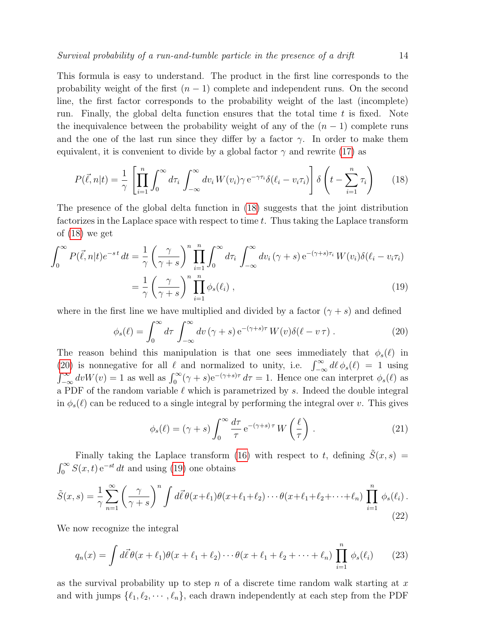This formula is easy to understand. The product in the first line corresponds to the probability weight of the first  $(n - 1)$  complete and independent runs. On the second line, the first factor corresponds to the probability weight of the last (incomplete) run. Finally, the global delta function ensures that the total time  $t$  is fixed. Note the inequivalence between the probability weight of any of the  $(n - 1)$  complete runs and the one of the last run since they differ by a factor  $\gamma$ . In order to make them equivalent, it is convenient to divide by a global factor  $\gamma$  and rewrite [\(17\)](#page-12-1) as

<span id="page-13-0"></span>
$$
P(\vec{\ell}, n|t) = \frac{1}{\gamma} \left[ \prod_{i=1}^{n} \int_{0}^{\infty} d\tau_{i} \int_{-\infty}^{\infty} dv_{i} W(v_{i}) \gamma e^{-\gamma \tau_{i}} \delta(\ell_{i} - v_{i} \tau_{i}) \right] \delta\left(t - \sum_{i=1}^{n} \tau_{i}\right)
$$
(18)

The presence of the global delta function in [\(18\)](#page-13-0) suggests that the joint distribution factorizes in the Laplace space with respect to time  $t$ . Thus taking the Laplace transform of [\(18\)](#page-13-0) we get

<span id="page-13-2"></span>
$$
\int_0^\infty P(\vec{\ell}, n|t)e^{-st} dt = \frac{1}{\gamma} \left(\frac{\gamma}{\gamma + s}\right)^n \prod_{i=1}^n \int_0^\infty d\tau_i \int_{-\infty}^\infty dv_i(\gamma + s) e^{-(\gamma + s)\tau_i} W(v_i) \delta(\ell_i - v_i \tau_i)
$$

$$
= \frac{1}{\gamma} \left(\frac{\gamma}{\gamma + s}\right)^n \prod_{i=1}^n \phi_s(\ell_i) , \qquad (19)
$$

where in the first line we have multiplied and divided by a factor  $(γ + s)$  and defined

<span id="page-13-1"></span>
$$
\phi_s(\ell) = \int_0^\infty d\tau \int_{-\infty}^\infty dv (\gamma + s) e^{-(\gamma + s)\tau} W(v) \delta(\ell - v \tau) . \tag{20}
$$

The reason behind this manipulation is that one sees immediately that  $\phi_s(\ell)$  in [\(20\)](#page-13-1) is nonnegative for all  $\ell$  and normalized to unity, i.e.  $\int_{-\infty}^{\infty} d\ell \phi_s(\ell) = 1$  using  $\int_{-\infty}^{\infty} dv W(v) = 1$  as well as  $\int_{0}^{\infty} (\gamma + s) e^{-(\gamma + s)\tau} d\tau = 1$ . Hence one can interpret  $\phi_s(\ell)$  as a PDF of the random variable  $\ell$  which is parametrized by s. Indeed the double integral in  $\phi_s(\ell)$  can be reduced to a single integral by performing the integral over v. This gives

<span id="page-13-4"></span>
$$
\phi_s(\ell) = (\gamma + s) \int_0^\infty \frac{d\tau}{\tau} e^{-(\gamma + s)\tau} W\left(\frac{\ell}{\tau}\right). \tag{21}
$$

Finally taking the Laplace transform [\(16\)](#page-12-2) with respect to t, defining  $\tilde{S}(x, s)$  =  $\int_0^\infty S(x,t) e^{-st} dt$  and using [\(19\)](#page-13-2) one obtains

<span id="page-13-3"></span>
$$
\tilde{S}(x,s) = \frac{1}{\gamma} \sum_{n=1}^{\infty} \left(\frac{\gamma}{\gamma+s}\right)^n \int d\vec{\ell} \theta(x+\ell_1)\theta(x+\ell_1+\ell_2)\cdots\theta(x+\ell_1+\ell_2+\cdots+\ell_n) \prod_{i=1}^n \phi_s(\ell_i).
$$
\n(22)

We now recognize the integral

$$
q_n(x) = \int d\vec{\ell} \theta(x + \ell_1)\theta(x + \ell_1 + \ell_2) \cdots \theta(x + \ell_1 + \ell_2 + \cdots + \ell_n) \prod_{i=1}^n \phi_s(\ell_i) \qquad (23)
$$

as the survival probability up to step n of a discrete time random walk starting at  $x$ and with jumps  $\{\ell_1, \ell_2, \cdots, \ell_n\}$ , each drawn independently at each step from the PDF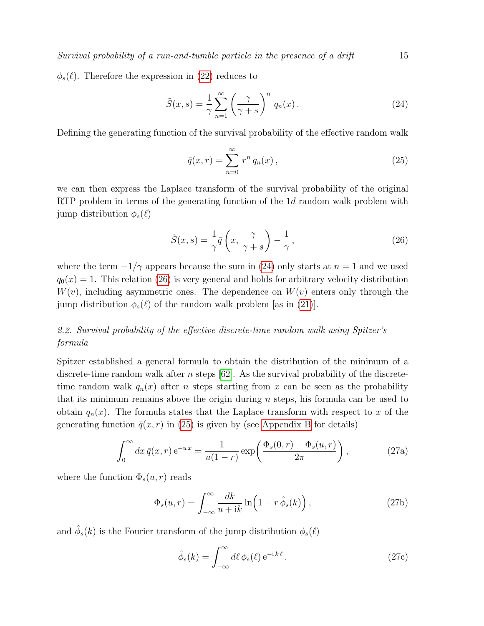$\phi_s(\ell)$ . Therefore the expression in [\(22\)](#page-13-3) reduces to

$$
\tilde{S}(x,s) = \frac{1}{\gamma} \sum_{n=1}^{\infty} \left(\frac{\gamma}{\gamma + s}\right)^n q_n(x).
$$
 (24)

Defining the generating function of the survival probability of the effective random walk

<span id="page-14-3"></span><span id="page-14-2"></span><span id="page-14-1"></span>
$$
\bar{q}(x,r) = \sum_{n=0}^{\infty} r^n q_n(x), \qquad (25)
$$

we can then express the Laplace transform of the survival probability of the original RTP problem in terms of the generating function of the 1d random walk problem with jump distribution  $\phi_s(\ell)$ 

$$
\tilde{S}(x,s) = \frac{1}{\gamma}\bar{q}\left(x, \frac{\gamma}{\gamma + s}\right) - \frac{1}{\gamma},\tag{26}
$$

where the term  $-1/\gamma$  appears because the sum in [\(24\)](#page-14-1) only starts at  $n = 1$  and we used  $q_0(x) = 1$ . This relation [\(26\)](#page-14-2) is very general and holds for arbitrary velocity distribution  $W(v)$ , including asymmetric ones. The dependence on  $W(v)$  enters only through the jump distribution  $\phi_s(\ell)$  of the random walk problem [as in [\(21\)](#page-13-4)].

# <span id="page-14-0"></span>2.2. Survival probability of the effective discrete-time random walk using Spitzer's formula

Spitzer established a general formula to obtain the distribution of the minimum of a discrete-time random walk after n steps  $[62]$ . As the survival probability of the discretetime random walk  $q_n(x)$  after *n* steps starting from x can be seen as the probability that its minimum remains above the origin during n steps, his formula can be used to obtain  $q_n(x)$ . The formula states that the Laplace transform with respect to x of the generating function  $\bar{q}(x, r)$  in [\(25\)](#page-14-3) is given by (see [Appendix B](#page-39-0) for details)

$$
\int_0^\infty dx \,\overline{q}(x,r) e^{-ux} = \frac{1}{u(1-r)} \exp\left(\frac{\Phi_s(0,r) - \Phi_s(u,r)}{2\pi}\right),\tag{27a}
$$

where the function  $\Phi_s(u,r)$  reads

$$
\Phi_s(u,r) = \int_{-\infty}^{\infty} \frac{dk}{u+ik} \ln\left(1 - r \,\hat{\phi}_s(k)\right),\tag{27b}
$$

and  $\hat{\phi}_s(k)$  is the Fourier transform of the jump distribution  $\phi_s(\ell)$ 

<span id="page-14-6"></span><span id="page-14-5"></span><span id="page-14-4"></span>
$$
\hat{\phi}_s(k) = \int_{-\infty}^{\infty} d\ell \, \phi_s(\ell) \, e^{-ik\ell} \,. \tag{27c}
$$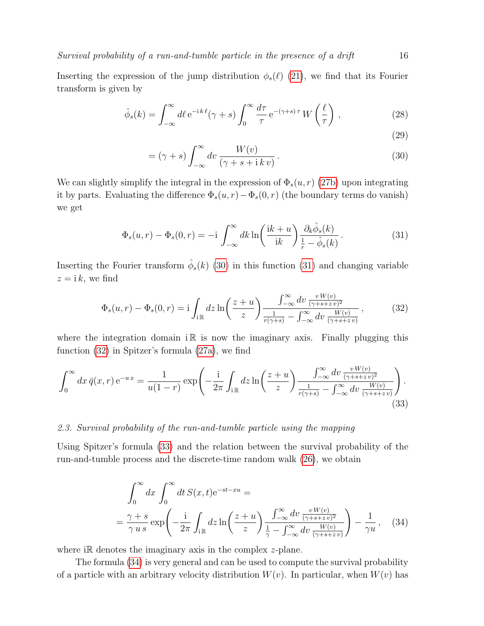Inserting the expression of the jump distribution  $\phi_s(\ell)$  [\(21\)](#page-13-4), we find that its Fourier transform is given by

$$
\hat{\phi}_s(k) = \int_{-\infty}^{\infty} d\ell \, \mathrm{e}^{-\mathrm{i} \, k \, \ell} (\gamma + s) \int_0^{\infty} \frac{d\tau}{\tau} \, \mathrm{e}^{-(\gamma + s)\tau} \, W\left(\frac{\ell}{\tau}\right) \,, \tag{28}
$$

<span id="page-15-4"></span><span id="page-15-3"></span><span id="page-15-2"></span><span id="page-15-1"></span>(29)

$$
= (\gamma + s) \int_{-\infty}^{\infty} dv \frac{W(v)}{(\gamma + s + i k v)}.
$$
\n(30)

We can slightly simplify the integral in the expression of  $\Phi_s(u, r)$  [\(27b\)](#page-14-4) upon integrating it by parts. Evaluating the difference  $\Phi_s(u, r) - \Phi_s(0, r)$  (the boundary terms do vanish) we get

$$
\Phi_s(u,r) - \Phi_s(0,r) = -i \int_{-\infty}^{\infty} dk \ln\left(\frac{ik+u}{ik}\right) \frac{\partial_k \hat{\phi}_s(k)}{\frac{1}{r} - \hat{\phi}_s(k)}.
$$
\n(31)

Inserting the Fourier transform  $\hat{\phi}_s(k)$  [\(30\)](#page-15-1) in this function [\(31\)](#page-15-2) and changing variable  $z = i k$ , we find

$$
\Phi_s(u,r) - \Phi_s(0,r) = \mathbf{i} \int_{\mathbf{i}} dz \ln\left(\frac{z+u}{z}\right) \frac{\int_{-\infty}^{\infty} dv \frac{vW(v)}{(\gamma+s+z v)^2}}{\frac{1}{r(\gamma+s)} - \int_{-\infty}^{\infty} dv \frac{W(v)}{(\gamma+s+z v)}},\tag{32}
$$

where the integration domain  $\mathbb{R}$  is now the imaginary axis. Finally plugging this function [\(32\)](#page-15-3) in Spitzer's formula [\(27a\)](#page-14-5), we find

$$
\int_0^\infty dx \,\bar{q}(x,r) \,\mathrm{e}^{-ux} = \frac{1}{u(1-r)} \exp\left(-\frac{\mathrm{i}}{2\pi} \int_{\mathrm{i}\,\mathbb{R}} dz \ln\left(\frac{z+u}{z}\right) \frac{\int_{-\infty}^\infty dv \, \frac{v \, W(v)}{(\gamma+s+z \, v)^2}}{\frac{1}{r(\gamma+s)} - \int_{-\infty}^\infty dv \, \frac{W(v)}{(\gamma+s+z \, v)}}\right). \tag{33}
$$

### <span id="page-15-0"></span>2.3. Survival probability of the run-and-tumble particle using the mapping

Using Spitzer's formula [\(33\)](#page-15-4) and the relation between the survival probability of the run-and-tumble process and the discrete-time random walk [\(26\)](#page-14-2), we obtain

<span id="page-15-5"></span>
$$
\int_0^\infty dx \int_0^\infty dt S(x,t) e^{-st - xu} =
$$
\n
$$
= \frac{\gamma + s}{\gamma u s} \exp\left(-\frac{i}{2\pi} \int_{i\mathbb{R}} dz \ln\left(\frac{z+u}{z}\right) \frac{\int_{-\infty}^\infty dv \, \frac{v \, W(v)}{(\gamma + s + z \, v)^2}}{\frac{1}{\gamma} - \int_{-\infty}^\infty dv \, \frac{W(v)}{(\gamma + s + z \, v)}}\right) - \frac{1}{\gamma u}, \quad (34)
$$

where i $\mathbb R$  denotes the imaginary axis in the complex *z*-plane.

The formula [\(34\)](#page-15-5) is very general and can be used to compute the survival probability of a particle with an arbitrary velocity distribution  $W(v)$ . In particular, when  $W(v)$  has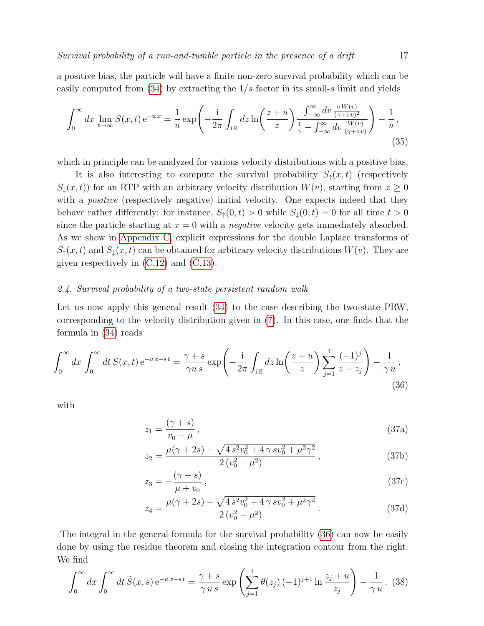a positive bias, the particle will have a finite non-zero survival probability which can be easily computed from  $(34)$  by extracting the  $1/s$  factor in its small-s limit and yields

$$
\int_0^\infty dx \lim_{t \to \infty} S(x, t) e^{-ux} = \frac{1}{u} \exp\left(-\frac{i}{2\pi} \int_{i\mathbb{R}} dz \ln\left(\frac{z+u}{z}\right) \frac{\int_{-\infty}^\infty dv \frac{vW(v)}{(\gamma+zv)^2}}{\frac{1}{\gamma} - \int_{-\infty}^\infty dv \frac{W(v)}{(\gamma+zv)}}\right) - \frac{1}{u},\tag{35}
$$

which in principle can be analyzed for various velocity distributions with a positive bias.

It is also interesting to compute the survival probability  $S_1(x,t)$  (respectively  $S_{\perp}(x,t)$  for an RTP with an arbitrary velocity distribution  $W(v)$ , starting from  $x \geq 0$ with a *positive* (respectively negative) initial velocity. One expects indeed that they behave rather differently: for instance,  $S_1(0, t) > 0$  while  $S_1(0, t) = 0$  for all time  $t > 0$ since the particle starting at  $x = 0$  with a *negative* velocity gets immediately absorbed. As we show in [Appendix C,](#page-41-0) explicit expressions for the double Laplace transforms of  $S_{\uparrow}(x,t)$  and  $S_{\downarrow}(x,t)$  can be obtained for arbitrary velocity distributions  $W(v)$ . They are given respectively in [\(C.12\)](#page-42-0) and [\(C.13\)](#page-43-1).

### <span id="page-16-0"></span>2.4. Survival probability of a two-state persistent random walk

Let us now apply this general result [\(34\)](#page-15-5) to the case describing the two-state PRW, corresponding to the velocity distribution given in [\(7\)](#page-6-2). In this case, one finds that the formula in [\(34\)](#page-15-5) reads

$$
\int_0^\infty dx \int_0^\infty dt \, S(x,t) \, \mathrm{e}^{-u \, x - st} = \frac{\gamma + s}{\gamma u \, s} \exp\left(-\frac{\mathrm{i}}{2\pi} \int_{\mathrm{i} \, \mathbb{R}} dz \ln\left(\frac{z+u}{z}\right) \sum_{j=1}^4 \frac{(-1)^j}{z - z_j} \right) - \frac{1}{\gamma u} \,. \tag{36}
$$

with

<span id="page-16-1"></span>
$$
z_1 = \frac{(\gamma + s)}{v_0 - \mu},\tag{37a}
$$

$$
z_2 = \frac{\mu(\gamma + 2s) - \sqrt{4 s^2 v_0^2 + 4 \gamma s v_0^2 + \mu^2 \gamma^2}}{2 (v_0^2 - \mu^2)},
$$
\n(37b)

$$
z_3 = -\frac{(\gamma + s)}{\mu + v_0},\tag{37c}
$$

<span id="page-16-3"></span>
$$
z_4 = \frac{\mu(\gamma + 2s) + \sqrt{4 s^2 v_0^2 + 4 \gamma s v_0^2 + \mu^2 \gamma^2}}{2 (v_0^2 - \mu^2)}.
$$
 (37d)

The integral in the general formula for the survival probability [\(36\)](#page-16-1) can now be easily done by using the residue theorem and closing the integration contour from the right. We find

<span id="page-16-2"></span>
$$
\int_0^\infty dx \int_0^\infty dt \, \tilde{S}(x, s) e^{-u x - s t} = \frac{\gamma + s}{\gamma u s} \exp\left(\sum_{j=1}^4 \theta(z_j) (-1)^{j+1} \ln \frac{z_j + u}{z_j}\right) - \frac{1}{\gamma u}.
$$
 (38)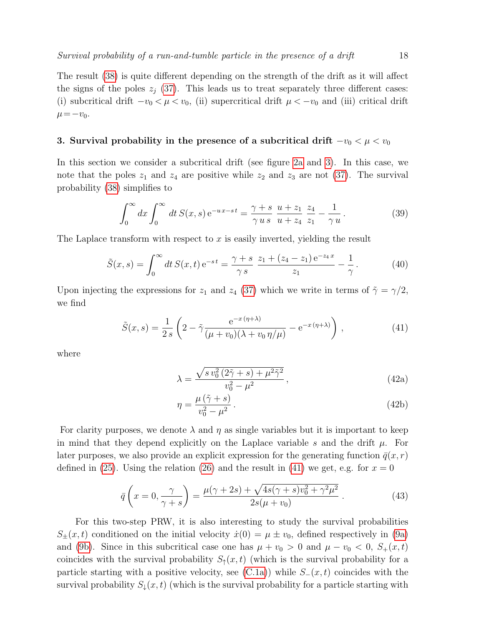The result [\(38\)](#page-16-2) is quite different depending on the strength of the drift as it will affect the signs of the poles  $z_i$  [\(37\)](#page-16-3). This leads us to treat separately three different cases: (i) subcritical drift  $-v_0 < \mu < v_0$ , (ii) supercritical drift  $\mu < -v_0$  and (iii) critical drift  $\mu = -v_0$ .

# <span id="page-17-0"></span>3. Survival probability in the presence of a subcritical drift  $-v_0 < \mu < v_0$

In this section we consider a subcritical drift (see figure [2a](#page-6-3) and [3\)](#page-8-0). In this case, we note that the poles  $z_1$  and  $z_4$  are positive while  $z_2$  and  $z_3$  are not [\(37\)](#page-16-3). The survival probability [\(38\)](#page-16-2) simplifies to

$$
\int_0^\infty dx \int_0^\infty dt \, S(x, s) e^{-u x - s t} = \frac{\gamma + s}{\gamma u s} \frac{u + z_1}{u + z_4} \frac{z_4}{z_1} - \frac{1}{\gamma u}.
$$
 (39)

The Laplace transform with respect to  $x$  is easily inverted, yielding the result

$$
\tilde{S}(x,s) = \int_0^\infty dt \, S(x,t) \, \mathrm{e}^{-st} = \frac{\gamma + s}{\gamma \, s} \, \frac{z_1 + (z_4 - z_1) \, \mathrm{e}^{-z_4 x}}{z_1} - \frac{1}{\gamma} \,. \tag{40}
$$

Upon injecting the expressions for  $z_1$  and  $z_4$  [\(37\)](#page-16-3) which we write in terms of  $\tilde{\gamma} = \gamma/2$ , we find

$$
\tilde{S}(x,s) = \frac{1}{2s} \left( 2 - \tilde{\gamma} \frac{e^{-x(\eta + \lambda)}}{(\mu + v_0)(\lambda + v_0 \eta/\mu)} - e^{-x(\eta + \lambda)} \right),
$$
\n(41)

where

<span id="page-17-3"></span><span id="page-17-1"></span>
$$
\lambda = \frac{\sqrt{s v_0^2 (2\tilde{\gamma} + s) + \mu^2 \tilde{\gamma}^2}}{v_0^2 - \mu^2},
$$
\n(42a)

<span id="page-17-4"></span><span id="page-17-2"></span>
$$
\eta = \frac{\mu \left(\tilde{\gamma} + s\right)}{v_0^2 - \mu^2}.\tag{42b}
$$

For clarity purposes, we denote  $\lambda$  and  $\eta$  as single variables but it is important to keep in mind that they depend explicitly on the Laplace variable s and the drift  $\mu$ . For later purposes, we also provide an explicit expression for the generating function  $\bar{q}(x, r)$ defined in [\(25\)](#page-14-3). Using the relation [\(26\)](#page-14-2) and the result in [\(41\)](#page-17-1) we get, e.g. for  $x = 0$ 

$$
\bar{q}\left(x=0,\frac{\gamma}{\gamma+s}\right) = \frac{\mu(\gamma+2s) + \sqrt{4s(\gamma+s)v_0^2 + \gamma^2\mu^2}}{2s(\mu+v_0)}.
$$
\n(43)

For this two-step PRW, it is also interesting to study the survival probabilities  $S_{\pm}(x,t)$  conditioned on the initial velocity  $\dot{x}(0) = \mu \pm v_0$ , defined respectively in [\(9a\)](#page-7-0) and [\(9b\)](#page-7-0). Since in this subcritical case one has  $\mu + v_0 > 0$  and  $\mu - v_0 < 0$ ,  $S_+(x,t)$ coincides with the survival probability  $S_{\uparrow}(x,t)$  (which is the survival probability for a particle starting with a positive velocity, see  $(C.1a)$ ) while  $S_-(x,t)$  coincides with the survival probability  $S_{\downarrow}(x,t)$  (which is the survival probability for a particle starting with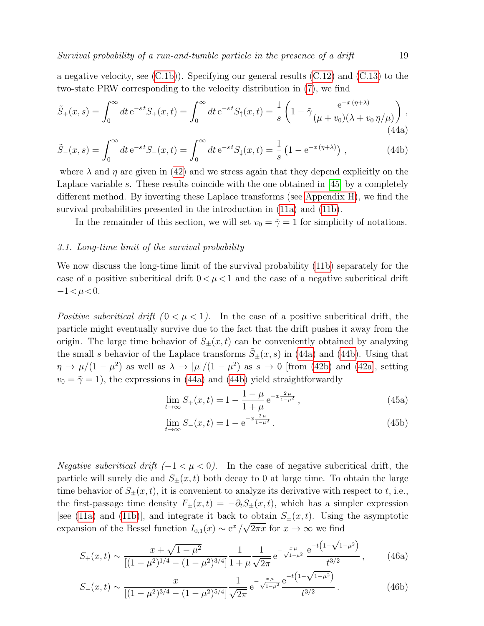a negative velocity, see [\(C.1b\)](#page-41-1)). Specifying our general results [\(C.12\)](#page-42-0) and [\(C.13\)](#page-43-1) to the two-state PRW corresponding to the velocity distribution in [\(7\)](#page-6-2), we find

$$
\tilde{S}_{+}(x,s) = \int_{0}^{\infty} dt \, e^{-st} S_{+}(x,t) = \int_{0}^{\infty} dt \, e^{-st} S_{\uparrow}(x,t) = \frac{1}{s} \left( 1 - \tilde{\gamma} \frac{e^{-x(\eta+\lambda)}}{(\mu+v_0)(\lambda+v_0 \eta/\mu)} \right),\tag{44a}
$$

$$
\tilde{S}_{-}(x,s) = \int_0^\infty dt \, e^{-st} S_{-}(x,t) = \int_0^\infty dt \, e^{-st} S_{\downarrow}(x,t) = \frac{1}{s} \left( 1 - e^{-x(\eta + \lambda)} \right) \,, \tag{44b}
$$

where  $\lambda$  and  $\eta$  are given in [\(42\)](#page-17-2) and we stress again that they depend explicitly on the Laplace variable s. These results coincide with the one obtained in  $[45]$  by a completely different method. By inverting these Laplace transforms (see [Appendix H\)](#page-49-0), we find the survival probabilities presented in the introduction in [\(11a\)](#page-8-1) and [\(11b\)](#page-8-2).

<span id="page-18-4"></span><span id="page-18-3"></span>In the remainder of this section, we will set  $v_0 = \tilde{\gamma} = 1$  for simplicity of notations.

# <span id="page-18-0"></span>3.1. Long-time limit of the survival probability

We now discuss the long-time limit of the survival probability [\(11b\)](#page-8-2) separately for the case of a positive subcritical drift  $0 < \mu < 1$  and the case of a negative subcritical drift  $-1<\mu<0$ .

Positive subcritical drift  $(0 < \mu < 1)$ . In the case of a positive subcritical drift, the particle might eventually survive due to the fact that the drift pushes it away from the origin. The large time behavior of  $S_{\pm}(x,t)$  can be conveniently obtained by analyzing the small s behavior of the Laplace transforms  $\tilde{S}_{\pm}(x, s)$  in [\(44a\)](#page-18-3) and [\(44b\)](#page-18-4). Using that  $\eta \to \mu/(1-\mu^2)$  as well as  $\lambda \to |\mu|/(1-\mu^2)$  as  $s \to 0$  [from [\(42b\)](#page-17-2) and [\(42a\]](#page-17-3), setting  $v_0 = \tilde{\gamma} = 1$ , the expressions in [\(44a\)](#page-18-3) and [\(44b\)](#page-18-4) yield straightforwardly

<span id="page-18-1"></span>
$$
\lim_{t \to \infty} S_+(x, t) = 1 - \frac{1 - \mu}{1 + \mu} e^{-x \frac{2\mu}{1 - \mu^2}}, \tag{45a}
$$

<span id="page-18-5"></span><span id="page-18-2"></span>
$$
\lim_{t \to \infty} S_{-}(x, t) = 1 - e^{-x \frac{2\mu}{1 - \mu^2}}.
$$
\n(45b)

Negative subcritical drift  $(-1 < \mu < 0)$ . In the case of negative subcritical drift, the particle will surely die and  $S_{+}(x,t)$  both decay to 0 at large time. To obtain the large time behavior of  $S_{\pm}(x,t)$ , it is convenient to analyze its derivative with respect to t, i.e., the first-passage time density  $F_{\pm}(x,t) = -\partial_t S_{\pm}(x,t)$ , which has a simpler expression [see [\(11a\)](#page-8-1) and [\(11b\)](#page-8-2)], and integrate it back to obtain  $S_{\pm}(x,t)$ . Using the asymptotic expansion of the Bessel function  $I_{0,1}(x) \sim e^x/\sqrt{2\pi x}$  for  $x \to \infty$  we find

$$
S_{+}(x,t) \sim \frac{x + \sqrt{1 - \mu^2}}{\left[ (1 - \mu^2)^{1/4} - (1 - \mu^2)^{3/4} \right]} \frac{1}{1 + \mu} \frac{1}{\sqrt{2\pi}} e^{-\frac{x\mu}{\sqrt{1 - \mu^2}}} \frac{e^{-t\left(1 - \sqrt{1 - \mu^2}\right)}}{t^{3/2}},
$$
(46a)

$$
S_{-}(x,t) \sim \frac{x}{[(1-\mu^2)^{3/4} - (1-\mu^2)^{5/4}]} \frac{1}{\sqrt{2\pi}} e^{-\frac{x\mu}{\sqrt{1-\mu^2}}} \frac{e^{-t(1-\sqrt{1-\mu^2})}}{t^{3/2}}.
$$
 (46b)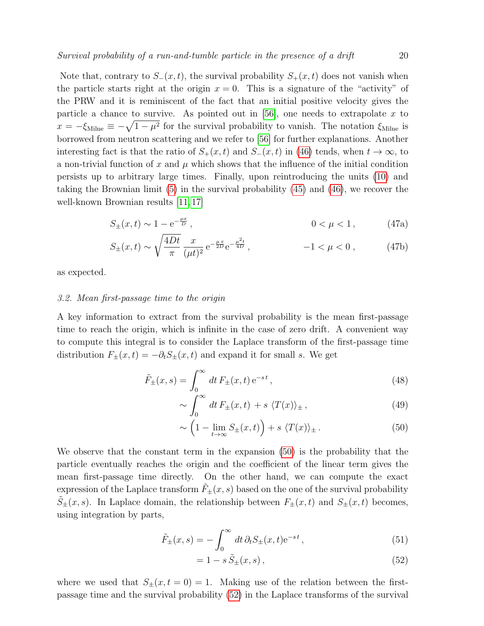Note that, contrary to  $S_-(x,t)$ , the survival probability  $S_+(x,t)$  does not vanish when the particle starts right at the origin  $x = 0$ . This is a signature of the "activity" of the PRW and it is reminiscent of the fact that an initial positive velocity gives the particle a chance to survive. As pointed out in  $[56]$ , one needs to extrapolate x to  $x = -\xi_{\text{Milne}} \equiv -\sqrt{1-\mu^2}$  for the survival probability to vanish. The notation  $\xi_{\text{Milne}}$  is borrowed from neutron scattering and we refer to [\[56\]](#page-56-24) for further explanations. Another interesting fact is that the ratio of  $S_+(x,t)$  and  $S_-(x,t)$  in [\(46\)](#page-18-2) tends, when  $t \to \infty$ , to a non-trivial function of x and  $\mu$  which shows that the influence of the initial condition persists up to arbitrary large times. Finally, upon reintroducing the units [\(10\)](#page-7-1) and taking the Brownian limit [\(5\)](#page-5-4) in the survival probability [\(45\)](#page-18-1) and [\(46\)](#page-18-2), we recover the well-known Brownian results [\[11,](#page-55-11) [17\]](#page-55-17)

$$
S_{\pm}(x,t) \sim 1 - e^{-\frac{\mu x}{D}}, \qquad 0 < \mu < 1,\tag{47a}
$$

$$
S_{\pm}(x,t) \sim \sqrt{\frac{4Dt}{\pi}} \frac{x}{(\mu t)^2} e^{-\frac{\mu x}{2D}} e^{-\frac{\mu^2 t}{4D}}, \qquad -1 < \mu < 0, \qquad (47b)
$$

as expected.

#### <span id="page-19-0"></span>3.2. Mean first-passage time to the origin

A key information to extract from the survival probability is the mean first-passage time to reach the origin, which is infinite in the case of zero drift. A convenient way to compute this integral is to consider the Laplace transform of the first-passage time distribution  $F_{\pm}(x,t) = -\partial_t S_{\pm}(x,t)$  and expand it for small s. We get

$$
\tilde{F}_{\pm}(x,s) = \int_0^\infty dt \, F_{\pm}(x,t) \, \mathrm{e}^{-st} \,, \tag{48}
$$

$$
\sim \int_0^\infty dt \, F_{\pm}(x,t) + s \, \langle T(x) \rangle_{\pm} \,, \tag{49}
$$

<span id="page-19-1"></span>
$$
\sim \left(1 - \lim_{t \to \infty} S_{\pm}(x, t)\right) + s \langle T(x) \rangle_{\pm}.
$$
 (50)

We observe that the constant term in the expansion [\(50\)](#page-19-1) is the probability that the particle eventually reaches the origin and the coefficient of the linear term gives the mean first-passage time directly. On the other hand, we can compute the exact expression of the Laplace transform  $\tilde{F}_{\pm}(x, s)$  based on the one of the survival probability  $S_{\pm}(x, s)$ . In Laplace domain, the relationship between  $F_{\pm}(x, t)$  and  $S_{\pm}(x, t)$  becomes, using integration by parts,

$$
\tilde{F}_{\pm}(x,s) = -\int_0^\infty dt \,\partial_t S_{\pm}(x,t) e^{-st},\tag{51}
$$

<span id="page-19-2"></span>
$$
= 1 - s\tilde{S}_{\pm}(x, s), \tag{52}
$$

where we used that  $S_{\pm}(x,t=0) = 1$ . Making use of the relation between the firstpassage time and the survival probability [\(52\)](#page-19-2) in the Laplace transforms of the survival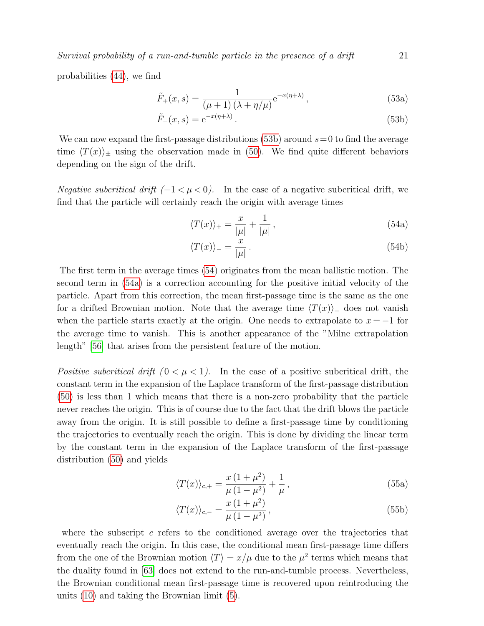probabilities [\(44\)](#page-18-4), we find

$$
\tilde{F}_{+}(x,s) = \frac{1}{(\mu + 1)(\lambda + \eta/\mu)} e^{-x(\eta + \lambda)},
$$
\n(53a)

$$
\tilde{F}_{-}(x,s) = e^{-x(\eta+\lambda)}.
$$
\n(53b)

We can now expand the first-passage distributions [\(53b\)](#page-20-1) around  $s=0$  to find the average time  $\langle T(x)\rangle_{\pm}$  using the observation made in [\(50\)](#page-19-1). We find quite different behaviors depending on the sign of the drift.

Negative subcritical drift  $(-1 < \mu < 0)$ . In the case of a negative subcritical drift, we find that the particle will certainly reach the origin with average times

$$
\langle T(x) \rangle_+ = \frac{x}{|\mu|} + \frac{1}{|\mu|},\tag{54a}
$$

$$
\langle T(x) \rangle_{-} = \frac{x}{|\mu|} \,. \tag{54b}
$$

The first term in the average times [\(54\)](#page-20-0) originates from the mean ballistic motion. The second term in [\(54a\)](#page-20-2) is a correction accounting for the positive initial velocity of the particle. Apart from this correction, the mean first-passage time is the same as the one for a drifted Brownian motion. Note that the average time  $\langle T(x)\rangle_+$  does not vanish when the particle starts exactly at the origin. One needs to extrapolate to  $x = -1$  for the average time to vanish. This is another appearance of the "Milne extrapolation length" [\[56\]](#page-56-24) that arises from the persistent feature of the motion.

Positive subcritical drift  $(0 < \mu < 1)$ . In the case of a positive subcritical drift, the constant term in the expansion of the Laplace transform of the first-passage distribution [\(50\)](#page-19-1) is less than 1 which means that there is a non-zero probability that the particle never reaches the origin. This is of course due to the fact that the drift blows the particle away from the origin. It is still possible to define a first-passage time by conditioning the trajectories to eventually reach the origin. This is done by dividing the linear term by the constant term in the expansion of the Laplace transform of the first-passage distribution [\(50\)](#page-19-1) and yields

$$
\langle T(x) \rangle_{c,+} = \frac{x(1+\mu^2)}{\mu(1-\mu^2)} + \frac{1}{\mu},\tag{55a}
$$

$$
\langle T(x) \rangle_{c,-} = \frac{x(1+\mu^2)}{\mu(1-\mu^2)},
$$
\n(55b)

where the subscript  $c$  refers to the conditioned average over the trajectories that eventually reach the origin. In this case, the conditional mean first-passage time differs from the one of the Brownian motion  $\langle T \rangle = x/\mu$  due to the  $\mu^2$  terms which means that the duality found in [\[63\]](#page-56-25) does not extend to the run-and-tumble process. Nevertheless, the Brownian conditional mean first-passage time is recovered upon reintroducing the units [\(10\)](#page-7-1) and taking the Brownian limit [\(5\)](#page-5-4).

<span id="page-20-2"></span><span id="page-20-1"></span><span id="page-20-0"></span>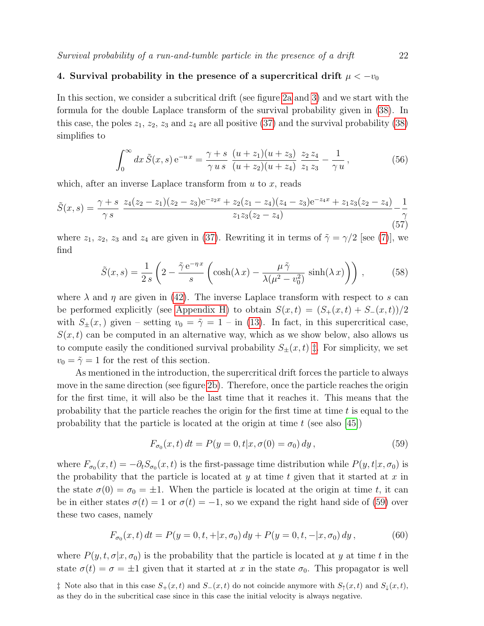# <span id="page-21-0"></span>4. Survival probability in the presence of a supercritical drift  $\mu < -v_0$

In this section, we consider a subcritical drift (see figure [2a](#page-6-3) and [3\)](#page-8-0) and we start with the formula for the double Laplace transform of the survival probability given in [\(38\)](#page-16-2). In this case, the poles  $z_1, z_2, z_3$  and  $z_4$  are all positive [\(37\)](#page-16-3) and the survival probability [\(38\)](#page-16-2) simplifies to

$$
\int_0^\infty dx \, \tilde{S}(x, s) e^{-ux} = \frac{\gamma + s}{\gamma u s} \, \frac{(u + z_1)(u + z_3)}{(u + z_2)(u + z_4)} \, \frac{z_2 z_4}{z_1 z_3} - \frac{1}{\gamma u},\tag{56}
$$

which, after an inverse Laplace transform from  $u$  to  $x$ , reads

$$
\tilde{S}(x,s) = \frac{\gamma + s}{\gamma s} \frac{z_4(z_2 - z_1)(z_2 - z_3)e^{-z_2x} + z_2(z_1 - z_4)(z_4 - z_3)e^{-z_4x} + z_1z_3(z_2 - z_4)}{z_1z_3(z_2 - z_4)} - \frac{1}{\gamma}
$$
\n(57)

where  $z_1$ ,  $z_2$ ,  $z_3$  and  $z_4$  are given in [\(37\)](#page-16-3). Rewriting it in terms of  $\tilde{\gamma} = \gamma/2$  [see [\(7\)](#page-6-2)], we find

$$
\tilde{S}(x,s) = \frac{1}{2s} \left( 2 - \frac{\tilde{\gamma} e^{-\eta x}}{s} \left( \cosh(\lambda x) - \frac{\mu \tilde{\gamma}}{\lambda(\mu^2 - v_0^2)} \sinh(\lambda x) \right) \right),\tag{58}
$$

where  $\lambda$  and  $\eta$  are given in [\(42\)](#page-17-2). The inverse Laplace transform with respect to s can be performed explicitly (see [Appendix H\)](#page-49-0) to obtain  $S(x,t) = (S_+(x,t) + S_-(x,t))/2$ with  $S_{+}(x, y)$  given – setting  $v_0 = \tilde{\gamma} = 1 - \text{in (13)}$  $v_0 = \tilde{\gamma} = 1 - \text{in (13)}$  $v_0 = \tilde{\gamma} = 1 - \text{in (13)}$ . In fact, in this supercritical case,  $S(x, t)$  can be computed in an alternative way, which as we show below, also allows us to compute easily the conditioned survival probability  $S_{\pm}(x,t) \ddagger$ . For simplicity, we set  $v_0 = \tilde{\gamma} = 1$  for the rest of this section.

As mentioned in the introduction, the supercritical drift forces the particle to always move in the same direction (see figure [2b\)](#page-6-3). Therefore, once the particle reaches the origin for the first time, it will also be the last time that it reaches it. This means that the probability that the particle reaches the origin for the first time at time  $t$  is equal to the probability that the particle is located at the origin at time  $t$  (see also [\[45\]](#page-56-17))

<span id="page-21-3"></span><span id="page-21-2"></span>
$$
F_{\sigma_0}(x,t) dt = P(y=0, t|x, \sigma(0) = \sigma_0) dy, \qquad (59)
$$

where  $F_{\sigma_0}(x,t) = -\partial_t S_{\sigma_0}(x,t)$  is the first-passage time distribution while  $P(y,t|x,\sigma_0)$  is the probability that the particle is located at  $y$  at time  $t$  given that it started at  $x$  in the state  $\sigma(0) = \sigma_0 = \pm 1$ . When the particle is located at the origin at time t, it can be in either states  $\sigma(t) = 1$  or  $\sigma(t) = -1$ , so we expand the right hand side of [\(59\)](#page-21-2) over these two cases, namely

$$
F_{\sigma_0}(x,t) dt = P(y=0,t,+|x,\sigma_0) dy + P(y=0,t,-|x,\sigma_0) dy, \qquad (60)
$$

where  $P(y, t, \sigma | x, \sigma_0)$  is the probability that the particle is located at y at time t in the state  $\sigma(t) = \sigma = \pm 1$  given that it started at x in the state  $\sigma_0$ . This propagator is well

<span id="page-21-1"></span>‡ Note also that in this case  $S_+(x,t)$  and  $S_-(x,t)$  do not coincide anymore with  $S_+(x,t)$  and  $S_+(x,t)$ , as they do in the subcritical case since in this case the initial velocity is always negative.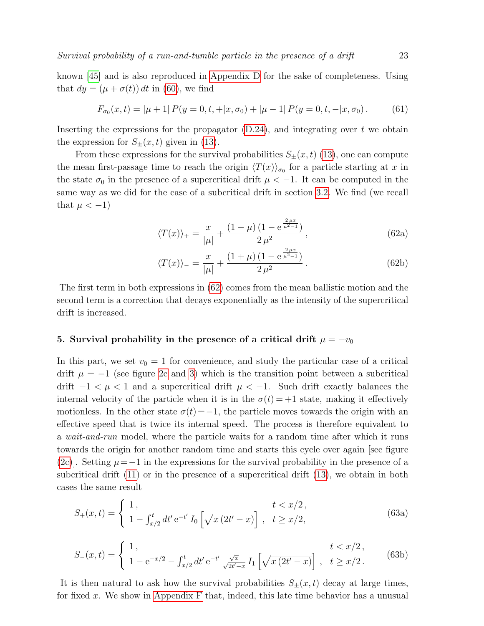known [\[45\]](#page-56-17) and is also reproduced in [Appendix D](#page-43-0) for the sake of completeness. Using that  $dy = (\mu + \sigma(t)) dt$  in [\(60\)](#page-21-3), we find

$$
F_{\sigma_0}(x,t) = |\mu + 1| P(y = 0, t, +|x, \sigma_0) + |\mu - 1| P(y = 0, t, -|x, \sigma_0). \tag{61}
$$

Inserting the expressions for the propagator  $(D.24)$ , and integrating over t we obtain the expression for  $S_{\pm}(x,t)$  given in [\(13\)](#page-9-2).

From these expressions for the survival probabilities  $S_{\pm}(x, t)$  [\(13\)](#page-9-2), one can compute the mean first-passage time to reach the origin  $\langle T(x)\rangle_{\sigma_0}$  for a particle starting at x in the state  $\sigma_0$  in the presence of a supercritical drift  $\mu < -1$ . It can be computed in the same way as we did for the case of a subcritical drift in section [3.2.](#page-19-0) We find (we recall that  $\mu < -1$ )

$$
\langle T(x) \rangle_{+} = \frac{x}{|\mu|} + \frac{(1 - \mu)(1 - e^{\frac{2\mu x}{\mu^2 - 1}})}{2\mu^2}, \tag{62a}
$$

<span id="page-22-1"></span>
$$
\langle T(x) \rangle_{-} = \frac{x}{|\mu|} + \frac{(1+\mu)(1 - e^{\frac{2\mu x}{\mu^2 - 1}})}{2\mu^2}.
$$
 (62b)

The first term in both expressions in [\(62\)](#page-22-1) comes from the mean ballistic motion and the second term is a correction that decays exponentially as the intensity of the supercritical drift is increased.

# <span id="page-22-0"></span>5. Survival probability in the presence of a critical drift  $\mu = -v_0$

In this part, we set  $v_0 = 1$  for convenience, and study the particular case of a critical drift  $\mu = -1$  (see figure [2c](#page-6-3) and [3\)](#page-8-0) which is the transition point between a subcritical drift  $-1 < \mu < 1$  and a supercritical drift  $\mu < -1$ . Such drift exactly balances the internal velocity of the particle when it is in the  $\sigma(t) = +1$  state, making it effectively motionless. In the other state  $\sigma(t)=-1$ , the particle moves towards the origin with an effective speed that is twice its internal speed. The process is therefore equivalent to a wait-and-run model, where the particle waits for a random time after which it runs towards the origin for another random time and starts this cycle over again [see figure [\(2c\)](#page-6-3)]. Setting  $\mu = -1$  in the expressions for the survival probability in the presence of a subcritical drift [\(11\)](#page-8-2) or in the presence of a supercritical drift [\(13\)](#page-9-2), we obtain in both cases the same result

<span id="page-22-2"></span>
$$
S_{+}(x,t) = \begin{cases} 1, & t < x/2, \\ 1 - \int_{x/2}^{t} dt' e^{-t'} I_0 \left[ \sqrt{x(2t'-x)} \right], & t \geq x/2, \end{cases}
$$
(63a)

<span id="page-22-3"></span>
$$
S_{-}(x,t) = \begin{cases} 1, & t < x/2, \\ 1 - e^{-x/2} - \int_{x/2}^{t} dt' e^{-t'} \frac{\sqrt{x}}{\sqrt{2t'-x}} I_1 \left[ \sqrt{x(2t'-x)} \right], & t \ge x/2. \end{cases}
$$
(63b)

It is then natural to ask how the survival probabilities  $S_{\pm}(x,t)$  decay at large times, for fixed x. We show in [Appendix F](#page-47-0) that, indeed, this late time behavior has a unusual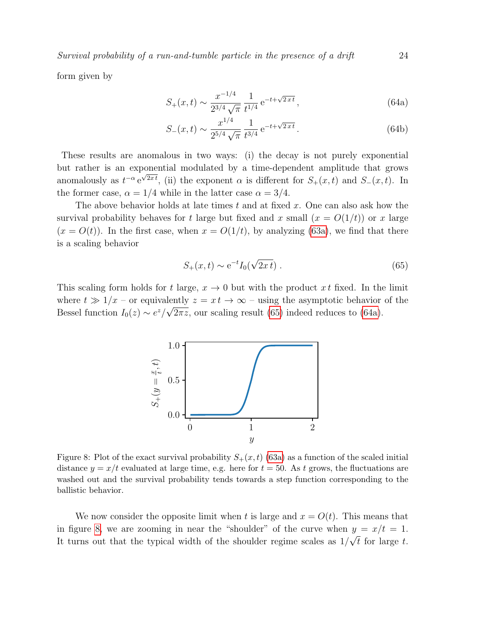form given by

$$
S_{+}(x,t) \sim \frac{x^{-1/4}}{2^{3/4}\sqrt{\pi}} \frac{1}{t^{1/4}} e^{-t + \sqrt{2xt}},
$$
\n(64a)

$$
S_{-}(x,t) \sim \frac{x^{1/4}}{2^{5/4}\sqrt{\pi}} \frac{1}{t^{3/4}} e^{-t + \sqrt{2xt}}.
$$
 (64b)

These results are anomalous in two ways: (i) the decay is not purely exponential but rather is an exponential modulated by a time-dependent amplitude that grows anomalously as  $t^{-\alpha} e^{\sqrt{2x}t}$ , (ii) the exponent  $\alpha$  is different for  $S_+(x,t)$  and  $S_-(x,t)$ . In the former case,  $\alpha = 1/4$  while in the latter case  $\alpha = 3/4$ .

The above behavior holds at late times  $t$  and at fixed  $x$ . One can also ask how the survival probability behaves for t large but fixed and x small  $(x = O(1/t))$  or x large  $(x = O(t))$ . In the first case, when  $x = O(1/t)$ , by analyzing [\(63a\)](#page-22-2), we find that there is a scaling behavior

$$
S_{+}(x,t) \sim e^{-t} I_0(\sqrt{2xt}).
$$
\n(65)

<span id="page-23-2"></span>This scaling form holds for t large,  $x \to 0$  but with the product x t fixed. In the limit where  $t \gg 1/x$  – or equivalently  $z = xt \rightarrow \infty$  – using the asymptotic behavior of the Bessel function  $I_0(z) \sim e^z/\sqrt{2\pi z}$ , our scaling result [\(65\)](#page-23-0) indeed reduces to [\(64a\)](#page-23-1).



Figure 8: Plot of the exact survival probability  $S_+(x,t)$  [\(63a\)](#page-22-2) as a function of the scaled initial distance  $y = x/t$  evaluated at large time, e.g. here for  $t = 50$ . As t grows, the fluctuations are washed out and the survival probability tends towards a step function corresponding to the ballistic behavior.

We now consider the opposite limit when t is large and  $x = O(t)$ . This means that in figure [8,](#page-23-2) we are zooming in near the "shoulder" of the curve when  $y = x/t = 1$ . It turns out that the typical width of the shoulder regime scales as  $1/\sqrt{t}$  for large t.

<span id="page-23-3"></span><span id="page-23-1"></span><span id="page-23-0"></span>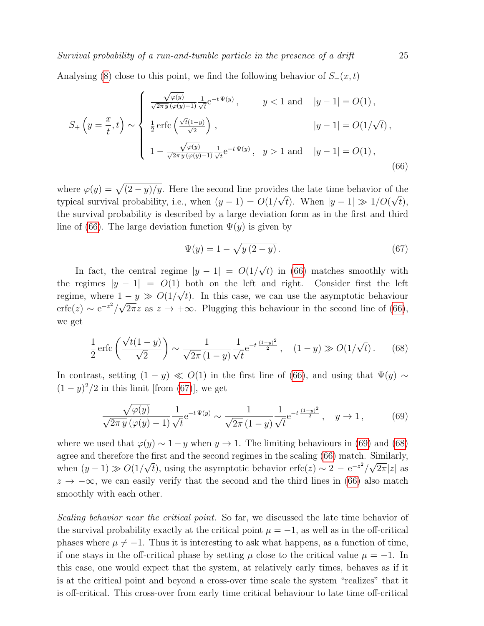Analysing [\(8\)](#page-23-2) close to this point, we find the following behavior of  $S_+(x,t)$ 

$$
S_{+}\left(y=\frac{x}{t},t\right) \sim \begin{cases} \frac{\sqrt{\varphi(y)}}{\sqrt{2\pi y}(\varphi(y)-1)}\frac{1}{\sqrt{t}}e^{-t\Psi(y)}, & y < 1 \text{ and } |y-1| = O(1), \\ \frac{1}{2}\operatorname{erfc}\left(\frac{\sqrt{t}(1-y)}{\sqrt{2}}\right), & |y-1| = O(1/\sqrt{t}), \\ 1 - \frac{\sqrt{\varphi(y)}}{\sqrt{2\pi y}(\varphi(y)-1)}\frac{1}{\sqrt{t}}e^{-t\Psi(y)}, & y > 1 \text{ and } |y-1| = O(1), \end{cases}
$$
(66)

where  $\varphi(y) = \sqrt{(2-y)/y}$ . Here the second line provides the late time behavior of the typical survival probability, i.e., when  $(y - 1) = O(1/\sqrt{t})$ . When  $|y - 1| \gg 1/O(\sqrt{t})$ , the survival probability is described by a large deviation form as in the first and third line of [\(66\)](#page-24-0). The large deviation function  $\Psi(y)$  is given by

<span id="page-24-3"></span><span id="page-24-2"></span><span id="page-24-1"></span><span id="page-24-0"></span>
$$
\Psi(y) = 1 - \sqrt{y(2 - y)}.
$$
\n(67)

In fact, the central regime  $|y - 1| = O(1/\sqrt{t})$  in [\(66\)](#page-24-0) matches smoothly with the regimes  $|y - 1| = O(1)$  both on the left and right. Consider first the left regime, where  $1 - y \gg O(1/\sqrt{t})$ . In this case, we can use the asymptotic behaviour  $\text{erfc}(z) \sim e^{-z^2}/\sqrt{2\pi}z$  as  $z \to +\infty$ . Plugging this behaviour in the second line of [\(66\)](#page-24-0), we get

$$
\frac{1}{2}\operatorname{erfc}\left(\frac{\sqrt{t}(1-y)}{\sqrt{2}}\right) \sim \frac{1}{\sqrt{2\pi}(1-y)}\frac{1}{\sqrt{t}}e^{-t\frac{(1-y)^2}{2}}, \quad (1-y) \gg O(1/\sqrt{t}).\tag{68}
$$

In contrast, setting  $(1 - y) \ll O(1)$  in the first line of [\(66\)](#page-24-0), and using that  $\Psi(y) \sim$  $(1-y)^2/2$  in this limit [from [\(67\)](#page-24-1)], we get

$$
\frac{\sqrt{\varphi(y)}}{\sqrt{2\pi y} \left(\varphi(y) - 1\right)} \frac{1}{\sqrt{t}} e^{-t \Psi(y)} \sim \frac{1}{\sqrt{2\pi} \left(1 - y\right)} \frac{1}{\sqrt{t}} e^{-t \frac{(1 - y)^2}{2}}, \quad y \to 1, \tag{69}
$$

where we used that  $\varphi(y) \sim 1 - y$  when  $y \to 1$ . The limiting behaviours in [\(69\)](#page-24-2) and [\(68\)](#page-24-3) agree and therefore the first and the second regimes in the scaling [\(66\)](#page-24-0) match. Similarly, when  $(y-1) \gg O(1/\sqrt{t})$ , using the asymptotic behavior erfc $(z) \sim 2 - e^{-z^2}/\sqrt{2\pi}|z|$  as  $z \to -\infty$ , we can easily verify that the second and the third lines in [\(66\)](#page-24-0) also match smoothly with each other.

Scaling behavior near the critical point. So far, we discussed the late time behavior of the survival probability exactly at the critical point  $\mu = -1$ , as well as in the off-critical phases where  $\mu \neq -1$ . Thus it is interesting to ask what happens, as a function of time, if one stays in the off-critical phase by setting  $\mu$  close to the critical value  $\mu = -1$ . In this case, one would expect that the system, at relatively early times, behaves as if it is at the critical point and beyond a cross-over time scale the system "realizes" that it is off-critical. This cross-over from early time critical behaviour to late time off-critical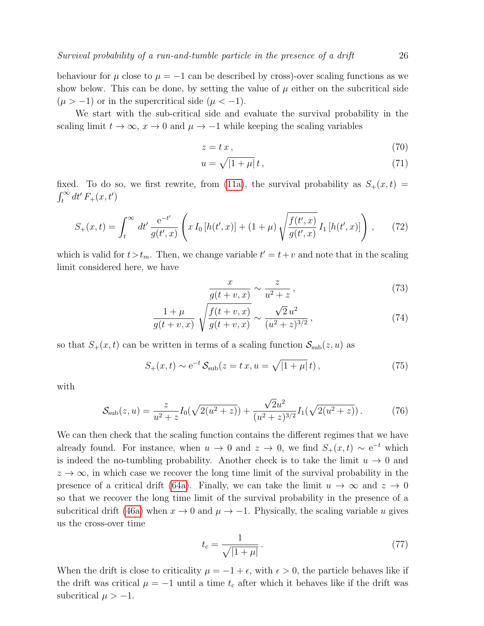behaviour for  $\mu$  close to  $\mu = -1$  can be described by cross)-over scaling functions as we show below. This can be done, by setting the value of  $\mu$  either on the subcritical side  $(\mu > -1)$  or in the supercritical side  $(\mu < -1)$ .

We start with the sub-critical side and evaluate the survival probability in the scaling limit  $t \to \infty$ ,  $x \to 0$  and  $\mu \to -1$  while keeping the scaling variables

$$
z = t x, \tag{70}
$$

$$
u = \sqrt{|1 + \mu|} t, \qquad (71)
$$

fixed. To do so, we first rewrite, from [\(11a\)](#page-8-1), the survival probability as  $S_+(x,t)$  $\int_t^\infty dt' F_+(x,t')$ 

$$
S_{+}(x,t) = \int_{t}^{\infty} dt' \frac{e^{-t'}}{g(t',x)} \left( x I_{0} \left[ h(t',x) \right] + (1+\mu) \sqrt{\frac{f(t',x)}{g(t',x)}} I_{1} \left[ h(t',x) \right] \right), \tag{72}
$$

which is valid for  $t > t_m$ . Then, we change variable  $t' = t + v$  and note that in the scaling limit considered here, we have

$$
\frac{x}{g(t+v,x)} \sim \frac{z}{u^2+z},\tag{73}
$$

$$
\frac{1+\mu}{g(t+v,x)}\sqrt{\frac{f(t+v,x)}{g(t+v,x)}} \sim \frac{\sqrt{2}u^2}{(u^2+z)^{3/2}},\tag{74}
$$

so that  $S_+(x,t)$  can be written in terms of a scaling function  $\mathcal{S}_{\text{sub}}(z,u)$  as

$$
S_{+}(x,t) \sim e^{-t} S_{\text{sub}}(z = t x, u = \sqrt{|1 + \mu|} t),
$$
 (75)

with

$$
S_{\rm sub}(z,u) = \frac{z}{u^2 + z} I_0(\sqrt{2(u^2 + z)}) + \frac{\sqrt{2}u^2}{(u^2 + z)^{3/2}} I_1(\sqrt{2(u^2 + z)})
$$
 (76)

We can then check that the scaling function contains the different regimes that we have already found. For instance, when  $u \to 0$  and  $z \to 0$ , we find  $S_+(x,t) \sim e^{-t}$  which is indeed the no-tumbling probability. Another check is to take the limit  $u \to 0$  and  $z \to \infty$ , in which case we recover the long time limit of the survival probability in the presence of a critical drift [\(64a\)](#page-23-1). Finally, we can take the limit  $u \to \infty$  and  $z \to 0$ so that we recover the long time limit of the survival probability in the presence of a subcritical drift [\(46a\)](#page-18-5) when  $x \to 0$  and  $\mu \to -1$ . Physically, the scaling variable u gives us the cross-over time

<span id="page-25-0"></span>
$$
t_c = \frac{1}{\sqrt{|1 + \mu|}}.\tag{77}
$$

When the drift is close to criticality  $\mu = -1 + \epsilon$ , with  $\epsilon > 0$ , the particle behaves like if the drift was critical  $\mu = -1$  until a time  $t_c$  after which it behaves like if the drift was subcritical  $\mu > -1$ .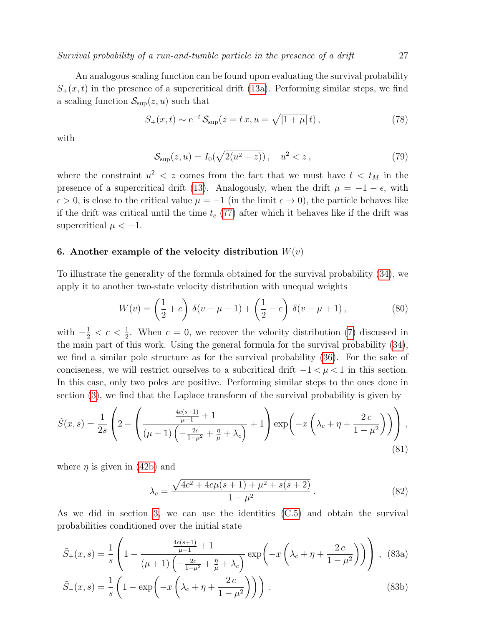An analogous scaling function can be found upon evaluating the survival probability  $S_{+}(x,t)$  in the presence of a supercritical drift [\(13a\)](#page-9-3). Performing similar steps, we find a scaling function  $\mathcal{S}_{\text{sup}}(z, u)$  such that

$$
S_{+}(x,t) \sim e^{-t} \mathcal{S}_{\text{sup}}(z = t x, u = \sqrt{|1 + \mu|} t), \qquad (78)
$$

with

$$
S_{\rm sup}(z, u) = I_0(\sqrt{2(u^2 + z)}) \,, \quad u^2 < z \,, \tag{79}
$$

where the constraint  $u^2 < z$  comes from the fact that we must have  $t < t_M$  in the presence of a supercritical drift [\(13\)](#page-9-2). Analogously, when the drift  $\mu = -1 - \epsilon$ , with  $\epsilon > 0$ , is close to the critical value  $\mu = -1$  (in the limit  $\epsilon \to 0$ ), the particle behaves like if the drift was critical until the time  $t_c$  [\(77\)](#page-25-0) after which it behaves like if the drift was supercritical  $\mu < -1$ .

# <span id="page-26-0"></span>6. Another example of the velocity distribution  $W(v)$

To illustrate the generality of the formula obtained for the survival probability [\(34\)](#page-15-5), we apply it to another two-state velocity distribution with unequal weights

<span id="page-26-1"></span>
$$
W(v) = \left(\frac{1}{2} + c\right) \delta(v - \mu - 1) + \left(\frac{1}{2} - c\right) \delta(v - \mu + 1),\tag{80}
$$

with  $-\frac{1}{2} < c < \frac{1}{2}$ . When  $c = 0$ , we recover the velocity distribution [\(7\)](#page-6-2) discussed in the main part of this work. Using the general formula for the survival probability [\(34\)](#page-15-5), we find a similar pole structure as for the survival probability [\(36\)](#page-16-1). For the sake of conciseness, we will restrict ourselves to a subcritical drift  $-1 < \mu < 1$  in this section. In this case, only two poles are positive. Performing similar steps to the ones done in section [\(3\)](#page-17-0), we find that the Laplace transform of the survival probability is given by

$$
\tilde{S}(x,s) = \frac{1}{2s} \left( 2 - \left( \frac{\frac{4c(s+1)}{\mu - 1} + 1}{(\mu + 1) \left( -\frac{2c}{1 - \mu^2} + \frac{\eta}{\mu} + \lambda_c \right)} + 1 \right) \exp\left( -x \left( \lambda_c + \eta + \frac{2c}{1 - \mu^2} \right) \right) \right),\tag{81}
$$

where  $\eta$  is given in [\(42b\)](#page-17-2) and

$$
\lambda_c = \frac{\sqrt{4c^2 + 4c\mu(s+1) + \mu^2 + s(s+2)}}{1 - \mu^2}.
$$
\n(82)

As we did in section [3,](#page-17-0) we can use the identities [\(C.5\)](#page-42-1) and obtain the survival probabilities conditioned over the initial state

$$
\tilde{S}_{+}(x,s) = \frac{1}{s} \left( 1 - \frac{\frac{4c(s+1)}{\mu - 1} + 1}{(\mu + 1) \left( -\frac{2c}{1 - \mu^{2}} + \frac{\eta}{\mu} + \lambda_{c} \right)} \exp\left( -x \left( \lambda_{c} + \eta + \frac{2c}{1 - \mu^{2}} \right) \right) \right), \tag{83a}
$$

$$
\tilde{S}_{-}(x,s) = \frac{1}{s} \left( 1 - \exp\left( -x \left( \lambda_c + \eta + \frac{2c}{1 - \mu^2} \right) \right) \right). \tag{83b}
$$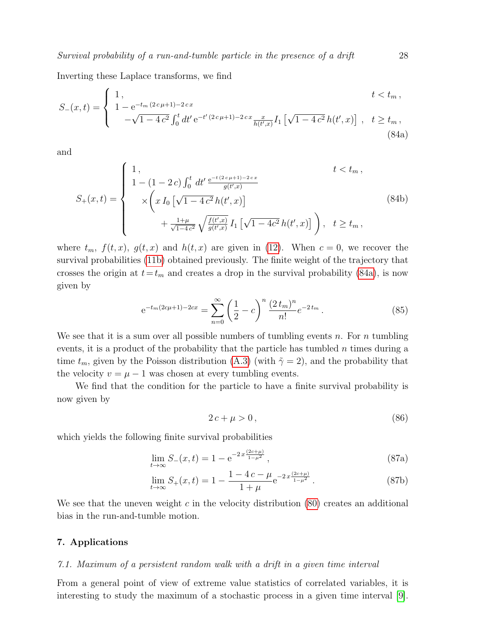Inverting these Laplace transforms, we find

$$
S_{-}(x,t) = \begin{cases} 1, & t < t_m, \\ 1 - e^{-t_m (2c\mu + 1) - 2cx} \\ -\sqrt{1 - 4c^2} \int_0^t dt' e^{-t'(2c\mu + 1) - 2cx} \frac{x}{h(t',x)} I_1 \left[ \sqrt{1 - 4c^2} h(t',x) \right], & t \ge t_m, \\ (84a) \end{cases}
$$

and

$$
S_{+}(x,t) = \begin{cases} 1, & t < t_m, \\ 1 - (1 - 2 c) \int_0^t dt' \frac{e^{-t (2 c \mu + 1) - 2 c x}}{g(t',x)} \\ \times \left( x I_0 \left[ \sqrt{1 - 4 c^2} h(t', x) \right] + \frac{1 + \mu}{\sqrt{1 - 4 c^2}} \sqrt{\frac{f(t', x)}{g(t', x)}} I_1 \left[ \sqrt{1 - 4 c^2} h(t', x) \right] \right), & t \ge t_m, \end{cases}
$$
(84b)

where  $t_m$ ,  $f(t, x)$ ,  $g(t, x)$  and  $h(t, x)$  are given in [\(12\)](#page-8-4). When  $c = 0$ , we recover the survival probabilities [\(11b\)](#page-8-2) obtained previously. The finite weight of the trajectory that crosses the origin at  $t=t_m$  and creates a drop in the survival probability [\(84a\)](#page-27-2), is now given by

<span id="page-27-2"></span>
$$
e^{-t_m(2c\mu+1)-2cx} = \sum_{n=0}^{\infty} \left(\frac{1}{2} - c\right)^n \frac{(2t_m)^n}{n!} e^{-2t_m}.
$$
 (85)

We see that it is a sum over all possible numbers of tumbling events n. For n tumbling events, it is a product of the probability that the particle has tumbled  $n$  times during a time  $t_m$ , given by the Poisson distribution [\(A.3\)](#page-39-1) (with  $\tilde{\gamma} = 2$ ), and the probability that the velocity  $v = \mu - 1$  was chosen at every tumbling events.

We find that the condition for the particle to have a finite survival probability is now given by

$$
2c + \mu > 0\tag{86}
$$

which yields the following finite survival probabilities

$$
\lim_{t \to \infty} S_{-}(x, t) = 1 - e^{-2x \frac{(2c + \mu)}{1 - \mu^2}}, \tag{87a}
$$

$$
\lim_{t \to \infty} S_+(x,t) = 1 - \frac{1 - 4c - \mu}{1 + \mu} e^{-2x \frac{(2c + \mu)}{1 - \mu^2}}.
$$
\n(87b)

We see that the uneven weight c in the velocity distribution  $(80)$  creates an additional bias in the run-and-tumble motion.

# <span id="page-27-0"></span>7. Applications

#### <span id="page-27-1"></span>7.1. Maximum of a persistent random walk with a drift in a given time interval

From a general point of view of extreme value statistics of correlated variables, it is interesting to study the maximum of a stochastic process in a given time interval [\[9\]](#page-55-8).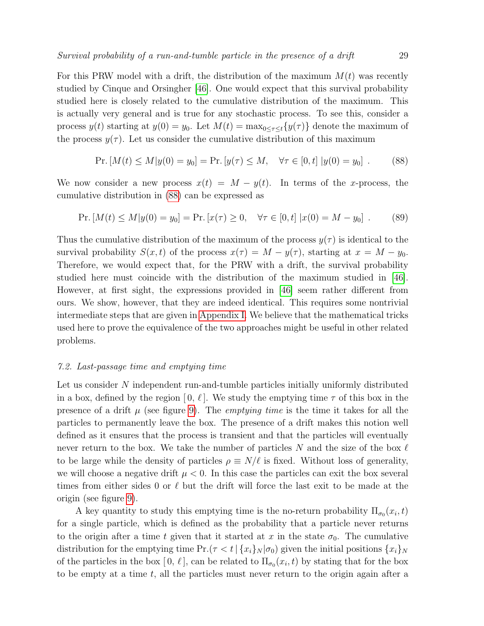For this PRW model with a drift, the distribution of the maximum  $M(t)$  was recently studied by Cinque and Orsingher [\[46\]](#page-56-18). One would expect that this survival probability studied here is closely related to the cumulative distribution of the maximum. This is actually very general and is true for any stochastic process. To see this, consider a process  $y(t)$  starting at  $y(0) = y_0$ . Let  $M(t) = \max_{0 \leq \tau \leq t} \{y(\tau)\}\)$  denote the maximum of the process  $y(\tau)$ . Let us consider the cumulative distribution of this maximum

<span id="page-28-1"></span>
$$
\Pr [M(t) \le M | y(0) = y_0] = \Pr [y(\tau) \le M, \quad \forall \tau \in [0, t] | y(0) = y_0]. \tag{88}
$$

We now consider a new process  $x(t) = M - y(t)$ . In terms of the x-process, the cumulative distribution in [\(88\)](#page-28-1) can be expressed as

<span id="page-28-2"></span>
$$
\Pr\left[M(t) \le M | y(0) = y_0\right] = \Pr\left[x(\tau) \ge 0, \quad \forall \tau \in [0, t] \mid x(0) = M - y_0\right].\tag{89}
$$

Thus the cumulative distribution of the maximum of the process  $y(\tau)$  is identical to the survival probability  $S(x,t)$  of the process  $x(\tau) = M - y(\tau)$ , starting at  $x = M - y_0$ . Therefore, we would expect that, for the PRW with a drift, the survival probability studied here must coincide with the distribution of the maximum studied in [\[46\]](#page-56-18). However, at first sight, the expressions provided in [\[46\]](#page-56-18) seem rather different from ours. We show, however, that they are indeed identical. This requires some nontrivial intermediate steps that are given in [Appendix I.](#page-51-0) We believe that the mathematical tricks used here to prove the equivalence of the two approaches might be useful in other related problems.

#### <span id="page-28-0"></span>7.2. Last-passage time and emptying time

Let us consider N independent run-and-tumble particles initially uniformly distributed in a box, defined by the region  $[0, \ell]$ . We study the emptying time  $\tau$  of this box in the presence of a drift  $\mu$  (see figure [9\)](#page-29-0). The *emptying time* is the time it takes for all the particles to permanently leave the box. The presence of a drift makes this notion well defined as it ensures that the process is transient and that the particles will eventually never return to the box. We take the number of particles N and the size of the box  $\ell$ to be large while the density of particles  $\rho \equiv N/\ell$  is fixed. Without loss of generality, we will choose a negative drift  $\mu < 0$ . In this case the particles can exit the box several times from either sides 0 or  $\ell$  but the drift will force the last exit to be made at the origin (see figure [9\)](#page-29-0).

A key quantity to study this emptying time is the no-return probability  $\Pi_{\sigma_0}(x_i, t)$ for a single particle, which is defined as the probability that a particle never returns to the origin after a time t given that it started at x in the state  $\sigma_0$ . The cumulative distribution for the emptying time  $Pr(\tau < t | \{x_i\}_N | \sigma_0)$  given the initial positions  $\{x_i\}_N$ of the particles in the box  $[0, \ell]$ , can be related to  $\Pi_{\sigma_0}(x_i, t)$  by stating that for the box to be empty at a time  $t$ , all the particles must never return to the origin again after a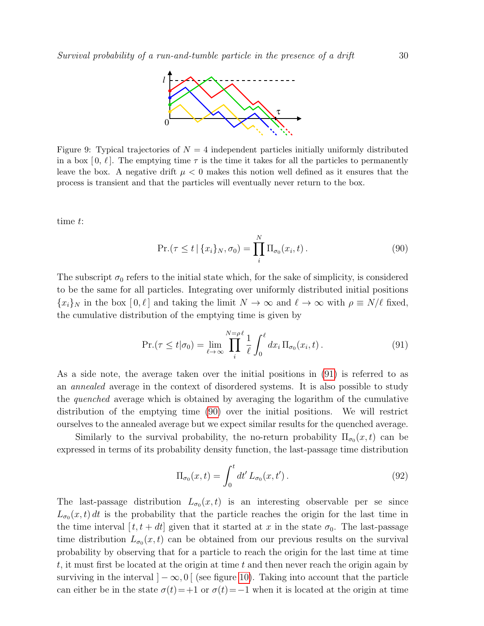

<span id="page-29-0"></span>Figure 9: Typical trajectories of  $N = 4$  independent particles initially uniformly distributed in a box [0,  $\ell$ ]. The emptying time  $\tau$  is the time it takes for all the particles to permanently leave the box. A negative drift  $\mu < 0$  makes this notion well defined as it ensures that the process is transient and that the particles will eventually never return to the box.

time t:

<span id="page-29-2"></span>
$$
\Pr(\tau \le t \mid \{x_i\}_N, \sigma_0) = \prod_i^N \Pi_{\sigma_0}(x_i, t).
$$
\n(90)

The subscript  $\sigma_0$  refers to the initial state which, for the sake of simplicity, is considered to be the same for all particles. Integrating over uniformly distributed initial positions  ${x_i}_N$  in the box  $[0, \ell]$  and taking the limit  $N \to \infty$  and  $\ell \to \infty$  with  $\rho \equiv N/\ell$  fixed, the cumulative distribution of the emptying time is given by

<span id="page-29-1"></span>
$$
\Pr.(\tau \le t | \sigma_0) = \lim_{\ell \to \infty} \prod_{i}^{N=\rho \ell} \frac{1}{\ell} \int_0^{\ell} dx_i \, \Pi_{\sigma_0}(x_i, t). \tag{91}
$$

As a side note, the average taken over the initial positions in [\(91\)](#page-29-1) is referred to as an annealed average in the context of disordered systems. It is also possible to study the quenched average which is obtained by averaging the logarithm of the cumulative distribution of the emptying time [\(90\)](#page-29-2) over the initial positions. We will restrict ourselves to the annealed average but we expect similar results for the quenched average.

Similarly to the survival probability, the no-return probability  $\Pi_{\sigma_0}(x,t)$  can be expressed in terms of its probability density function, the last-passage time distribution

$$
\Pi_{\sigma_0}(x,t) = \int_0^t dt' L_{\sigma_0}(x,t'). \tag{92}
$$

The last-passage distribution  $L_{\sigma_0}(x,t)$  is an interesting observable per se since  $L_{\sigma_0}(x,t)$  dt is the probability that the particle reaches the origin for the last time in the time interval  $[t, t + dt]$  given that it started at x in the state  $\sigma_0$ . The last-passage time distribution  $L_{\sigma_0}(x,t)$  can be obtained from our previous results on the survival probability by observing that for a particle to reach the origin for the last time at time t, it must first be located at the origin at time t and then never reach the origin again by surviving in the interval  $]-\infty,0[$  (see figure [10\)](#page-30-0). Taking into account that the particle can either be in the state  $\sigma(t)$ =+1 or  $\sigma(t)$ =−1 when it is located at the origin at time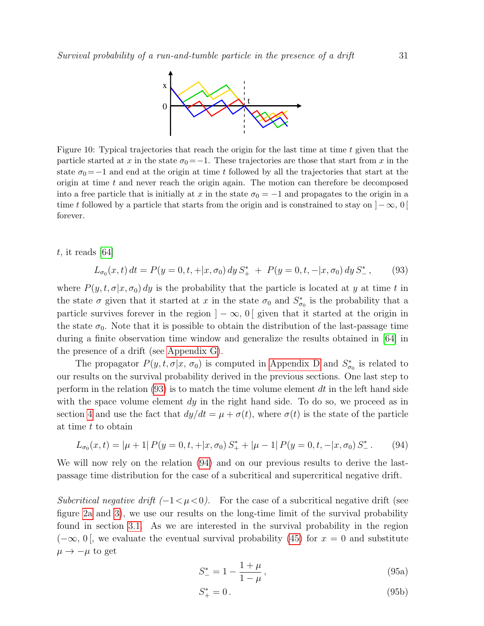

<span id="page-30-0"></span>Figure 10: Typical trajectories that reach the origin for the last time at time t given that the particle started at x in the state  $\sigma_0 = -1$ . These trajectories are those that start from x in the state  $\sigma_0 = -1$  and end at the origin at time t followed by all the trajectories that start at the origin at time  $t$  and never reach the origin again. The motion can therefore be decomposed into a free particle that is initially at x in the state  $\sigma_0 = -1$  and propagates to the origin in a time t followed by a particle that starts from the origin and is constrained to stay on  $]-\infty, 0[$ forever.

 $t$ , it reads [\[64\]](#page-56-26)

<span id="page-30-1"></span>
$$
L_{\sigma_0}(x,t) dt = P(y=0,t,+|x,\sigma_0) dy S_+^* + P(y=0,t,-|x,\sigma_0) dy S_-^*,
$$
 (93)

where  $P(y, t, \sigma | x, \sigma_0) dy$  is the probability that the particle is located at y at time t in the state  $\sigma$  given that it started at x in the state  $\sigma_0$  and  $S^*_{\sigma_0}$  is the probability that a particle survives forever in the region  $|-\infty, 0|$  given that it started at the origin in the state  $\sigma_0$ . Note that it is possible to obtain the distribution of the last-passage time during a finite observation time window and generalize the results obtained in [\[64\]](#page-56-26) in the presence of a drift (see [Appendix G\)](#page-48-0).

The propagator  $P(y, t, \sigma | x, \sigma_0)$  is computed in [Appendix D](#page-43-0) and  $S^*_{\sigma_0}$  is related to our results on the survival probability derived in the previous sections. One last step to perform in the relation  $(93)$  is to match the time volume element dt in the left hand side with the space volume element  $dy$  in the right hand side. To do so, we proceed as in section [4](#page-21-0) and use the fact that  $dy/dt = \mu + \sigma(t)$ , where  $\sigma(t)$  is the state of the particle at time t to obtain

$$
L_{\sigma_0}(x,t) = |\mu + 1| P(y = 0, t, + |x, \sigma_0) S_+^* + |\mu - 1| P(y = 0, t, - |x, \sigma_0) S_-^*.
$$
 (94)

We will now rely on the relation [\(94\)](#page-30-2) and on our previous results to derive the lastpassage time distribution for the case of a subcritical and supercritical negative drift.

Subcritical negative drift  $(-1 < \mu < 0)$ . For the case of a subcritical negative drift (see figure [2a](#page-6-3) and [3\)](#page-8-0), we use our results on the long-time limit of the survival probability found in section [3.1.](#page-18-0) As we are interested in the survival probability in the region  $(-\infty, 0]$ , we evaluate the eventual survival probability [\(45\)](#page-18-1) for  $x = 0$  and substitute  $\mu \rightarrow -\mu$  to get

<span id="page-30-2"></span>
$$
S_{-}^{*} = 1 - \frac{1 + \mu}{1 - \mu},
$$
\n(95a)

$$
S_+^* = 0. \t\t(95b)
$$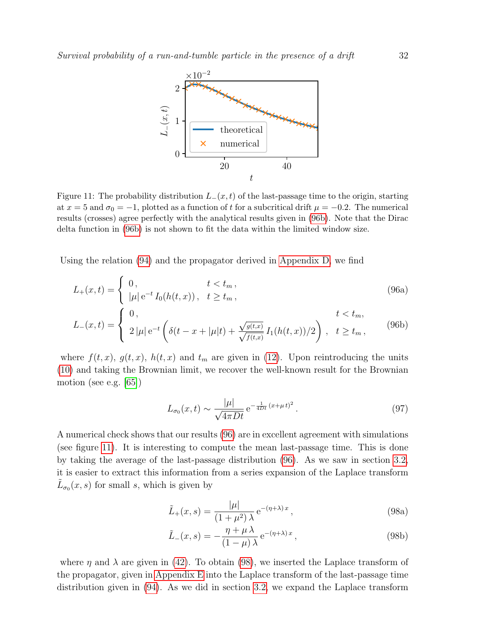<span id="page-31-1"></span>

Figure 11: The probability distribution  $L_-(x,t)$  of the last-passage time to the origin, starting at  $x = 5$  and  $\sigma_0 = -1$ , plotted as a function of t for a subcritical drift  $\mu = -0.2$ . The numerical results (crosses) agree perfectly with the analytical results given in [\(96b\)](#page-31-0). Note that the Dirac delta function in [\(96b\)](#page-31-0) is not shown to fit the data within the limited window size.

Using the relation [\(94\)](#page-30-2) and the propagator derived in [Appendix D,](#page-43-0) we find

$$
L_{+}(x,t) = \begin{cases} 0, & t < t_m, \\ |\mu| e^{-t} I_0(h(t,x)), & t \ge t_m, \end{cases}
$$
 (96a)  

$$
\begin{cases} 0, & t < t_m, \\ 0, & t < t_m, \end{cases}
$$

$$
L_{-}(x,t) = \begin{cases} 0, & t < t_m, \\ 2|\mu| e^{-t} \left( \delta(t - x + |\mu|t) + \frac{\sqrt{g(t,x)}}{\sqrt{f(t,x)}} I_1(h(t,x))/2 \right), & t \ge t_m, \end{cases}
$$
(96b)

where  $f(t, x)$ ,  $g(t, x)$ ,  $h(t, x)$  and  $t_m$  are given in [\(12\)](#page-8-4). Upon reintroducing the units [\(10\)](#page-7-1) and taking the Brownian limit, we recover the well-known result for the Brownian motion (see e.g. [\[65\]](#page-56-27))

<span id="page-31-0"></span>
$$
L_{\sigma_0}(x,t) \sim \frac{|\mu|}{\sqrt{4\pi Dt}} e^{-\frac{1}{4Dt}(x+\mu t)^2}.
$$
 (97)

A numerical check shows that our results [\(96\)](#page-31-0) are in excellent agreement with simulations (see figure [11\)](#page-31-1). It is interesting to compute the mean last-passage time. This is done by taking the average of the last-passage distribution [\(96\)](#page-31-0). As we saw in section [3.2,](#page-19-0) it is easier to extract this information from a series expansion of the Laplace transform  $\tilde{L}_{\sigma_0}(x, s)$  for small s, which is given by

$$
\tilde{L}_{+}(x,s) = \frac{|\mu|}{(1+\mu^2)\,\lambda} \,\mathrm{e}^{-(\eta+\lambda)\,x},\tag{98a}
$$

<span id="page-31-2"></span>
$$
\tilde{L}_{-}(x,s) = -\frac{\eta + \mu \lambda}{(1-\mu)\lambda} e^{-(\eta+\lambda)x}, \qquad (98b)
$$

where  $\eta$  and  $\lambda$  are given in [\(42\)](#page-17-2). To obtain [\(98\)](#page-31-2), we inserted the Laplace transform of the propagator, given in [Appendix E](#page-46-0) into the Laplace transform of the last-passage time distribution given in [\(94\)](#page-30-2). As we did in section [3.2,](#page-19-0) we expand the Laplace transform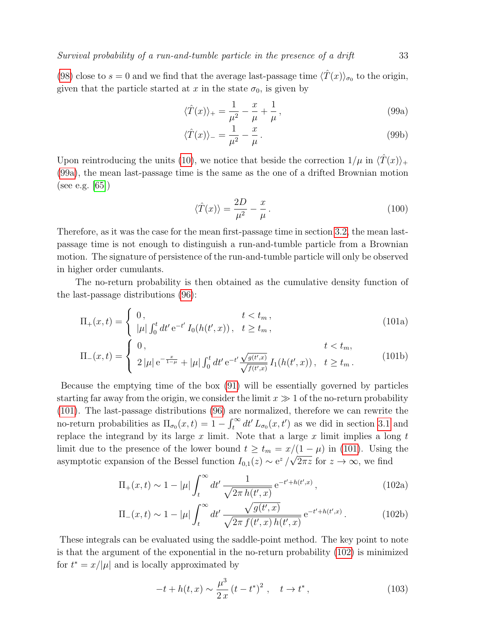[\(98\)](#page-31-2) close to  $s = 0$  and we find that the average last-passage time  $\langle \hat{T}(x) \rangle_{\sigma_0}$  to the origin, given that the particle started at x in the state  $\sigma_0$ , is given by

<span id="page-32-0"></span>
$$
\langle \hat{T}(x) \rangle_{+} = \frac{1}{\mu^2} - \frac{x}{\mu} + \frac{1}{\mu},\tag{99a}
$$

$$
\langle \hat{T}(x) \rangle_{-} = \frac{1}{\mu^2} - \frac{x}{\mu} \,. \tag{99b}
$$

Upon reintroducing the units [\(10\)](#page-7-1), we notice that beside the correction  $1/\mu$  in  $\langle \hat{T}(x) \rangle_+$ [\(99a\)](#page-32-0), the mean last-passage time is the same as the one of a drifted Brownian motion (see e.g. [\[65\]](#page-56-27))

<span id="page-32-1"></span>
$$
\langle \hat{T}(x) \rangle = \frac{2D}{\mu^2} - \frac{x}{\mu} \,. \tag{100}
$$

Therefore, as it was the case for the mean first-passage time in section [3.2,](#page-19-0) the mean lastpassage time is not enough to distinguish a run-and-tumble particle from a Brownian motion. The signature of persistence of the run-and-tumble particle will only be observed in higher order cumulants.

The no-return probability is then obtained as the cumulative density function of the last-passage distributions [\(96\)](#page-31-0):

$$
\Pi_{+}(x,t) = \begin{cases} 0, & t < t_m, \\ |\mu| \int_0^t dt' e^{-t'} I_0(h(t',x)), & t \ge t_m, \end{cases}
$$
\n(101a)

$$
\Pi_{-}(x,t) = \begin{cases} 0, & t < t_m, \\ 2|\mu| e^{-\frac{x}{1-\mu}} + |\mu| \int_0^t dt' e^{-t'} \frac{\sqrt{g(t',x)}}{\sqrt{f(t',x)}} I_1(h(t',x)), & t \ge t_m. \end{cases}
$$
(101b)

Because the emptying time of the box [\(91\)](#page-29-1) will be essentially governed by particles starting far away from the origin, we consider the limit  $x \gg 1$  of the no-return probability [\(101\)](#page-32-1). The last-passage distributions [\(96\)](#page-31-0) are normalized, therefore we can rewrite the no-return probabilities as  $\Pi_{\sigma_0}(x,t) = 1 - \int_t^{\infty} dt' L_{\sigma_0}(x,t')$  as we did in section [3.1](#page-18-0) and replace the integrand by its large  $x$  limit. Note that a large  $x$  limit implies a long  $t$ limit due to the presence of the lower bound  $t \geq t_m = x/(1 - \mu)$  in [\(101\)](#page-32-1). Using the asymptotic expansion of the Bessel function  $I_{0,1}(z) \sim e^z/\sqrt{2\pi z}$  for  $z \to \infty$ , we find

$$
\Pi_{+}(x,t) \sim 1 - |\mu| \int_{t}^{\infty} dt' \frac{1}{\sqrt{2\pi h(t',x)}} e^{-t' + h(t',x)}, \qquad (102a)
$$

$$
\Pi_{-}(x,t) \sim 1 - |\mu| \int_{t}^{\infty} dt' \frac{\sqrt{g(t',x)}}{\sqrt{2\pi f(t',x)h(t',x)}} e^{-t'+h(t',x)}.
$$
 (102b)

These integrals can be evaluated using the saddle-point method. The key point to note is that the argument of the exponential in the no-return probability [\(102\)](#page-32-2) is minimized for  $t^* = x/|\mu|$  and is locally approximated by

<span id="page-32-2"></span>
$$
-t + h(t, x) \sim \frac{\mu^3}{2x} (t - t^*)^2 , \quad t \to t^* ,
$$
 (103)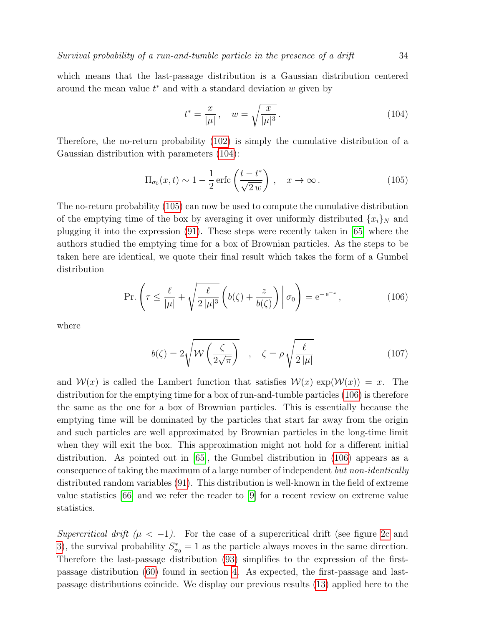which means that the last-passage distribution is a Gaussian distribution centered around the mean value  $t^*$  and with a standard deviation  $w$  given by

<span id="page-33-1"></span><span id="page-33-0"></span>
$$
t^* = \frac{x}{|\mu|}, \quad w = \sqrt{\frac{x}{|\mu|^3}}.
$$
 (104)

Therefore, the no-return probability [\(102\)](#page-32-2) is simply the cumulative distribution of a Gaussian distribution with parameters [\(104\)](#page-33-0):

$$
\Pi_{\sigma_0}(x,t) \sim 1 - \frac{1}{2} \operatorname{erfc}\left(\frac{t - t^*}{\sqrt{2w}}\right), \quad x \to \infty.
$$
 (105)

The no-return probability [\(105\)](#page-33-1) can now be used to compute the cumulative distribution of the emptying time of the box by averaging it over uniformly distributed  $\{x_i\}_N$  and plugging it into the expression [\(91\)](#page-29-1). These steps were recently taken in [\[65\]](#page-56-27) where the authors studied the emptying time for a box of Brownian particles. As the steps to be taken here are identical, we quote their final result which takes the form of a Gumbel distribution

$$
\Pr\left(\tau \le \frac{\ell}{|\mu|} + \sqrt{\frac{\ell}{2|\mu|^3}} \left(b(\zeta) + \frac{z}{b(\zeta)}\right) \middle| \sigma_0\right) = e^{-e^{-z}},\tag{106}
$$

where

<span id="page-33-2"></span>
$$
b(\zeta) = 2\sqrt{\mathcal{W}\left(\frac{\zeta}{2\sqrt{\pi}}\right)} \quad , \quad \zeta = \rho \sqrt{\frac{\ell}{2\left|\mu\right|}} \tag{107}
$$

and  $\mathcal{W}(x)$  is called the Lambert function that satisfies  $\mathcal{W}(x)$  exp $(\mathcal{W}(x)) = x$ . The distribution for the emptying time for a box of run-and-tumble particles [\(106\)](#page-33-2) is therefore the same as the one for a box of Brownian particles. This is essentially because the emptying time will be dominated by the particles that start far away from the origin and such particles are well approximated by Brownian particles in the long-time limit when they will exit the box. This approximation might not hold for a different initial distribution. As pointed out in [\[65\]](#page-56-27), the Gumbel distribution in [\(106\)](#page-33-2) appears as a consequence of taking the maximum of a large number of independent but non-identically distributed random variables [\(91\)](#page-29-1). This distribution is well-known in the field of extreme value statistics [\[66\]](#page-56-28) and we refer the reader to [\[9\]](#page-55-8) for a recent review on extreme value statistics.

Supercritical drift  $(\mu < -1)$ . For the case of a supercritical drift (see figure [2c](#page-6-3) and [3\)](#page-8-0), the survival probability  $S_{\sigma_0}^* = 1$  as the particle always moves in the same direction. Therefore the last-passage distribution [\(93\)](#page-30-1) simplifies to the expression of the firstpassage distribution [\(60\)](#page-21-3) found in section [4.](#page-21-0) As expected, the first-passage and lastpassage distributions coincide. We display our previous results [\(13\)](#page-9-2) applied here to the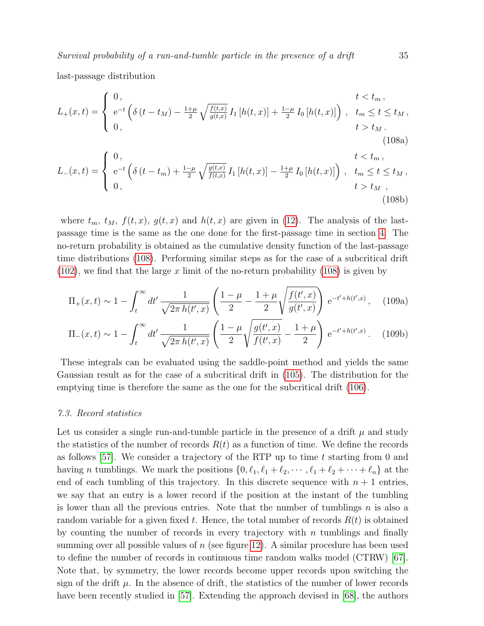last-passage distribution

$$
L_{+}(x,t) = \begin{cases} 0, & t < t_m, \\ e^{-t} \left( \delta(t - t_M) - \frac{1 + \mu}{2} \sqrt{\frac{f(t,x)}{g(t,x)}} I_1 \left[ h(t,x) \right] + \frac{1 - \mu}{2} I_0 \left[ h(t,x) \right] \right), & t_m \le t \le t_M, \\ 0, & t > t_M. \end{cases}
$$
\n(108a)

$$
L_{-}(x,t) = \begin{cases} 0, & t < t_m, \\ e^{-t} \left( \delta(t - t_m) + \frac{1 - \mu}{2} \sqrt{\frac{g(t,x)}{f(t,x)}} I_1 \left[ h(t,x) \right] - \frac{1 + \mu}{2} I_0 \left[ h(t,x) \right] \right), & t_m \le t \le t_M, \\ 0, & t > t_M, \end{cases}
$$
(108b)

<span id="page-34-1"></span>where  $t_m$ ,  $t_M$ ,  $f(t, x)$ ,  $g(t, x)$  and  $h(t, x)$  are given in [\(12\)](#page-8-4). The analysis of the lastpassage time is the same as the one done for the first-passage time in section [4.](#page-21-0) The no-return probability is obtained as the cumulative density function of the last-passage time distributions [\(108\)](#page-34-1). Performing similar steps as for the case of a subcritical drift  $(102)$ , we find that the large x limit of the no-return probability  $(108)$  is given by

$$
\Pi_{+}(x,t) \sim 1 - \int_{t}^{\infty} dt' \frac{1}{\sqrt{2\pi h(t',x)}} \left( \frac{1-\mu}{2} - \frac{1+\mu}{2} \sqrt{\frac{f(t',x)}{g(t',x)}} \right) e^{-t'+h(t',x)}, \quad (109a)
$$

$$
\Pi_{-}(x,t) \sim 1 - \int_{t}^{\infty} dt' \frac{1}{\sqrt{2\pi h(t',x)}} \left( \frac{1-\mu}{2} \sqrt{\frac{g(t',x)}{f(t',x)}} - \frac{1+\mu}{2} \right) e^{-t'+h(t',x)}.
$$
 (109b)

These integrals can be evaluated using the saddle-point method and yields the same Gaussian result as for the case of a subcritical drift in [\(105\)](#page-33-1). The distribution for the emptying time is therefore the same as the one for the subcritical drift [\(106\)](#page-33-2).

#### <span id="page-34-0"></span>7.3. Record statistics

Let us consider a single run-and-tumble particle in the presence of a drift  $\mu$  and study the statistics of the number of records  $R(t)$  as a function of time. We define the records as follows [\[57\]](#page-56-14). We consider a trajectory of the RTP up to time  $t$  starting from 0 and having *n* tumblings. We mark the positions  $\{0, \ell_1, \ell_1 + \ell_2, \cdots, \ell_1 + \ell_2 + \cdots + \ell_n\}$  at the end of each tumbling of this trajectory. In this discrete sequence with  $n + 1$  entries, we say that an entry is a lower record if the position at the instant of the tumbling is lower than all the previous entries. Note that the number of tumblings  $n$  is also a random variable for a given fixed t. Hence, the total number of records  $R(t)$  is obtained by counting the number of records in every trajectory with  $n$  tumblings and finally summing over all possible values of  $n$  (see figure [12\)](#page-35-0). A similar procedure has been used to define the number of records in continuous time random walks model (CTRW) [\[67\]](#page-56-29). Note that, by symmetry, the lower records become upper records upon switching the sign of the drift  $\mu$ . In the absence of drift, the statistics of the number of lower records have been recently studied in [\[57\]](#page-56-14). Extending the approach devised in [\[68\]](#page-56-30), the authors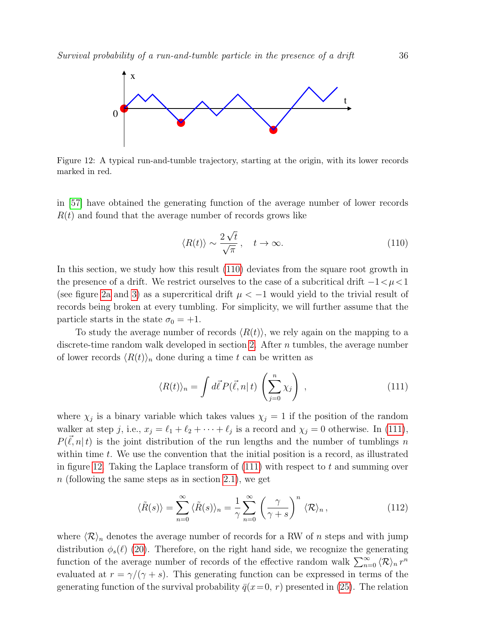<span id="page-35-0"></span>

Figure 12: A typical run-and-tumble trajectory, starting at the origin, with its lower records marked in red.

in [\[57\]](#page-56-14) have obtained the generating function of the average number of lower records  $R(t)$  and found that the average number of records grows like

<span id="page-35-1"></span>
$$
\langle R(t) \rangle \sim \frac{2\sqrt{t}}{\sqrt{\pi}}, \quad t \to \infty. \tag{110}
$$

In this section, we study how this result  $(110)$  deviates from the square root growth in the presence of a drift. We restrict ourselves to the case of a subcritical drift  $-1 < \mu < 1$ (see figure [2a](#page-6-3) and [3\)](#page-8-0) as a supercritical drift  $\mu < -1$  would yield to the trivial result of records being broken at every tumbling. For simplicity, we will further assume that the particle starts in the state  $\sigma_0 = +1$ .

To study the average number of records  $\langle R(t) \rangle$ , we rely again on the mapping to a discrete-time random walk developed in section [2.](#page-11-0) After n tumbles, the average number of lower records  $\langle R(t)\rangle_n$  done during a time t can be written as

<span id="page-35-2"></span>
$$
\langle R(t) \rangle_n = \int d\vec{\ell} P(\vec{\ell}, n | t) \left( \sum_{j=0}^n \chi_j \right) , \qquad (111)
$$

where  $\chi_j$  is a binary variable which takes values  $\chi_j = 1$  if the position of the random walker at step j, i.e.,  $x_j = \ell_1 + \ell_2 + \cdots + \ell_j$  is a record and  $\chi_j = 0$  otherwise. In [\(111\)](#page-35-2),  $P(\vec{\ell}, n | t)$  is the joint distribution of the run lengths and the number of tumblings n within time  $t$ . We use the convention that the initial position is a record, as illustrated in figure [12.](#page-35-0) Taking the Laplace transform of  $(111)$  with respect to t and summing over n (following the same steps as in section [2.1\)](#page-11-1), we get

$$
\langle \tilde{R}(s) \rangle = \sum_{n=0}^{\infty} \langle \tilde{R}(s) \rangle_n = \frac{1}{\gamma} \sum_{n=0}^{\infty} \left( \frac{\gamma}{\gamma + s} \right)^n \langle \mathcal{R} \rangle_n, \tag{112}
$$

where  $\langle \mathcal{R} \rangle_n$  denotes the average number of records for a RW of n steps and with jump distribution  $\phi_s(\ell)$  [\(20\)](#page-13-1). Therefore, on the right hand side, we recognize the generating function of the average number of records of the effective random walk  $\sum_{n=0}^{\infty} \langle \mathcal{R} \rangle_n r^n$ evaluated at  $r = \gamma/(\gamma + s)$ . This generating function can be expressed in terms of the generating function of the survival probability  $\bar{q}(x=0, r)$  presented in [\(25\)](#page-14-3). The relation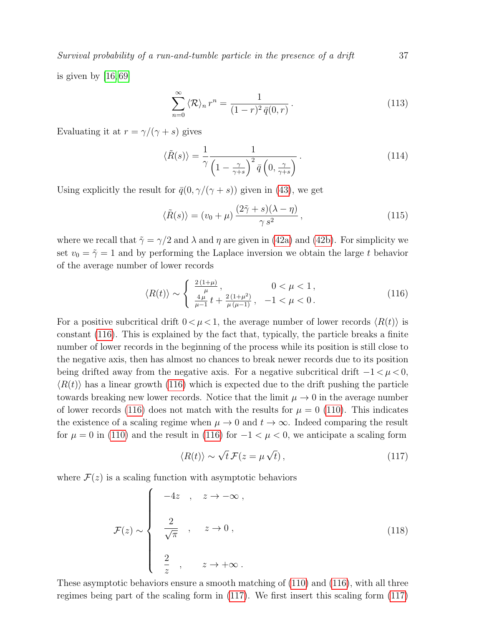is given by [\[16,](#page-55-12) [69\]](#page-56-31)

$$
\sum_{n=0}^{\infty} \langle \mathcal{R} \rangle_n r^n = \frac{1}{(1-r)^2 \bar{q}(0,r)}.
$$
\n(113)

Evaluating it at  $r = \gamma/(\gamma + s)$  gives

$$
\langle \tilde{R}(s) \rangle = \frac{1}{\gamma} \frac{1}{\left(1 - \frac{\gamma}{\gamma + s}\right)^2 \bar{q} \left(0, \frac{\gamma}{\gamma + s}\right)}.
$$
\n(114)

Using explicitly the result for  $\bar{q}(0, \gamma/(\gamma + s))$  given in [\(43\)](#page-17-4), we get

$$
\langle \tilde{R}(s) \rangle = (v_0 + \mu) \frac{(2\tilde{\gamma} + s)(\lambda - \eta)}{\gamma s^2}, \qquad (115)
$$

where we recall that  $\tilde{\gamma} = \gamma/2$  and  $\lambda$  and  $\eta$  are given in [\(42a\)](#page-17-3) and [\(42b\)](#page-17-2). For simplicity we set  $v_0 = \tilde{\gamma} = 1$  and by performing the Laplace inversion we obtain the large t behavior of the average number of lower records

$$
\langle R(t) \rangle \sim \begin{cases} \frac{2(1+\mu)}{\mu}, & 0 < \mu < 1, \\ \frac{4\mu}{\mu-1}t + \frac{2(1+\mu^2)}{\mu(\mu-1)}, & -1 < \mu < 0. \end{cases}
$$
 (116)

For a positive subcritical drift  $0 < \mu < 1$ , the average number of lower records  $\langle R(t) \rangle$  is constant [\(116\)](#page-36-0). This is explained by the fact that, typically, the particle breaks a finite number of lower records in the beginning of the process while its position is still close to the negative axis, then has almost no chances to break newer records due to its position being drifted away from the negative axis. For a negative subcritical drift  $-1 < \mu < 0$ ,  $\langle R(t) \rangle$  has a linear growth [\(116\)](#page-36-0) which is expected due to the drift pushing the particle towards breaking new lower records. Notice that the limit  $\mu \to 0$  in the average number of lower records [\(116\)](#page-36-0) does not match with the results for  $\mu = 0$  [\(110\)](#page-35-1). This indicates the existence of a scaling regime when  $\mu \to 0$  and  $t \to \infty$ . Indeed comparing the result for  $\mu = 0$  in [\(110\)](#page-35-1) and the result in [\(116\)](#page-36-0) for  $-1 < \mu < 0$ , we anticipate a scaling form

<span id="page-36-1"></span>
$$
\langle R(t) \rangle \sim \sqrt{t} \, \mathcal{F}(z = \mu \sqrt{t}) \,, \tag{117}
$$

where  $\mathcal{F}(z)$  is a scaling function with asymptotic behaviors

<span id="page-36-2"></span>
$$
\mathcal{F}(z) \sim \begin{cases}\n-4z, & z \to -\infty, \\
\frac{2}{\sqrt{\pi}}, & z \to 0, \\
\frac{2}{z}, & z \to +\infty.\n\end{cases}
$$
\n(118)

These asymptotic behaviors ensure a smooth matching of [\(110\)](#page-35-1) and [\(116\)](#page-36-0), with all three regimes being part of the scaling form in [\(117\)](#page-36-1). We first insert this scaling form [\(117\)](#page-36-1)

<span id="page-36-3"></span><span id="page-36-0"></span>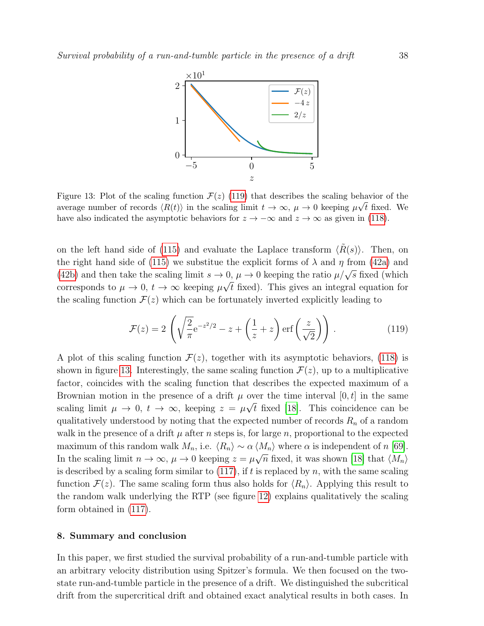<span id="page-37-2"></span>

Figure 13: Plot of the scaling function  $\mathcal{F}(z)$  [\(119\)](#page-37-1) that describes the scaling behavior of the average number of records  $\langle R(t) \rangle$  in the scaling limit  $t \to \infty$ ,  $\mu \to 0$  keeping  $\mu \sqrt{t}$  fixed. We have also indicated the asymptotic behaviors for  $z \to -\infty$  and  $z \to \infty$  as given in [\(118\)](#page-36-2).

on the left hand side of [\(115\)](#page-36-3) and evaluate the Laplace transform  $\langle R(s) \rangle$ . Then, on the right hand side of [\(115\)](#page-36-3) we substitue the explicit forms of  $\lambda$  and  $\eta$  from [\(42a\)](#page-17-3) and [\(42b\)](#page-17-2) and then take the scaling limit  $s \to 0$ ,  $\mu \to 0$  keeping the ratio  $\mu/\sqrt{s}$  fixed (which corresponds to  $\mu \to 0$ ,  $t \to \infty$  keeping  $\mu \sqrt{t}$  fixed). This gives an integral equation for the scaling function  $\mathcal{F}(z)$  which can be fortunately inverted explicitly leading to

<span id="page-37-1"></span>
$$
\mathcal{F}(z) = 2\left(\sqrt{\frac{2}{\pi}}e^{-z^2/2} - z + \left(\frac{1}{z} + z\right) \text{erf}\left(\frac{z}{\sqrt{2}}\right)\right). \tag{119}
$$

A plot of this scaling function  $\mathcal{F}(z)$ , together with its asymptotic behaviors, [\(118\)](#page-36-2) is shown in figure [13.](#page-37-2) Interestingly, the same scaling function  $\mathcal{F}(z)$ , up to a multiplicative factor, coincides with the scaling function that describes the expected maximum of a Brownian motion in the presence of a drift  $\mu$  over the time interval [0, t] in the same scaling limit  $\mu \to 0$ ,  $t \to \infty$ , keeping  $z = \mu \sqrt{t}$  fixed [\[18\]](#page-55-18). This coincidence can be qualitatively understood by noting that the expected number of records  $R_n$  of a random walk in the presence of a drift  $\mu$  after n steps is, for large n, proportional to the expected maximum of this random walk  $M_n$ , i.e.  $\langle R_n \rangle \sim \alpha \langle M_n \rangle$  where  $\alpha$  is independent of n [\[69\]](#page-56-31). In the scaling limit  $n \to \infty$ ,  $\mu \to 0$  keeping  $z = \mu \sqrt{n}$  fixed, it was shown [\[18\]](#page-55-18) that  $\langle M_n \rangle$ is described by a scaling form similar to  $(117)$ , if t is replaced by n, with the same scaling function  $\mathcal{F}(z)$ . The same scaling form thus also holds for  $\langle R_n \rangle$ . Applying this result to the random walk underlying the RTP (see figure [12\)](#page-35-0) explains qualitatively the scaling form obtained in [\(117\)](#page-36-1).

#### <span id="page-37-0"></span>8. Summary and conclusion

In this paper, we first studied the survival probability of a run-and-tumble particle with an arbitrary velocity distribution using Spitzer's formula. We then focused on the twostate run-and-tumble particle in the presence of a drift. We distinguished the subcritical drift from the supercritical drift and obtained exact analytical results in both cases. In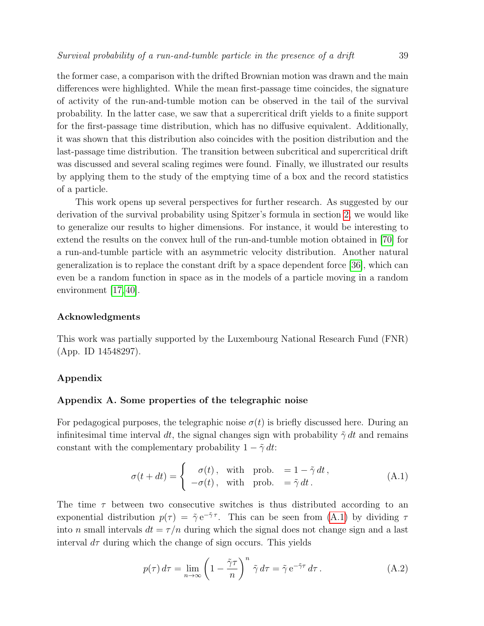the former case, a comparison with the drifted Brownian motion was drawn and the main differences were highlighted. While the mean first-passage time coincides, the signature of activity of the run-and-tumble motion can be observed in the tail of the survival probability. In the latter case, we saw that a supercritical drift yields to a finite support for the first-passage time distribution, which has no diffusive equivalent. Additionally, it was shown that this distribution also coincides with the position distribution and the last-passage time distribution. The transition between subcritical and supercritical drift was discussed and several scaling regimes were found. Finally, we illustrated our results by applying them to the study of the emptying time of a box and the record statistics of a particle.

This work opens up several perspectives for further research. As suggested by our derivation of the survival probability using Spitzer's formula in section [2,](#page-11-0) we would like to generalize our results to higher dimensions. For instance, it would be interesting to extend the results on the convex hull of the run-and-tumble motion obtained in [\[70\]](#page-56-32) for a run-and-tumble particle with an asymmetric velocity distribution. Another natural generalization is to replace the constant drift by a space dependent force [\[36\]](#page-56-33), which can even be a random function in space as in the models of a particle moving in a random environment [\[17,](#page-55-17) [40\]](#page-56-8).

# Acknowledgments

This work was partially supported by the Luxembourg National Research Fund (FNR) (App. ID 14548297).

# Appendix

# <span id="page-38-0"></span>Appendix A. Some properties of the telegraphic noise

For pedagogical purposes, the telegraphic noise  $\sigma(t)$  is briefly discussed here. During an infinitesimal time interval dt, the signal changes sign with probability  $\tilde{\gamma}$  dt and remains constant with the complementary probability  $1 - \tilde{\gamma} dt$ :

<span id="page-38-1"></span>
$$
\sigma(t+dt) = \begin{cases}\n\sigma(t), & \text{with prob. } = 1 - \tilde{\gamma} dt, \\
-\sigma(t), & \text{with prob. } = \tilde{\gamma} dt.\n\end{cases}
$$
\n(A.1)

The time  $\tau$  between two consecutive switches is thus distributed according to an exponential distribution  $p(\tau) = \tilde{\gamma} e^{-\tilde{\gamma}\tau}$ . This can be seen from [\(A.1\)](#page-38-1) by dividing  $\tau$ into n small intervals  $dt = \tau/n$  during which the signal does not change sign and a last interval  $d\tau$  during which the change of sign occurs. This yields

$$
p(\tau) d\tau = \lim_{n \to \infty} \left( 1 - \frac{\tilde{\gamma}\tau}{n} \right)^n \tilde{\gamma} d\tau = \tilde{\gamma} e^{-\tilde{\gamma}\tau} d\tau.
$$
 (A.2)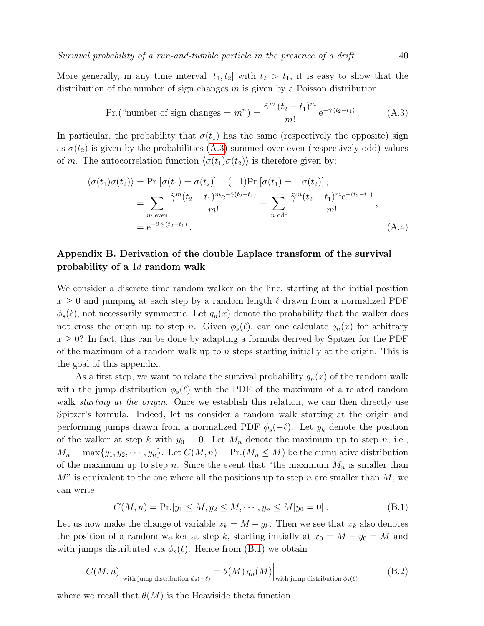More generally, in any time interval  $[t_1, t_2]$  with  $t_2 > t_1$ , it is easy to show that the distribution of the number of sign changes  $m$  is given by a Poisson distribution

<span id="page-39-1"></span>Pr.("number of sign changes = 
$$
m
$$
") =  $\frac{\tilde{\gamma}^m (t_2 - t_1)^m}{m!} e^{-\tilde{\gamma} (t_2 - t_1)}$ . (A.3)

In particular, the probability that  $\sigma(t_1)$  has the same (respectively the opposite) sign as  $\sigma(t_2)$  is given by the probabilities [\(A.3\)](#page-39-1) summed over even (respectively odd) values of m. The autocorrelation function  $\langle \sigma(t_1)\sigma(t_2)\rangle$  is therefore given by:

$$
\langle \sigma(t_1)\sigma(t_2)\rangle = \Pr\left[\sigma(t_1) = \sigma(t_2)\right] + (-1)\Pr\left[\sigma(t_1) = -\sigma(t_2)\right],
$$
  
\n
$$
= \sum_{m \text{ even}} \frac{\tilde{\gamma}^m(t_2 - t_1)^m e^{-\tilde{\gamma}(t_2 - t_1)}}{m!} - \sum_{m \text{ odd}} \frac{\tilde{\gamma}^m(t_2 - t_1)^m e^{-(t_2 - t_1)}}{m!},
$$
  
\n
$$
= e^{-2\tilde{\gamma}(t_2 - t_1)}.
$$
\n(A.4)

# <span id="page-39-0"></span>Appendix B. Derivation of the double Laplace transform of the survival probability of a 1d random walk

We consider a discrete time random walker on the line, starting at the initial position  $x \geq 0$  and jumping at each step by a random length  $\ell$  drawn from a normalized PDF  $\phi_s(\ell)$ , not necessarily symmetric. Let  $q_n(x)$  denote the probability that the walker does not cross the origin up to step n. Given  $\phi_s(\ell)$ , can one calculate  $q_n(x)$  for arbitrary  $x \geq 0$ ? In fact, this can be done by adapting a formula derived by Spitzer for the PDF of the maximum of a random walk up to  $n$  steps starting initially at the origin. This is the goal of this appendix.

As a first step, we want to relate the survival probability  $q_n(x)$  of the random walk with the jump distribution  $\phi_s(\ell)$  with the PDF of the maximum of a related random walk *starting at the origin*. Once we establish this relation, we can then directly use Spitzer's formula. Indeed, let us consider a random walk starting at the origin and performing jumps drawn from a normalized PDF  $\phi_s(-\ell)$ . Let  $y_k$  denote the position of the walker at step k with  $y_0 = 0$ . Let  $M_n$  denote the maximum up to step n, i.e.,  $M_n = \max\{y_1, y_2, \dots, y_n\}.$  Let  $C(M, n) = \Pr(M_n \leq M)$  be the cumulative distribution of the maximum up to step n. Since the event that "the maximum  $M_n$  is smaller than  $M$ " is equivalent to the one where all the positions up to step n are smaller than  $M$ , we can write

<span id="page-39-2"></span>
$$
C(M, n) = \Pr[y_1 \le M, y_2 \le M, \cdots, y_n \le M | y_0 = 0].
$$
 (B.1)

Let us now make the change of variable  $x_k = M - y_k$ . Then we see that  $x_k$  also denotes the position of a random walker at step k, starting initially at  $x_0 = M - y_0 = M$  and with jumps distributed via  $\phi_s(\ell)$ . Hence from [\(B.1\)](#page-39-2) we obtain

$$
C(M, n)\Big|_{\text{with jump distribution }\phi_{s}(-\ell)} = \theta(M) q_{n}(M)\Big|_{\text{with jump distribution }\phi_{s}(\ell)} \tag{B.2}
$$

where we recall that  $\theta(M)$  is the Heaviside theta function.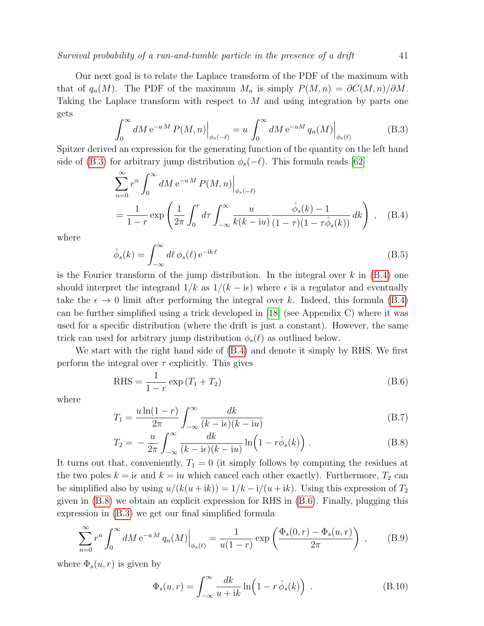Our next goal is to relate the Laplace transform of the PDF of the maximum with that of  $q_n(M)$ . The PDF of the maximum  $M_n$  is simply  $P(M, n) = \partial C(M, n)/\partial M$ . Taking the Laplace transform with respect to M and using integration by parts one gets

<span id="page-40-0"></span>
$$
\int_0^\infty dM \,\mathrm{e}^{-u\,M} \, P(M,n) \Big|_{\phi_s(-\ell)} = u \int_0^\infty dM \,\mathrm{e}^{-u\,M} \, q_n(M) \Big|_{\phi_s(\ell)} \tag{B.3}
$$

Spitzer derived an expression for the generating function of the quantity on the left hand side of [\(B.3\)](#page-40-0) for arbitrary jump distribution  $\phi_s(-\ell)$ . This formula reads [\[62\]](#page-56-23)

<span id="page-40-1"></span>
$$
\sum_{n=0}^{\infty} r^n \int_0^{\infty} dM e^{-uM} P(M, n) \Big|_{\phi_s(-\ell)}
$$
  
= 
$$
\frac{1}{1-r} \exp\left(\frac{1}{2\pi} \int_0^r d\tau \int_{-\infty}^{\infty} \frac{u}{k(k - iu)} \frac{\hat{\phi}_s(k) - 1}{(1 - \tau)(1 - \tau \hat{\phi}_s(k))} dk\right), \quad (B.4)
$$

where

$$
\hat{\phi}_s(k) = \int_{-\infty}^{\infty} d\ell \, \phi_s(\ell) \, \mathrm{e}^{-\mathrm{i}k\,\ell} \tag{B.5}
$$

is the Fourier transform of the jump distribution. In the integral over  $k$  in  $(B.4)$  one should interpret the integrand  $1/k$  as  $1/(k - i\epsilon)$  where  $\epsilon$  is a regulator and eventually take the  $\epsilon \to 0$  limit after performing the integral over k. Indeed, this formula [\(B.4\)](#page-40-1) can be further simplified using a trick developed in [\[18\]](#page-55-18) (see Appendix C) where it was used for a specific distribution (where the drift is just a constant). However, the same trick can used for arbitrary jump distribution  $\phi_s(\ell)$  as outlined below.

We start with the right hand side of [\(B.4\)](#page-40-1) and denote it simply by RHS. We first perform the integral over  $\tau$  explicitly. This gives

<span id="page-40-3"></span>RHS = 
$$
\frac{1}{1-r}
$$
 exp  $(T_1 + T_2)$  (B.6)

where

<span id="page-40-2"></span>
$$
T_1 = \frac{u\ln(1-r)}{2\pi} \int_{-\infty}^{\infty} \frac{dk}{(k-i\epsilon)(k-iu)}
$$
(B.7)

$$
T_2 = -\frac{u}{2\pi} \int_{-\infty}^{\infty} \frac{dk}{(k - i\epsilon)(k - iu)} \ln\left(1 - r\hat{\phi}_s(k)\right).
$$
 (B.8)

It turns out that, conveniently,  $T_1 = 0$  (it simply follows by computing the residues at the two poles  $k = i\epsilon$  and  $k = i\epsilon$  which cancel each other exactly). Furthermore,  $T_2$  can be simplified also by using  $u/(k(u + ik)) = 1/k - i/(u + ik)$ . Using this expression of  $T_2$ given in [\(B.8\)](#page-40-2) we obtain an explicit expression for RHS in [\(B.6\)](#page-40-3). Finally, plugging this expression in [\(B.3\)](#page-40-0) we get our final simplified formula

<span id="page-40-4"></span>
$$
\sum_{n=0}^{\infty} r^n \int_0^{\infty} dM e^{-uM} q_n(M) \Big|_{\phi_s(\ell)} = \frac{1}{u(1-r)} \exp\left(\frac{\Phi_s(0,r) - \Phi_s(u,r)}{2\pi}\right) ,\qquad(B.9)
$$

where  $\Phi_s(u,r)$  is given by

<span id="page-40-5"></span>
$$
\Phi_s(u,r) = \int_{-\infty}^{\infty} \frac{dk}{u+ik} \ln\left(1 - r \,\hat{\phi}_s(k)\right) \,. \tag{B.10}
$$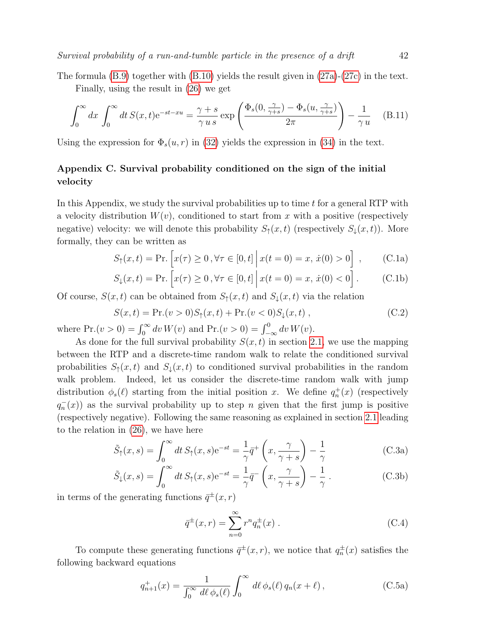The formula  $(B.9)$  together with  $(B.10)$  yields the result given in  $(27a)-(27c)$  $(27a)-(27c)$  $(27a)-(27c)$  in the text.

Finally, using the result in [\(26\)](#page-14-2) we get

<span id="page-41-4"></span>
$$
\int_0^\infty dx \int_0^\infty dt \, S(x,t) e^{-st - xu} = \frac{\gamma + s}{\gamma u s} \exp\left(\frac{\Phi_s(0, \frac{\gamma}{\gamma + s}) - \Phi_s(u, \frac{\gamma}{\gamma + s})}{2\pi}\right) - \frac{1}{\gamma u} \tag{B.11}
$$

Using the expression for  $\Phi_s(u, r)$  in [\(32\)](#page-15-3) yields the expression in [\(34\)](#page-15-5) in the text.

# <span id="page-41-0"></span>Appendix C. Survival probability conditioned on the sign of the initial velocity

In this Appendix, we study the survival probabilities up to time  $t$  for a general RTP with a velocity distribution  $W(v)$ , conditioned to start from x with a positive (respectively negative) velocity: we will denote this probability  $S_{\uparrow}(x,t)$  (respectively  $S_{\downarrow}(x,t)$ ). More formally, they can be written as

<span id="page-41-1"></span>
$$
S_{\uparrow}(x,t) = \Pr \left[ x(\tau) \ge 0, \forall \tau \in [0,t] \, \middle| \, x(t=0) = x, \, \dot{x}(0) > 0 \right], \tag{C.1a}
$$

$$
S_{\downarrow}(x,t) = \Pr.\left[x(\tau) \ge 0, \forall \tau \in [0,t] \, \middle| \, x(t=0) = x, \, \dot{x}(0) < 0\right].\tag{C.1b}
$$

Of course,  $S(x, t)$  can be obtained from  $S_{\uparrow}(x, t)$  and  $S_{\downarrow}(x, t)$  via the relation

<span id="page-41-3"></span>
$$
S(x,t) = \Pr(v > 0)S_{\uparrow}(x,t) + \Pr(v < 0)S_{\downarrow}(x,t) ,
$$
 (C.2)

where  $Pr.(v > 0) = \int_0^\infty dv W(v)$  and  $Pr.(v > 0) = \int_{-\infty}^0 dv W(v)$ .

As done for the full survival probability  $S(x, t)$  in section [2.1,](#page-11-1) we use the mapping between the RTP and a discrete-time random walk to relate the conditioned survival probabilities  $S_1(x,t)$  and  $S_1(x,t)$  to conditioned survival probabilities in the random walk problem. Indeed, let us consider the discrete-time random walk with jump distribution  $\phi_s(\ell)$  starting from the initial position x. We define  $q_n^+(x)$  (respectively  $q_n^{-}(x)$  as the survival probability up to step n given that the first jump is positive (respectively negative). Following the same reasoning as explained in section [2.1](#page-11-1) leading to the relation in [\(26\)](#page-14-2), we have here

<span id="page-41-2"></span>
$$
\tilde{S}_{\uparrow}(x,s) = \int_0^\infty dt \, S_{\uparrow}(x,s) e^{-st} = \frac{1}{\gamma} \bar{q}^+ \left( x, \frac{\gamma}{\gamma + s} \right) - \frac{1}{\gamma}
$$
\n(C.3a)

$$
\tilde{S}_{\downarrow}(x,s) = \int_0^\infty dt \, S_\uparrow(x,s) e^{-st} = \frac{1}{\gamma} \bar{q}^- \left( x, \frac{\gamma}{\gamma + s} \right) - \frac{1}{\gamma} \,. \tag{C.3b}
$$

in terms of the generating functions  $\bar{q}^{\pm}(x,r)$ 

$$
\bar{q}^{\pm}(x,r) = \sum_{n=0}^{\infty} r^n q_n^{\pm}(x) .
$$
 (C.4)

To compute these generating functions  $\bar{q}^{\pm}(x,r)$ , we notice that  $q^{\pm}_n(x)$  satisfies the following backward equations

$$
q_{n+1}^+(x) = \frac{1}{\int_0^\infty d\ell \, \phi_s(\ell)} \int_0^\infty d\ell \, \phi_s(\ell) \, q_n(x+\ell) \,, \tag{C.5a}
$$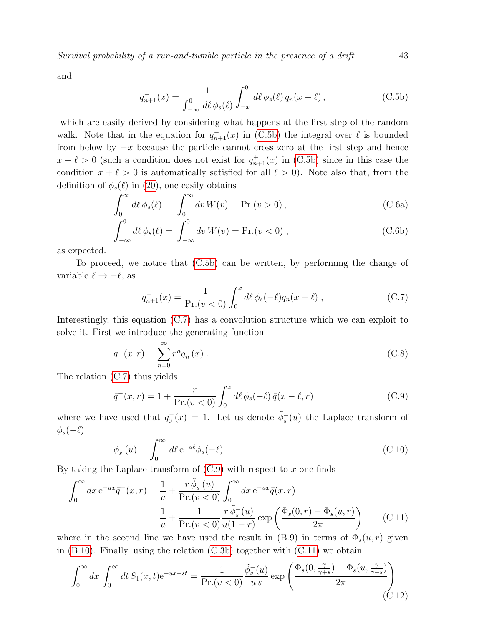and

<span id="page-42-1"></span>
$$
q_{n+1}^{-}(x) = \frac{1}{\int_{-\infty}^{0} d\ell \, \phi_s(\ell)} \int_{-x}^{0} d\ell \, \phi_s(\ell) \, q_n(x+\ell) \,, \tag{C.5b}
$$

which are easily derived by considering what happens at the first step of the random walk. Note that in the equation for  $q_{n+1}^-(x)$  in [\(C.5b\)](#page-42-1) the integral over  $\ell$  is bounded from below by  $-x$  because the particle cannot cross zero at the first step and hence  $x + \ell > 0$  (such a condition does not exist for  $q_{n+1}^+(x)$  in [\(C.5b\)](#page-42-1) since in this case the condition  $x + \ell > 0$  is automatically satisfied for all  $\ell > 0$ ). Note also that, from the definition of  $\phi_s(\ell)$  in [\(20\)](#page-13-1), one easily obtains

$$
\int_0^\infty d\ell \,\phi_s(\ell) = \int_0^\infty dv \, W(v) = \Pr.(v > 0) \,,\tag{C.6a}
$$

$$
\int_{-\infty}^{0} d\ell \phi_s(\ell) = \int_{-\infty}^{0} dv W(v) = \text{Pr.}(v < 0) , \tag{C.6b}
$$

as expected.

To proceed, we notice that [\(C.5b\)](#page-42-1) can be written, by performing the change of variable  $\ell \rightarrow -\ell$ , as

<span id="page-42-2"></span>
$$
q_{n+1}^-(x) = \frac{1}{\Pr.(v < 0)} \int_0^x d\ell \, \phi_s(-\ell) q_n(x-\ell) \;, \tag{C.7}
$$

Interestingly, this equation [\(C.7\)](#page-42-2) has a convolution structure which we can exploit to solve it. First we introduce the generating function

$$
\bar{q}^-(x,r) = \sum_{n=0}^{\infty} r^n q_n^-(x) .
$$
 (C.8)

The relation [\(C.7\)](#page-42-2) thus yields

<span id="page-42-3"></span>
$$
\bar{q}^-(x,r) = 1 + \frac{r}{\Pr(v < 0)} \int_0^x d\ell \, \phi_s(-\ell) \, \bar{q}(x - \ell, r) \tag{C.9}
$$

where we have used that  $q_0(x) = 1$ . Let us denote  $\tilde{\phi}_s^-(u)$  the Laplace transform of  $\phi_s(-\ell)$ 

<span id="page-42-4"></span>
$$
\tilde{\phi}_s^-(u) = \int_0^\infty d\ell \,\mathrm{e}^{-u\ell} \phi_s(-\ell) \,. \tag{C.10}
$$

By taking the Laplace transform of  $(C.9)$  with respect to x one finds

$$
\int_0^\infty dx \, e^{-ux} \bar{q}^-(x, r) = \frac{1}{u} + \frac{r \, \tilde{\phi}_s^-(u)}{\Pr(v < 0)} \int_0^\infty dx \, e^{-ux} \bar{q}(x, r)
$$
\n
$$
= \frac{1}{u} + \frac{1}{\Pr(v < 0)} \frac{r \, \tilde{\phi}_s^-(u)}{u(1-r)} \exp\left(\frac{\Phi_s(0, r) - \Phi_s(u, r)}{2\pi}\right) \tag{C.11}
$$

where in the second line we have used the result in [\(B.9\)](#page-40-4) in terms of  $\Phi_s(u,r)$  given in  $(B.10)$ . Finally, using the relation  $(C.3b)$  together with  $(C.11)$  we obtain

<span id="page-42-0"></span>
$$
\int_0^\infty dx \int_0^\infty dt S_\downarrow(x,t) e^{-ux-st} = \frac{1}{\Pr(v<0)} \frac{\tilde{\phi}_s^-(u)}{u \, s} \exp\left(\frac{\Phi_s(0, \frac{\gamma}{\gamma+s}) - \Phi_s(u, \frac{\gamma}{\gamma+s})}{2\pi}\right) \tag{C.12}
$$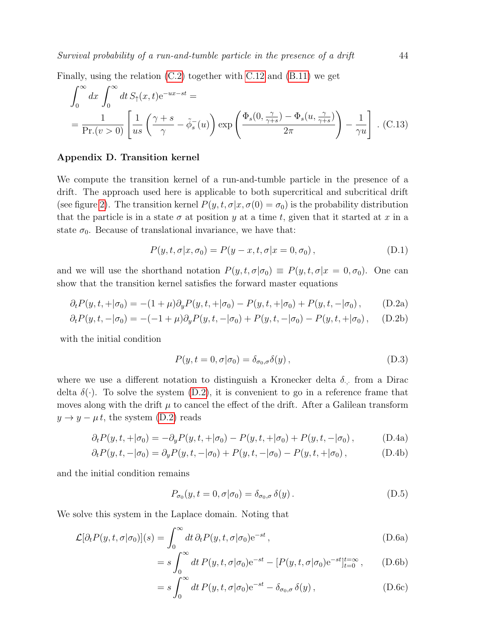Finally, using the relation [\(C.2\)](#page-41-3) together with [C.12](#page-42-0) and [\(B.11\)](#page-41-4) we get

<span id="page-43-1"></span>
$$
\int_0^\infty dx \int_0^\infty dt S_\uparrow(x,t) e^{-ux-st} =
$$
\n
$$
= \frac{1}{\Pr(v>0)} \left[ \frac{1}{us} \left( \frac{\gamma + s}{\gamma} - \tilde{\phi}_s(u) \right) \exp\left( \frac{\Phi_s(0, \frac{\gamma}{\gamma + s}) - \Phi_s(u, \frac{\gamma}{\gamma + s})}{2\pi} \right) - \frac{1}{\gamma u} \right].
$$
\n(C.13)

# <span id="page-43-0"></span>Appendix D. Transition kernel

We compute the transition kernel of a run-and-tumble particle in the presence of a drift. The approach used here is applicable to both supercritical and subcritical drift (see figure [2\)](#page-6-3). The transition kernel  $P(y, t, \sigma | x, \sigma(0) = \sigma_0)$  is the probability distribution that the particle is in a state  $\sigma$  at position y at a time t, given that it started at x in a state  $\sigma_0$ . Because of translational invariance, we have that:

<span id="page-43-4"></span>
$$
P(y, t, \sigma | x, \sigma_0) = P(y - x, t, \sigma | x = 0, \sigma_0), \qquad (D.1)
$$

and we will use the shorthand notation  $P(y, t, \sigma | \sigma_0) \equiv P(y, t, \sigma | x = 0, \sigma_0)$ . One can show that the transition kernel satisfies the forward master equations

$$
\partial_t P(y, t, +|\sigma_0) = -(1+\mu)\partial_y P(y, t, +|\sigma_0) - P(y, t, +|\sigma_0) + P(y, t, -|\sigma_0), \quad (D.2a)
$$

$$
\partial_t P(y, t, -|\sigma_0) = -(-1 + \mu) \partial_y P(y, t, -|\sigma_0) + P(y, t, -|\sigma_0) - P(y, t, +|\sigma_0), \quad (D.2b)
$$

with the initial condition

<span id="page-43-2"></span>
$$
P(y, t = 0, \sigma | \sigma_0) = \delta_{\sigma_0, \sigma} \delta(y), \qquad (D.3)
$$

where we use a different notation to distinguish a Kronecker delta  $\delta$ <sub>.</sub>, from a Dirac delta  $\delta(\cdot)$ . To solve the system [\(D.2\)](#page-43-2), it is convenient to go in a reference frame that moves along with the drift  $\mu$  to cancel the effect of the drift. After a Galilean transform  $y \rightarrow y - \mu t$ , the system [\(D.2\)](#page-43-2) reads

$$
\partial_t P(y, t, + | \sigma_0) = -\partial_y P(y, t, + | \sigma_0) - P(y, t, + | \sigma_0) + P(y, t, - | \sigma_0), \tag{D.4a}
$$

$$
\partial_t P(y, t, -|\sigma_0) = \partial_y P(y, t, -|\sigma_0) + P(y, t, -|\sigma_0) - P(y, t, +|\sigma_0), \tag{D.4b}
$$

and the initial condition remains

<span id="page-43-3"></span>
$$
P_{\sigma_0}(y, t = 0, \sigma | \sigma_0) = \delta_{\sigma_0, \sigma} \, \delta(y) \,. \tag{D.5}
$$

We solve this system in the Laplace domain. Noting that

$$
\mathcal{L}[\partial_t P(y, t, \sigma | \sigma_0)](s) = \int_0^\infty dt \, \partial_t P(y, t, \sigma | \sigma_0) e^{-st}, \qquad (D.6a)
$$

$$
= s \int_0^{\infty} dt P(y, t, \sigma | \sigma_0) e^{-st} - [P(y, t, \sigma | \sigma_0) e^{-st}]_{t=0}^{t=\infty}, \qquad (D.6b)
$$

$$
= s \int_0^\infty dt \, P(y, t, \sigma | \sigma_0) e^{-st} - \delta_{\sigma_0, \sigma} \, \delta(y) \,, \tag{D.6c}
$$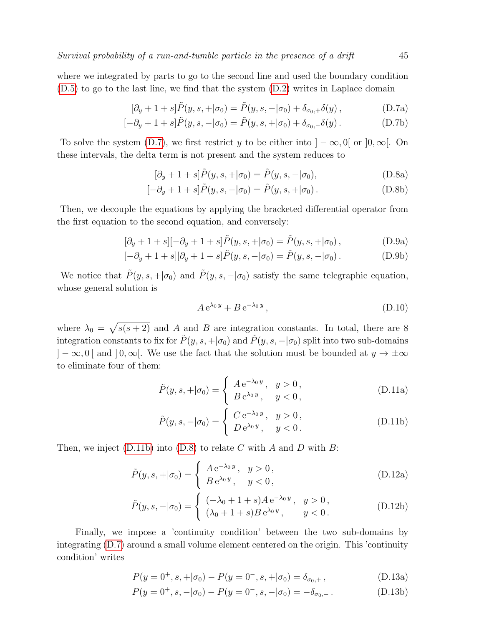where we integrated by parts to go to the second line and used the boundary condition [\(D.5\)](#page-43-3) to go to the last line, we find that the system [\(D.2\)](#page-43-2) writes in Laplace domain

$$
[\partial_y + 1 + s] \tilde{P}(y, s, + | \sigma_0) = \tilde{P}(y, s, - | \sigma_0) + \delta_{\sigma_0, +} \delta(y), \qquad (D.7a)
$$

$$
[-\partial_y + 1 + s]\tilde{P}(y, s, -|\sigma_0) = \tilde{P}(y, s, +|\sigma_0) + \delta_{\sigma_0, -}\delta(y).
$$
 (D.7b)

To solve the system [\(D.7\)](#page-44-0), we first restrict y to be either into  $]-\infty,0[$  or  $]0,\infty[$ . On these intervals, the delta term is not present and the system reduces to

<span id="page-44-0"></span>
$$
[\partial_y + 1 + s]\tilde{P}(y, s, + | \sigma_0) = \tilde{P}(y, s, - | \sigma_0),
$$
 (D.8a)

$$
[-\partial_y + 1 + s]\tilde{P}(y, s, -|\sigma_0) = \tilde{P}(y, s, +|\sigma_0).
$$
 (D.8b)

Then, we decouple the equations by applying the bracketed differential operator from the first equation to the second equation, and conversely:

$$
[\partial_y + 1 + s] [-\partial_y + 1 + s] \tilde{P}(y, s, + | \sigma_0) = \tilde{P}(y, s, + | \sigma_0), \tag{D.9a}
$$

$$
[-\partial_y + 1 + s][\partial_y + 1 + s]\tilde{P}(y, s, -|\sigma_0) = \tilde{P}(y, s, -|\sigma_0).
$$
 (D.9b)

We notice that  $\tilde{P}(y, s, +|\sigma_0)$  and  $\tilde{P}(y, s, -|\sigma_0)$  satisfy the same telegraphic equation, whose general solution is

<span id="page-44-2"></span><span id="page-44-1"></span>
$$
A e^{\lambda_0 y} + B e^{-\lambda_0 y}, \tag{D.10}
$$

where  $\lambda_0 = \sqrt{s(s + 2)}$  and A and B are integration constants. In total, there are 8 integration constants to fix for  $\tilde{P}(y, s, +|\sigma_0)$  and  $\tilde{P}(y, s, -|\sigma_0)$  split into two sub-domains  $]-\infty, 0[$  and  $]0, \infty[$ . We use the fact that the solution must be bounded at  $y \to \pm \infty$ to eliminate four of them:

$$
\tilde{P}(y, s, + | \sigma_0) = \begin{cases} A e^{-\lambda_0 y}, & y > 0, \\ B e^{\lambda_0 y}, & y < 0, \end{cases}
$$
 (D.11a)

$$
\tilde{P}(y, s, -|\sigma_0) = \begin{cases}\nC e^{-\lambda_0 y}, & y > 0, \\
D e^{\lambda_0 y}, & y < 0.\n\end{cases}
$$
\n(D.11b)

Then, we inject [\(D.11b\)](#page-44-1) into [\(D.8\)](#page-44-2) to relate C with A and D with B:

$$
\tilde{P}(y, s, +|\sigma_0) = \begin{cases}\nA e^{-\lambda_0 y}, & y > 0, \\
B e^{\lambda_0 y}, & y < 0,\n\end{cases}
$$
\n(D.12a)

$$
\tilde{P}(y, s, -|\sigma_0) = \begin{cases}\n(-\lambda_0 + 1 + s)A e^{-\lambda_0 y}, & y > 0, \\
(\lambda_0 + 1 + s)B e^{\lambda_0 y}, & y < 0.\n\end{cases}
$$
\n(D.12b)

Finally, we impose a 'continuity condition' between the two sub-domains by integrating [\(D.7\)](#page-44-0) around a small volume element centered on the origin. This 'continuity condition' writes

$$
P(y = 0^+, s, +|\sigma_0) - P(y = 0^-, s, +|\sigma_0) = \delta_{\sigma_0, +},
$$
 (D.13a)

$$
P(y = 0^+, s, -|\sigma_0) - P(y = 0^-, s, -|\sigma_0) = -\delta_{\sigma_0, -}.
$$
 (D.13b)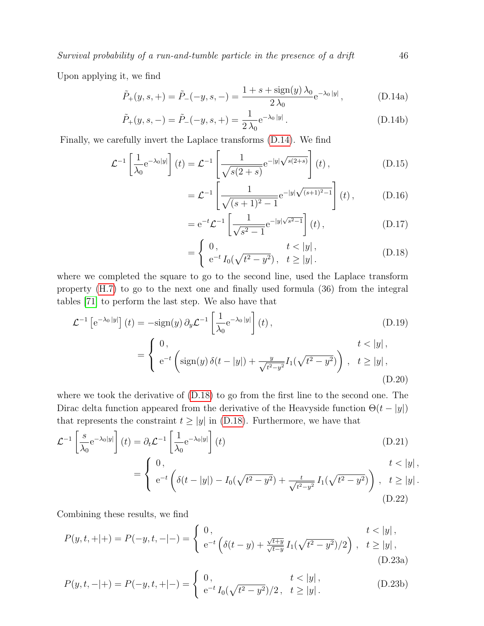Upon applying it, we find

$$
\tilde{P}_{+}(y,s,+)=\tilde{P}_{-}(-y,s,-)=\frac{1+s+\text{sign}(y)\,\lambda_{0}}{2\,\lambda_{0}}e^{-\lambda_{0}\,|y|}\,,\tag{D.14a}
$$

$$
\tilde{P}_{+}(y, s, -) = \tilde{P}_{-}(-y, s, +) = \frac{1}{2\lambda_0} e^{-\lambda_0 |y|}.
$$
\n(D.14b)

Finally, we carefully invert the Laplace transforms [\(D.14\)](#page-45-0). We find

$$
\mathcal{L}^{-1}\left[\frac{1}{\lambda_0}e^{-\lambda_0|y|}\right](t) = \mathcal{L}^{-1}\left[\frac{1}{\sqrt{s(2+s)}}e^{-|y|\sqrt{s(2+s)}}\right](t),\tag{D.15}
$$

$$
= \mathcal{L}^{-1} \left[ \frac{1}{\sqrt{(s+1)^2 - 1}} e^{-|y| \sqrt{(s+1)^2 - 1}} \right] (t) , \quad (D.16)
$$

$$
= e^{-t} \mathcal{L}^{-1} \left[ \frac{1}{\sqrt{s^2 - 1}} e^{-|y|\sqrt{s^2 - 1}} \right] (t) , \qquad (D.17)
$$

$$
= \begin{cases} 0, & t < |y|, \\ e^{-t} I_0(\sqrt{t^2 - y^2}), & t \ge |y|. \end{cases} \tag{D.18}
$$

where we completed the square to go to the second line, used the Laplace transform property [\(H.7\)](#page-50-0) to go to the next one and finally used formula (36) from the integral tables [\[71\]](#page-56-34) to perform the last step. We also have that

$$
\mathcal{L}^{-1}\left[e^{-\lambda_0|y|}\right](t) = -\text{sign}(y)\,\partial_y \mathcal{L}^{-1}\left[\frac{1}{\lambda_0}e^{-\lambda_0|y|}\right](t),\tag{D.19}
$$
\n
$$
\begin{aligned}\nt < |y|,\n\end{aligned}
$$

$$
= \begin{cases} 0, & t < |y|, \\ e^{-t} \left( \text{sign}(y) \,\delta(t - |y|) + \frac{y}{\sqrt{t^2 - y^2}} I_1(\sqrt{t^2 - y^2}) \right), & t \ge |y|, \end{cases}
$$
(D.20)

where we took the derivative of [\(D.18\)](#page-45-1) to go from the first line to the second one. The Dirac delta function appeared from the derivative of the Heavyside function  $\Theta(t - |y|)$ that represents the constraint  $t \ge |y|$  in [\(D.18\)](#page-45-1). Furthermore, we have that

$$
\mathcal{L}^{-1}\left[\frac{s}{\lambda_0}e^{-\lambda_0|y|}\right](t) = \partial_t \mathcal{L}^{-1}\left[\frac{1}{\lambda_0}e^{-\lambda_0|y|}\right](t)
$$
\n(D.21)

$$
= \begin{cases} 0, & t < |y|, \\ e^{-t} \left( \delta(t - |y|) - I_0(\sqrt{t^2 - y^2}) + \frac{t}{\sqrt{t^2 - y^2}} I_1(\sqrt{t^2 - y^2}) \right), & t \ge |y|. \\ (D.22) \end{cases}
$$

Combining these results, we find

$$
P(y,t,+|+)=P(-y,t,-|-)=\begin{cases} 0, & t<|y|, \\ e^{-t}\left(\delta(t-y)+\frac{\sqrt{t+y}}{\sqrt{t-y}}I_1(\sqrt{t^2-y^2})/2\right), & t\ge|y|, \\ 0.23a)\end{cases}
$$

$$
P(y,t,-|+)=P(-y,t,+|-)=\begin{cases} 0, & t<|y|, \\ e^{-t} I_0(\sqrt{t^2-y^2})/2, & t\geq |y| \end{cases}.
$$
 (D.23b)

<span id="page-45-1"></span><span id="page-45-0"></span>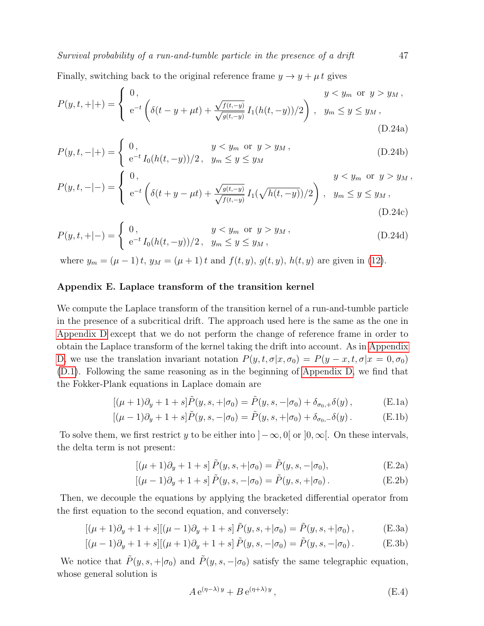Finally, switching back to the original reference frame  $y \to y + \mu t$  gives

$$
P(y,t,+|+)=\begin{cases} 0, & y < y_m \text{ or } y > y_M, \\ e^{-t} \left( \delta(t-y+\mu t) + \frac{\sqrt{f(t,-y)}}{\sqrt{g(t,-y)}} I_1(h(t,-y))/2 \right), & y_m \leq y \leq y_M, \end{cases}
$$
(D.24a)

$$
P(y,t,-|+)=\begin{cases} 0, & y < y_m \text{ or } y > y_M, \\ e^{-t} I_0(h(t,-y))/2, & y_m \le y \le y_M \end{cases}
$$
 (D.24b)

$$
P(y,t,-|-) = \begin{cases} 0, & y < y_m \text{ or } y > y_M, \\ e^{-t} \left( \delta(t+y-\mu t) + \frac{\sqrt{g(t,-y)}}{\sqrt{f(t,-y)}} I_1(\sqrt{h(t,-y)})/2 \right), & y_m \le y \le y_M, \\ 0.24c) \end{cases}
$$

$$
P(y,t,+|-) = \begin{cases} 0, & y < y_m \text{ or } y > y_M, \\ e^{-t} I_0(h(t,-y))/2, & y_m \le y \le y_M, \end{cases}
$$
 (D.24d)

where  $y_m = (\mu - 1)t$ ,  $y_M = (\mu + 1)t$  and  $f(t, y)$ ,  $g(t, y)$ ,  $h(t, y)$  are given in [\(12\)](#page-8-4).

# <span id="page-46-0"></span>Appendix E. Laplace transform of the transition kernel

We compute the Laplace transform of the transition kernel of a run-and-tumble particle in the presence of a subcritical drift. The approach used here is the same as the one in [Appendix D](#page-43-0) except that we do not perform the change of reference frame in order to obtain the Laplace transform of the kernel taking the drift into account. As in [Appendix](#page-43-0) [D,](#page-43-0) we use the translation invariant notation  $P(y, t, \sigma | x, \sigma_0) = P(y - x, t, \sigma | x = 0, \sigma_0)$ [\(D.1\)](#page-43-4). Following the same reasoning as in the beginning of [Appendix D,](#page-43-0) we find that the Fokker-Plank equations in Laplace domain are

<span id="page-46-1"></span>
$$
[(\mu + 1)\partial_y + 1 + s]\tilde{P}(y, s, + | \sigma_0) = \tilde{P}(y, s, - | \sigma_0) + \delta_{\sigma_0, +} \delta(y),
$$
 (E.1a)

$$
[(\mu - 1)\partial_y + 1 + s]\tilde{P}(y, s, -|\sigma_0) = \tilde{P}(y, s, +|\sigma_0) + \delta_{\sigma_0, -}\delta(y).
$$
 (E.1b)

To solve them, we first restrict y to be either into  $]-\infty, 0[$  or  $]0, \infty[$ . On these intervals, the delta term is not present:

<span id="page-46-3"></span>
$$
[(\mu + 1)\partial_y + 1 + s] \tilde{P}(y, s, + | \sigma_0) = \tilde{P}(y, s, - | \sigma_0),
$$
 (E.2a)

$$
[(\mu - 1)\partial_y + 1 + s] \tilde{P}(y, s, -|\sigma_0) = \tilde{P}(y, s, +|\sigma_0).
$$
 (E.2b)

Then, we decouple the equations by applying the bracketed differential operator from the first equation to the second equation, and conversely:

$$
[(\mu + 1)\partial_y + 1 + s] [(\mu - 1)\partial_y + 1 + s] \tilde{P}(y, s, + | \sigma_0) = \tilde{P}(y, s, + | \sigma_0),
$$
 (E.3a)

$$
[(\mu - 1)\partial_y + 1 + s] [(\mu + 1)\partial_y + 1 + s] \tilde{P}(y, s, -|\sigma_0) = \tilde{P}(y, s, -|\sigma_0). \tag{E.3b}
$$

We notice that  $\tilde{P}(y, s, +|\sigma_0)$  and  $\tilde{P}(y, s, -|\sigma_0)$  satisfy the same telegraphic equation, whose general solution is

<span id="page-46-2"></span>
$$
A e^{(\eta - \lambda) y} + B e^{(\eta + \lambda) y}, \tag{E.4}
$$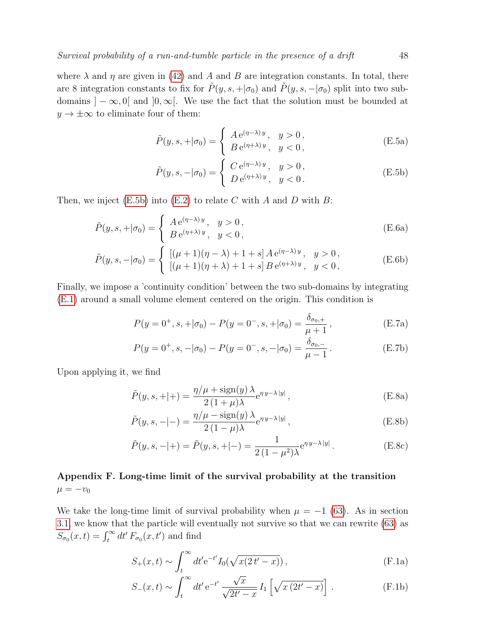where  $\lambda$  and  $\eta$  are given in [\(42\)](#page-17-2) and A and B are integration constants. In total, there are 8 integration constants to fix for  $\tilde{P}(y, s, +|\sigma_0)$  and  $\tilde{P}(y, s, -|\sigma_0)$  split into two subdomains  $]-\infty,0[$  and  $]0,\infty[$ . We use the fact that the solution must be bounded at  $y \to \pm \infty$  to eliminate four of them:

$$
\tilde{P}(y, s, + | \sigma_0) = \begin{cases}\nA e^{(\eta - \lambda)y}, & y > 0, \\
B e^{(\eta + \lambda)y}, & y < 0,\n\end{cases}
$$
\n(E.5a)

<span id="page-47-1"></span>
$$
\tilde{P}(y, s, -|\sigma_0) = \begin{cases}\nC e^{(\eta - \lambda)y}, & y > 0, \\
D e^{(\eta + \lambda)y}, & y < 0.\n\end{cases}
$$
\n(E.5b)

Then, we inject  $(E.5b)$  into  $(E.2)$  to relate C with A and D with B:

$$
\tilde{P}(y, s, +|\sigma_0) = \begin{cases}\nA e^{(\eta - \lambda)y}, & y > 0, \\
B e^{(\eta + \lambda)y}, & y < 0,\n\end{cases}
$$
\n(E.6a)

$$
\tilde{P}(y, s, -|\sigma_0) = \begin{cases}\n[(\mu + 1)(\eta - \lambda) + 1 + s] A e^{(\eta - \lambda)y}, & y > 0, \\
[(\mu + 1)(\eta + \lambda) + 1 + s] B e^{(\eta + \lambda)y}, & y < 0,\n\end{cases}
$$
\n(E.6b)

Finally, we impose a 'continuity condition' between the two sub-domains by integrating [\(E.1\)](#page-46-3) around a small volume element centered on the origin. This condition is

$$
P(y = 0^+, s, +|\sigma_0) - P(y = 0^-, s, +|\sigma_0) = \frac{\delta_{\sigma_0, +}}{\mu + 1},
$$
 (E.7a)

$$
P(y = 0^+, s, -|\sigma_0) - P(y = 0^-, s, -|\sigma_0) = \frac{\delta_{\sigma_0, -}}{\mu - 1}.
$$
 (E.7b)

Upon applying it, we find

$$
\tilde{P}(y, s, +|+) = \frac{\eta/\mu + \text{sign}(y)\,\lambda}{2\,(1+\mu)\lambda} e^{\eta\,y-\lambda\,|y|},\tag{E.8a}
$$

$$
\tilde{P}(y, s, -|-) = \frac{\eta/\mu - \text{sign}(y) \lambda}{2(1 - \mu)\lambda} e^{\eta y - \lambda|y|},
$$
\n(E.8b)

$$
\tilde{P}(y, s, -|+) = \tilde{P}(y, s, +|-) = \frac{1}{2(1 - \mu^2)\lambda} e^{\eta y - \lambda|y|}.
$$
 (E.8c)

# <span id="page-47-0"></span>Appendix F. Long-time limit of the survival probability at the transition  $\mu = -v_0$

We take the long-time limit of survival probability when  $\mu = -1$  [\(63\)](#page-22-3). As in section [3.1,](#page-18-0) we know that the particle will eventually not survive so that we can rewrite [\(63\)](#page-22-3) as  $S_{\sigma_0}(x,t) = \int_t^{\infty} dt' F_{\sigma_0}(x,t')$  and find

$$
S_{+}(x,t) \sim \int_{t}^{\infty} dt' e^{-t'} I_{0}(\sqrt{x(2t'-x)}),
$$
 (F.1a)

$$
S_{-}(x,t) \sim \int_{t}^{\infty} dt' e^{-t'} \frac{\sqrt{x}}{\sqrt{2t'-x}} I_1 \left[ \sqrt{x(2t'-x)} \right].
$$
 (F.1b)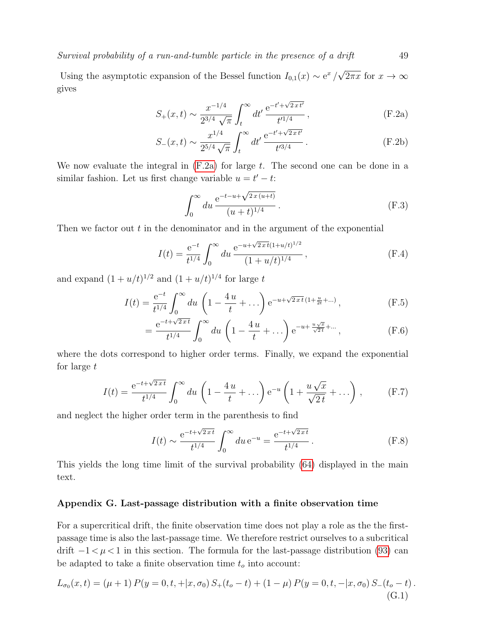Using the asymptotic expansion of the Bessel function  $I_{0,1}(x) \sim e^x/\sqrt{2\pi x}$  for  $x \to \infty$ gives

$$
S_{+}(x,t) \sim \frac{x^{-1/4}}{2^{3/4} \sqrt{\pi}} \int_{t}^{\infty} dt' \frac{e^{-t' + \sqrt{2xt'}}}{t'^{1/4}},
$$
 (F.2a)

$$
S_{-}(x,t) \sim \frac{x^{1/4}}{2^{5/4}\sqrt{\pi}} \int_{t}^{\infty} dt' \frac{e^{-t' + \sqrt{2xt'}}}{t'^{3/4}}.
$$
 (F.2b)

We now evaluate the integral in  $(F.2a)$  for large t. The second one can be done in a similar fashion. Let us first change variable  $u = t' - t$ :

$$
\int_0^\infty du \, \frac{e^{-t - u + \sqrt{2x(u+t)}}}{(u+t)^{1/4}} \,. \tag{F.3}
$$

Then we factor out  $t$  in the denominator and in the argument of the exponential

$$
I(t) = \frac{e^{-t}}{t^{1/4}} \int_0^\infty du \, \frac{e^{-u + \sqrt{2\,x}\,t}(1+u/t)^{1/2}}{(1+u/t)^{1/4}},
$$
 (F.4)

and expand  $(1+u/t)^{1/2}$  and  $(1+u/t)^{1/4}$  for large t

$$
I(t) = \frac{e^{-t}}{t^{1/4}} \int_0^\infty du \left( 1 - \frac{4u}{t} + \dots \right) e^{-u + \sqrt{2xt} \left( 1 + \frac{u}{2t} + \dots \right)},
$$
(F.5)

$$
= \frac{e^{-t + \sqrt{2xt}}}{t^{1/4}} \int_0^\infty du \left(1 - \frac{4u}{t} + \dots\right) e^{-u + \frac{u\sqrt{x}}{\sqrt{2t}} + \dots},
$$
 (F.6)

where the dots correspond to higher order terms. Finally, we expand the exponential for large t

$$
I(t) = \frac{e^{-t + \sqrt{2\,x\,t}}}{t^{1/4}} \int_0^\infty du \left(1 - \frac{4\,u}{t} + \dots\right) e^{-u} \left(1 + \frac{u\sqrt{x}}{\sqrt{2\,t}} + \dots\right) ,\tag{F.7}
$$

and neglect the higher order term in the parenthesis to find

<span id="page-48-2"></span>
$$
I(t) \sim \frac{e^{-t + \sqrt{2xt}}}{t^{1/4}} \int_0^\infty du \, e^{-u} = \frac{e^{-t + \sqrt{2xt}}}{t^{1/4}}.
$$
 (F.8)

This yields the long time limit of the survival probability [\(64\)](#page-23-3) displayed in the main text.

# <span id="page-48-0"></span>Appendix G. Last-passage distribution with a finite observation time

For a supercritical drift, the finite observation time does not play a role as the the firstpassage time is also the last-passage time. We therefore restrict ourselves to a subcritical drift  $-1 < \mu < 1$  in this section. The formula for the last-passage distribution [\(93\)](#page-30-1) can be adapted to take a finite observation time  $t<sub>o</sub>$  into account:

$$
L_{\sigma_0}(x,t) = (\mu + 1) P(y = 0, t, + |x, \sigma_0) S_+(t_o - t) + (1 - \mu) P(y = 0, t, - |x, \sigma_0) S_-(t_o - t).
$$
\n(G.1)

<span id="page-48-1"></span>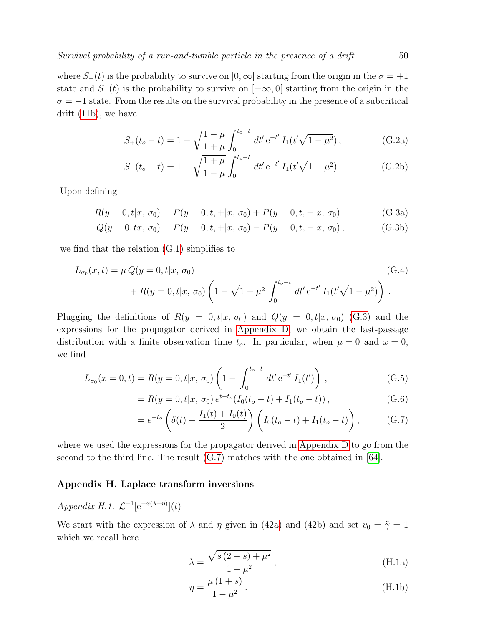where  $S_+(t)$  is the probability to survive on  $[0,\infty]$  starting from the origin in the  $\sigma = +1$ state and  $S_-(t)$  is the probability to survive on  $[-\infty, 0]$  starting from the origin in the  $\sigma = -1$  state. From the results on the survival probability in the presence of a subcritical drift [\(11b\)](#page-8-2), we have

$$
S_{+}(t_{o}-t) = 1 - \sqrt{\frac{1-\mu}{1+\mu}} \int_{0}^{t_{o}-t} dt' e^{-t'} I_{1}(t'\sqrt{1-\mu^{2}}), \qquad (G.2a)
$$

<span id="page-49-1"></span>
$$
S_{-}(t_o - t) = 1 - \sqrt{\frac{1 + \mu}{1 - \mu}} \int_0^{t_o - t} dt' e^{-t'} I_1(t' \sqrt{1 - \mu^2}).
$$
 (G.2b)

Upon defining

$$
R(y = 0, t | x, \sigma_0) = P(y = 0, t, + | x, \sigma_0) + P(y = 0, t, - | x, \sigma_0),
$$
 (G.3a)

$$
Q(y = 0, tx, \sigma_0) = P(y = 0, t, + |x, \sigma_0) - P(y = 0, t, - |x, \sigma_0),
$$
 (G.3b)

we find that the relation [\(G.1\)](#page-48-2) simplifies to

$$
L_{\sigma_0}(x,t) = \mu Q(y=0,t|x,\,\sigma_0) \tag{G.4}
$$
  
+ 
$$
R(y=0,t|x,\,\sigma_0) \left(1 - \sqrt{1 - \mu^2} \int_0^{t_o - t} dt' e^{-t'} I_1(t'\sqrt{1 - \mu^2})\right).
$$

Plugging the definitions of  $R(y = 0, t|x, \sigma_0)$  and  $Q(y = 0, t|x, \sigma_0)$  [\(G.3\)](#page-49-1) and the expressions for the propagator derived in [Appendix D,](#page-43-0) we obtain the last-passage distribution with a finite observation time  $t_o$ . In particular, when  $\mu = 0$  and  $x = 0$ , we find

$$
L_{\sigma_0}(x=0,t) = R(y=0,t|x,\,\sigma_0) \left(1 - \int_0^{t_o-t} dt' e^{-t'} I_1(t')\right),\tag{G.5}
$$

$$
= R(y = 0, t | x, \sigma_0) e^{t - t_o} (I_0(t_o - t) + I_1(t_o - t)), \tag{G.6}
$$

$$
= e^{-t_o} \left( \delta(t) + \frac{I_1(t) + I_0(t)}{2} \right) \left( I_0(t_o - t) + I_1(t_o - t) \right), \tag{G.7}
$$

where we used the expressions for the propagator derived in [Appendix D](#page-43-0) to go from the second to the third line. The result  $(G.7)$  matches with the one obtained in [\[64\]](#page-56-26).

#### <span id="page-49-0"></span>Appendix H. Laplace transform inversions

<span id="page-49-3"></span>Appendix H.1.  $\mathcal{L}^{-1}[\mathrm{e}^{-x(\lambda+\eta)}](t)$ 

We start with the expression of  $\lambda$  and  $\eta$  given in [\(42a\)](#page-17-3) and [\(42b\)](#page-17-2) and set  $v_0 = \tilde{\gamma} = 1$ which we recall here

<span id="page-49-2"></span>
$$
\lambda = \frac{\sqrt{s(2+s) + \mu^2}}{1 - \mu^2},
$$
\n(H.1a)

$$
\eta = \frac{\mu (1 + s)}{1 - \mu^2}.
$$
 (H.1b)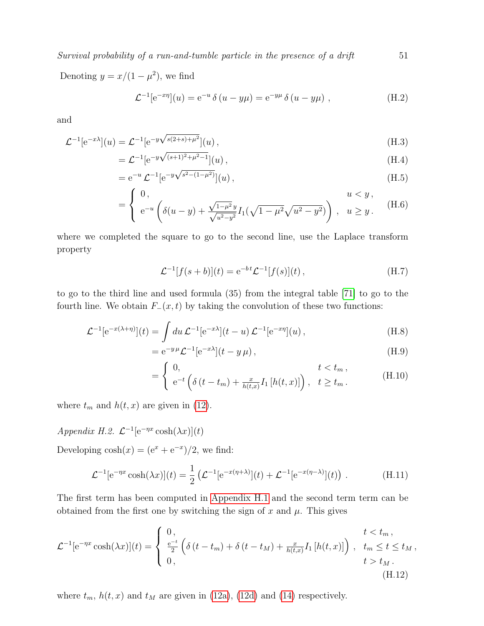Denoting  $y = x/(1 - \mu^2)$ , we find

$$
\mathcal{L}^{-1}[e^{-x\eta}](u) = e^{-u} \delta(u - y\mu) = e^{-y\mu} \delta(u - y\mu) , \qquad (H.2)
$$

and

$$
\mathcal{L}^{-1}[e^{-x\lambda}](u) = \mathcal{L}^{-1}[e^{-y\sqrt{s(2+s)+\mu^2}}](u),
$$
\n(H.3)

$$
= \mathcal{L}^{-1} \left[ e^{-y \sqrt{(s+1)^2 + \mu^2 - 1}} \right](u) , \tag{H.4}
$$

$$
= e^{-u} \mathcal{L}^{-1} [e^{-y\sqrt{s^2 - (1 - \mu^2)}}](u) , \qquad (H.5)
$$

$$
= \begin{cases} 0, & u < y, \\ e^{-u} \left( \delta(u-y) + \frac{\sqrt{1-\mu^2} y}{\sqrt{u^2 - y^2}} I_1(\sqrt{1-\mu^2} \sqrt{u^2 - y^2}) \right), & u \ge y. \end{cases}
$$
(H.6)

where we completed the square to go to the second line, use the Laplace transform property

$$
\mathcal{L}^{-1}[f(s+b)](t) = e^{-bt}\mathcal{L}^{-1}[f(s)](t), \qquad (H.7)
$$

to go to the third line and used formula (35) from the integral table [\[71\]](#page-56-34) to go to the fourth line. We obtain  $F_-(x,t)$  by taking the convolution of these two functions:

$$
\mathcal{L}^{-1}[e^{-x(\lambda+\eta)}](t) = \int du \, \mathcal{L}^{-1}[e^{-x\lambda}](t-u) \, \mathcal{L}^{-1}[e^{-x\eta}](u) \,, \tag{H.8}
$$

$$
= e^{-y\mu} \mathcal{L}^{-1} [e^{-x\lambda}] (t - y\mu) , \qquad (H.9)
$$

$$
= \begin{cases} 0, & t < t_m \\ e^{-t} \left( \delta \left( t - t_m \right) + \frac{x}{h(t,x)} I_1 \left[ h(t,x) \right] \right), & t \ge t_m. \end{cases} \tag{H.10}
$$

where  $t_m$  and  $h(t, x)$  are given in [\(12\)](#page-8-4).

Appendix H.2.  $\mathcal{L}^{-1}[\mathrm{e}^{-\eta x}\cosh(\lambda x)](t)$ 

Developing  $cosh(x) = (e^x + e^{-x})/2$ , we find:

$$
\mathcal{L}^{-1}[e^{-\eta x}\cosh(\lambda x)](t) = \frac{1}{2} \left( \mathcal{L}^{-1}[e^{-x(\eta+\lambda)}](t) + \mathcal{L}^{-1}[e^{-x(\eta-\lambda)}](t) \right).
$$
 (H.11)

The first term has been computed in [Appendix H.1](#page-49-3) and the second term term can be obtained from the first one by switching the sign of x and  $\mu$ . This gives

$$
\mathcal{L}^{-1}[e^{-\eta x}\cosh(\lambda x)](t) = \begin{cases} 0, & t < t_m \\ \frac{e^{-t}}{2} \left( \delta(t - t_m) + \delta(t - t_M) + \frac{x}{h(t,x)} I_1\left[h(t,x)\right] \right), & t_m \le t \le t_M \\ 0, & t > t_M. \end{cases} \tag{H.12}
$$

where  $t_m$ ,  $h(t, x)$  and  $t_M$  are given in [\(12a\)](#page-8-3), [\(12d\)](#page-8-4) and [\(14\)](#page-9-1) respectively.

<span id="page-50-0"></span>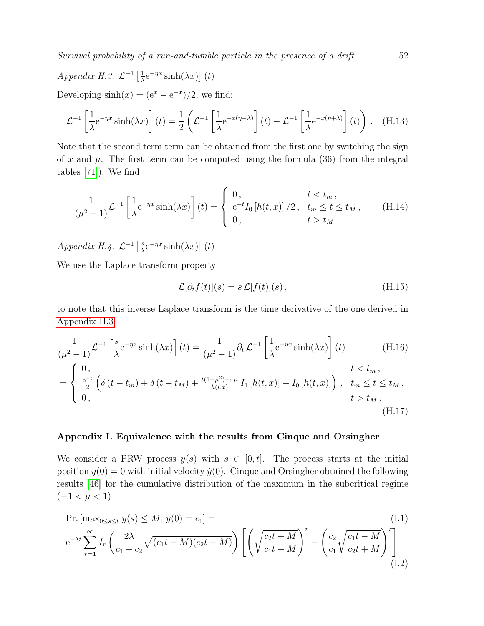<span id="page-51-1"></span>Appendix H.3.  $\mathcal{L}^{-1} \left[ \frac{1}{\lambda} \right]$  $\frac{1}{\lambda}e^{-\eta x}\sinh(\lambda x)\right]$  (*t*) Developing  $sinh(x) = (e^x - e^{-x})/2$ , we find:

$$
\mathcal{L}^{-1}\left[\frac{1}{\lambda}e^{-\eta x}\sinh(\lambda x)\right](t) = \frac{1}{2}\left(\mathcal{L}^{-1}\left[\frac{1}{\lambda}e^{-x(\eta-\lambda)}\right](t) - \mathcal{L}^{-1}\left[\frac{1}{\lambda}e^{-x(\eta+\lambda)}\right](t)\right). \quad (H.13)
$$

Note that the second term term can be obtained from the first one by switching the sign of x and  $\mu$ . The first term can be computed using the formula (36) from the integral tables [\[71\]](#page-56-34)). We find

$$
\frac{1}{(\mu^2 - 1)} \mathcal{L}^{-1} \left[ \frac{1}{\lambda} e^{-\eta x} \sinh(\lambda x) \right] (t) = \begin{cases} 0, & t < t_m, \\ e^{-t} I_0 \left[ h(t, x) \right] / 2, & t_m \le t \le t_M, \\ 0, & t > t_M. \end{cases} \tag{H.14}
$$

Appendix H.4.  $\mathcal{L}^{-1} \left[ \frac{s}{\lambda} \right]$  $\frac{s}{\lambda}e^{-\eta x}\sinh(\lambda x)\right]$  (*t*)

We use the Laplace transform property

$$
\mathcal{L}[\partial_t f(t)](s) = s \mathcal{L}[f(t)](s), \qquad (H.15)
$$

to note that this inverse Laplace transform is the time derivative of the one derived in [Appendix H.3:](#page-51-1)

$$
\frac{1}{(\mu^2 - 1)} \mathcal{L}^{-1} \left[ \frac{s}{\lambda} e^{-\eta x} \sinh(\lambda x) \right](t) = \frac{1}{(\mu^2 - 1)} \partial_t \mathcal{L}^{-1} \left[ \frac{1}{\lambda} e^{-\eta x} \sinh(\lambda x) \right](t) \qquad (H.16)
$$
\n
$$
= \begin{cases}\n0, & t < t_m, \\
\frac{e^{-t}}{2} \left( \delta(t - t_m) + \delta(t - t_M) + \frac{t(1 - \mu^2) - x\mu}{h(t, x)} I_1 \left[ h(t, x) \right] - I_0 \left[ h(t, x) \right] \right), & t_m \le t \le t_M, \\
0, & t > t_M.\n\end{cases}
$$
\n(H.17)

#### <span id="page-51-0"></span>Appendix I. Equivalence with the results from Cinque and Orsingher

We consider a PRW process  $y(s)$  with  $s \in [0, t]$ . The process starts at the initial position  $y(0) = 0$  with initial velocity  $\dot{y}(0)$ . Cinque and Orsingher obtained the following results [\[46\]](#page-56-18) for the cumulative distribution of the maximum in the subcritical regime  $(-1 < μ < 1)$ 

Pr. 
$$
[\max_{0 \le s \le t} y(s) \le M | \dot{y}(0) = c_1] =
$$
  
\n $e^{-\lambda t} \sum_{r=1}^{\infty} I_r \left( \frac{2\lambda}{c_1 + c_2} \sqrt{(c_1 t - M)(c_2 t + M)} \right) \left[ \left( \sqrt{\frac{c_2 t + M}{c_1 t - M}} \right)^r - \left( \frac{c_2}{c_1} \sqrt{\frac{c_1 t - M}{c_2 t + M}} \right)^r \right]$ \n(I.1)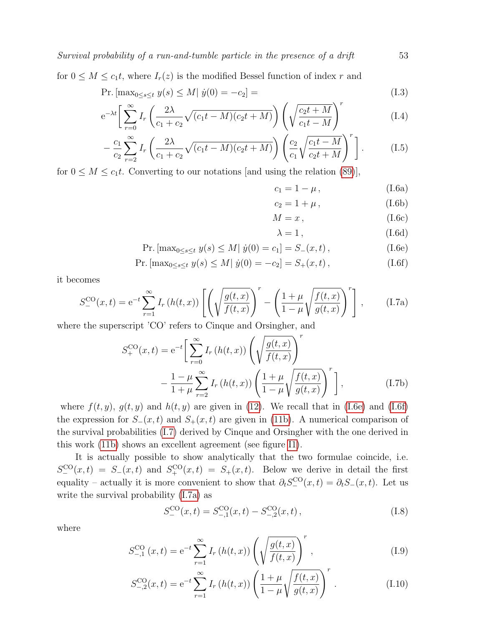for  $0 \leq M \leq c_1 t$ , where  $I_r(z)$  is the modified Bessel function of index r and

$$
\Pr.\left[\max_{0 \le s \le t} y(s) \le M \,|\, \dot{y}(0) = -c_2\right] = \tag{I.3}
$$

$$
e^{-\lambda t} \left[ \sum_{r=0}^{\infty} I_r \left( \frac{2\lambda}{c_1 + c_2} \sqrt{(c_1 t - M)(c_2 t + M)} \right) \left( \sqrt{\frac{c_2 t + M}{c_1 t - M}} \right)^r \right]
$$
(I.4)

$$
-\frac{c_1}{c_2} \sum_{r=2}^{\infty} I_r \left( \frac{2\lambda}{c_1 + c_2} \sqrt{(c_1 t - M)(c_2 t + M)} \right) \left( \frac{c_2}{c_1} \sqrt{\frac{c_1 t - M}{c_2 t + M}} \right)^r \bigg].
$$
 (I.5)

for  $0 \leq M \leq c_1 t$ . Converting to our notations [and using the relation [\(89\)](#page-28-2)],

$$
c_1 = 1 - \mu, \t\t(1.6a)
$$

$$
c_2 = 1 + \mu, \qquad (I.6b)
$$

 $M = x$ , (I.6c)

<span id="page-52-3"></span><span id="page-52-2"></span><span id="page-52-1"></span><span id="page-52-0"></span>
$$
\lambda = 1, \tag{I.6d}
$$

$$
\Pr.\left[\max_{0 \le s \le t} y(s) \le M \,|\, \dot{y}(0) = c_1\right] = S_{-}(x, t)\,,\tag{I.6e}
$$

$$
\Pr.\left[\max_{0\leq s\leq t} y(s) \leq M \,|\, \dot{y}(0) = -c_2\right] = S_+(x, t)\,,\tag{I.6f}
$$

it becomes

$$
S_{-}^{\text{CO}}(x,t) = e^{-t} \sum_{r=1}^{\infty} I_r(h(t,x)) \left[ \left( \sqrt{\frac{g(t,x)}{f(t,x)}} \right)^r - \left( \frac{1+\mu}{1-\mu} \sqrt{\frac{f(t,x)}{g(t,x)}} \right)^r \right], \quad (I.7a)
$$

where the superscript 'CO' refers to Cinque and Orsingher, and

$$
S_{+}^{CO}(x,t) = e^{-t} \left[ \sum_{r=0}^{\infty} I_r(h(t,x)) \left( \sqrt{\frac{g(t,x)}{f(t,x)}} \right)^r - \frac{1-\mu}{1+\mu} \sum_{r=2}^{\infty} I_r(h(t,x)) \left( \frac{1+\mu}{1-\mu} \sqrt{\frac{f(t,x)}{g(t,x)}} \right)^r \right],
$$
(I.7b)

where  $f(t, y)$ ,  $g(t, y)$  and  $h(t, y)$  are given in [\(12\)](#page-8-4). We recall that in [\(I.6e\)](#page-52-0) and [\(I.6f\)](#page-52-1) the expression for  $S_-(x,t)$  and  $S_+(x,t)$  are given in [\(11b\)](#page-8-2). A numerical comparison of the survival probabilities [\(I.7\)](#page-52-2) derived by Cinque and Orsingher with the one derived in this work [\(11b\)](#page-8-2) shows an excellent agreement (see figure [I1\)](#page-53-0).

It is actually possible to show analytically that the two formulae coincide, i.e.  $S_-^{\rm CO}(x,t) = S_-(x,t)$  and  $S_+^{\rm CO}(x,t) = S_+(x,t)$ . Below we derive in detail the first equality – actually it is more convenient to show that  $\partial_t S_-^{\text{CO}}(x,t) = \partial_t S_-(x,t)$ . Let us write the survival probability [\(I.7a\)](#page-52-3) as

<span id="page-52-4"></span>
$$
S_{-}^{\text{CO}}(x,t) = S_{-,1}^{\text{CO}}(x,t) - S_{-,2}^{\text{CO}}(x,t) , \qquad (I.8)
$$

where

$$
S_{-,1}^{\text{CO}}(x,t) = e^{-t} \sum_{r=1}^{\infty} I_r(h(t,x)) \left( \sqrt{\frac{g(t,x)}{f(t,x)}} \right)^r, \tag{I.9}
$$

$$
S_{-,2}^{\text{CO}}(x,t) = e^{-t} \sum_{r=1}^{\infty} I_r(h(t,x)) \left( \frac{1+\mu}{1-\mu} \sqrt{\frac{f(t,x)}{g(t,x)}} \right)^r.
$$
 (I.10)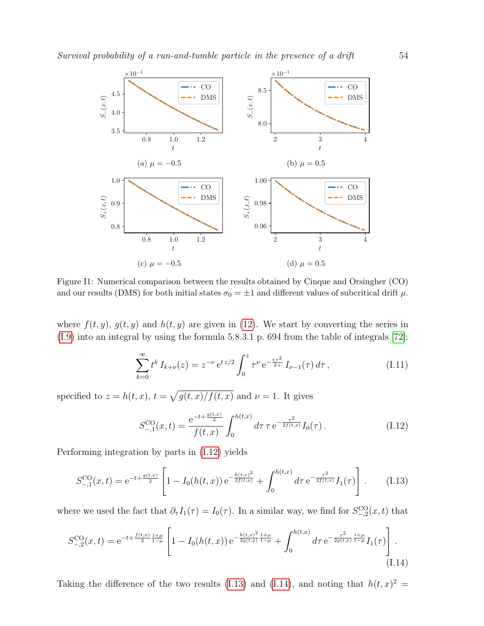<span id="page-53-0"></span>

Figure I1: Numerical comparison between the results obtained by Cinque and Orsingher (CO) and our results (DMS) for both initial states  $\sigma_0 = \pm 1$  and different values of subcritical drift  $\mu$ .

where  $f(t, y)$ ,  $g(t, y)$  and  $h(t, y)$  are given in [\(12\)](#page-8-4). We start by converting the series in [\(I.9\)](#page-52-4) into an integral by using the formula 5.8.3.1 p. 694 from the table of integrals [\[72\]](#page-57-0):

$$
\sum_{k=0}^{\infty} t^k I_{k+\nu}(z) = z^{-\nu} e^{t z/2} \int_0^z \tau^{\nu} e^{-\frac{t \tau^2}{2z}} I_{\nu-1}(\tau) d\tau, \qquad (I.11)
$$

specified to  $z = h(t, x)$ ,  $t = \sqrt{g(t, x)/f(t, x)}$  and  $\nu = 1$ . It gives

<span id="page-53-3"></span><span id="page-53-2"></span><span id="page-53-1"></span>
$$
S_{-,1}^{\text{CO}}(x,t) = \frac{e^{-t + \frac{g(t,x)}{2}}}{f(t,x)} \int_0^{h(t,x)} d\tau \,\tau \, e^{-\frac{\tau^2}{2f(t,x)}} I_0(\tau) \,. \tag{I.12}
$$

Performing integration by parts in [\(I.12\)](#page-53-1) yields

$$
S_{-,1}^{\text{CO}}(x,t) = e^{-t + \frac{g(t,x)}{2}} \left[ 1 - I_0(h(t,x)) e^{-\frac{h(t,x)^2}{2f(t,x)}} + \int_0^{h(t,x)} d\tau \, e^{-\frac{\tau^2}{2f(t,x)}} I_1(\tau) \right] \,. \tag{I.13}
$$

where we used the fact that  $\partial_{\tau} I_1(\tau) = I_0(\tau)$ . In a similar way, we find for  $S_{-,2}^{\text{CO}}(x,t)$  that

$$
S_{-,2}^{\text{CO}}(x,t) = e^{-t + \frac{f(t,x)}{2} \frac{1+\mu}{1-\mu}} \left[ 1 - I_0(h(t,x)) e^{-\frac{h(t,x)^2}{2g(t,x)} \frac{1+\mu}{1-\mu}} + \int_0^{h(t,x)} d\tau e^{-\frac{\tau^2}{2g(t,x)} \frac{1+\mu}{1-\mu}} I_1(\tau) \right]. \tag{I.14}
$$

Taking the difference of the two results [\(I.13\)](#page-53-2) and [\(I.14\)](#page-53-3), and noting that  $h(t, x)^2 =$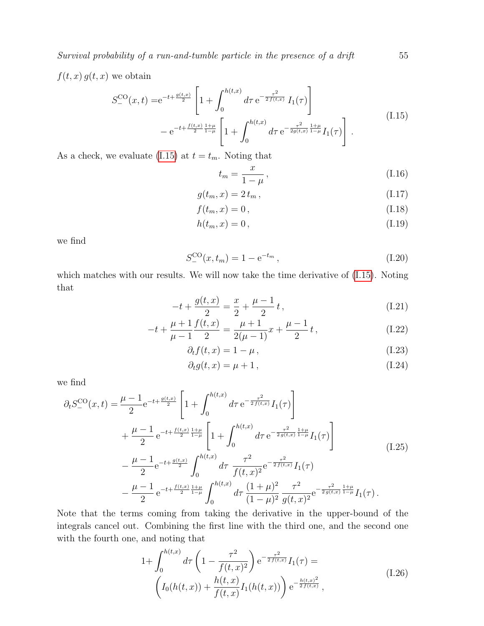$f(t, x) g(t, x)$  we obtain

$$
S_{-}^{\text{CO}}(x,t) = e^{-t + \frac{g(t,x)}{2}} \left[ 1 + \int_0^{h(t,x)} d\tau \, e^{-\frac{\tau^2}{2f(t,x)}} I_1(\tau) \right] - e^{-t + \frac{f(t,x)}{2} \frac{1+\mu}{1-\mu}} \left[ 1 + \int_0^{h(t,x)} d\tau \, e^{-\frac{\tau^2}{2g(t,x)} \frac{1+\mu}{1-\mu}} I_1(\tau) \right]. \tag{I.15}
$$

As a check, we evaluate [\(I.15\)](#page-54-0) at  $t = t_m$ . Noting that

$$
t_m = \frac{x}{1 - \mu},\tag{I.16}
$$

$$
g(t_m, x) = 2t_m, \qquad (I.17)
$$

$$
f(t_m, x) = 0, \tag{I.18}
$$

$$
h(t_m, x) = 0, \tag{I.19}
$$

we find

$$
S_{-}^{\text{CO}}(x, t_m) = 1 - e^{-t_m}, \qquad (I.20)
$$

which matches with our results. We will now take the time derivative of [\(I.15\)](#page-54-0). Noting that

$$
-t + \frac{g(t,x)}{2} = \frac{x}{2} + \frac{\mu - 1}{2}t, \qquad (I.21)
$$

$$
-t + \frac{\mu+1}{\mu-1} \frac{f(t,x)}{2} = \frac{\mu+1}{2(\mu-1)} x + \frac{\mu-1}{2} t,
$$
 (I.22)

$$
\partial_t f(t, x) = 1 - \mu, \qquad (I.23)
$$

$$
\partial_t g(t, x) = \mu + 1, \qquad (I.24)
$$

we find

$$
\partial_t S_-^{\text{CO}}(x,t) = \frac{\mu - 1}{2} e^{-t + \frac{g(t,x)}{2}} \left[ 1 + \int_0^{h(t,x)} d\tau \, e^{-\frac{\tau^2}{2f(t,x)}} I_1(\tau) \right] \n+ \frac{\mu - 1}{2} e^{-t + \frac{f(t,x)}{2} \frac{1+\mu}{1-\mu}} \left[ 1 + \int_0^{h(t,x)} d\tau \, e^{-\frac{\tau^2}{2g(t,x)} \frac{1+\mu}{1-\mu}} I_1(\tau) \right] \n- \frac{\mu - 1}{2} e^{-t + \frac{g(t,x)}{2}} \int_0^{h(t,x)} d\tau \, \frac{\tau^2}{f(t,x)^2} e^{-\frac{\tau^2}{2f(t,x)}} I_1(\tau) \n- \frac{\mu - 1}{2} e^{-t + \frac{f(t,x)}{2} \frac{1+\mu}{1-\mu}} \int_0^{h(t,x)} d\tau \, \frac{(1+\mu)^2}{(1-\mu)^2} \frac{\tau^2}{g(t,x)^2} e^{-\frac{\tau^2}{2g(t,x)} \frac{1+\mu}{1-\mu}} I_1(\tau).
$$
\n(A)

Note that the terms coming from taking the derivative in the upper-bound of the integrals cancel out. Combining the first line with the third one, and the second one with the fourth one, and noting that

$$
1 + \int_0^{h(t,x)} d\tau \left(1 - \frac{\tau^2}{f(t,x)^2}\right) e^{-\frac{\tau^2}{2f(t,x)}} I_1(\tau) =
$$
\n
$$
\left(I_0(h(t,x)) + \frac{h(t,x)}{f(t,x)} I_1(h(t,x))\right) e^{-\frac{h(t,x)^2}{2f(t,x)}},
$$
\n(I.26)

<span id="page-54-0"></span>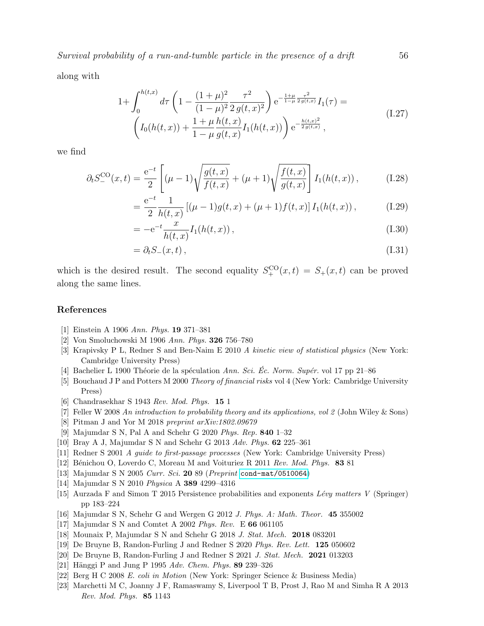along with

$$
1 + \int_0^{h(t,x)} d\tau \left( 1 - \frac{(1+\mu)^2}{(1-\mu)^2} \frac{\tau^2}{2g(t,x)^2} \right) e^{-\frac{1+\mu}{1-\mu} \frac{\tau^2}{2g(t,x)}} I_1(\tau) =
$$
\n
$$
\left( I_0(h(t,x)) + \frac{1+\mu}{1-\mu} \frac{h(t,x)}{g(t,x)} I_1(h(t,x)) \right) e^{-\frac{h(t,x)^2}{2g(t,x)}},
$$
\n(I.27)

we find

$$
\partial_t S_-^{\text{CO}}(x,t) = \frac{e^{-t}}{2} \left[ (\mu - 1) \sqrt{\frac{g(t,x)}{f(t,x)}} + (\mu + 1) \sqrt{\frac{f(t,x)}{g(t,x)}} \right] I_1(h(t,x)), \tag{I.28}
$$

$$
= \frac{e^{-t}}{2} \frac{1}{h(t,x)} \left[ (\mu - 1)g(t,x) + (\mu + 1)f(t,x) \right] I_1(h(t,x)), \tag{I.29}
$$

$$
=-e^{-t}\frac{x}{h(t,x)}I_1(h(t,x)),
$$
\n(I.30)

$$
= \partial_t S_-(x,t) , \tag{I.31}
$$

which is the desired result. The second equality  $S^{\text{CO}}_+(x,t) = S_+(x,t)$  can be proved along the same lines.

# References

- <span id="page-55-0"></span>[1] Einstein A 1906 Ann. Phys. 19 371–381
- <span id="page-55-1"></span>[2] Von Smoluchowski M 1906 Ann. Phys. 326 756–780
- <span id="page-55-2"></span>[3] Krapivsky P L, Redner S and Ben-Naim E 2010 A kinetic view of statistical physics (New York: Cambridge University Press)
- <span id="page-55-3"></span>[4] Bachelier L 1900 Théorie de la spéculation Ann. Sci. Éc. Norm. Supér. vol 17 pp 21–86
- <span id="page-55-4"></span>[5] Bouchaud J P and Potters M 2000 Theory of financial risks vol 4 (New York: Cambridge University Press)
- <span id="page-55-5"></span>[6] Chandrasekhar S 1943 Rev. Mod. Phys. 15 1
- <span id="page-55-6"></span>[7] Feller W 2008 An introduction to probability theory and its applications, vol 2 (John Wiley & Sons)
- <span id="page-55-7"></span>[8] Pitman J and Yor M 2018 preprint arXiv:1802.09679
- <span id="page-55-8"></span>[9] Majumdar S N, Pal A and Schehr G 2020 Phys. Rep. 840 1–32
- <span id="page-55-9"></span>[10] Bray A J, Majumdar S N and Schehr G 2013 Adv. Phys. 62 225–361
- <span id="page-55-11"></span>[11] Redner S 2001 A guide to first-passage processes (New York: Cambridge University Press)
- [12] Bénichou O, Loverdo C, Moreau M and Voituriez R 2011 Rev. Mod. Phys. 83 81
- [13] Majumdar S N 2005 Curr. Sci. **20** 89 (Preprint <cond-mat/0510064>)
- [14] Majumdar S N 2010 Physica A 389 4299–4316
- <span id="page-55-10"></span>[15] Aurzada F and Simon T 2015 Persistence probabilities and exponents Lévy matters V (Springer) pp 183–224
- <span id="page-55-12"></span>[16] Majumdar S N, Schehr G and Wergen G 2012 J. Phys. A: Math. Theor. 45 355002
- <span id="page-55-17"></span>[17] Majumdar S N and Comtet A 2002 Phys. Rev. E 66 061105
- <span id="page-55-18"></span>[18] Mounaix P, Majumdar S N and Schehr G 2018 J. Stat. Mech. 2018 083201
- [19] De Bruyne B, Randon-Furling J and Redner S 2020 Phys. Rev. Lett. 125 050602
- <span id="page-55-13"></span>[20] De Bruyne B, Randon-Furling J and Redner S 2021 J. Stat. Mech. 2021 013203
- <span id="page-55-14"></span>[21] Hänggi P and Jung P 1995  $Adv.$  Chem. Phys. 89 239-326
- <span id="page-55-15"></span>[22] Berg H C 2008 E. coli in Motion (New York: Springer Science & Business Media)
- <span id="page-55-16"></span>[23] Marchetti M C, Joanny J F, Ramaswamy S, Liverpool T B, Prost J, Rao M and Simha R A 2013 Rev. Mod. Phys. 85 1143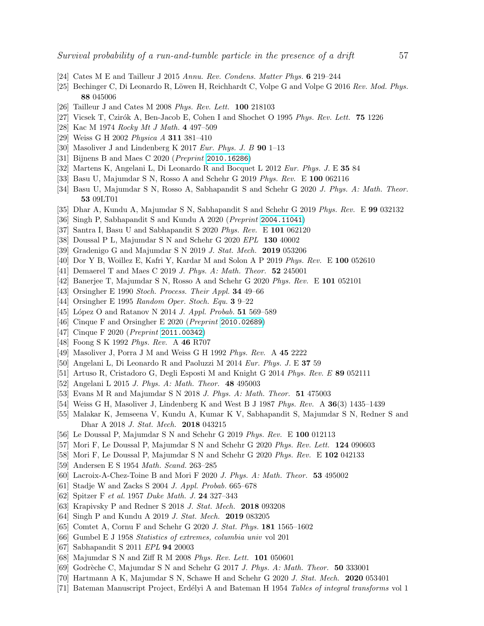- [24] Cates M E and Tailleur J 2015 Annu. Rev. Condens. Matter Phys. 6 219–244
- [25] Bechinger C, Di Leonardo R, Löwen H, Reichhardt C, Volpe G and Volpe G 2016 Rev. Mod. Phys. 88 045006
- [26] Tailleur J and Cates M 2008 Phys. Rev. Lett. 100 218103
- <span id="page-56-0"></span>[27] Vicsek T, Czirók A, Ben-Jacob E, Cohen I and Shochet O 1995 Phys. Rev. Lett. 75 1226
- <span id="page-56-1"></span>[28] Kac M 1974 Rocky Mt J Math. 4 497–509
- <span id="page-56-2"></span>[29] Weiss G H 2002 Physica A 311 381–410
- <span id="page-56-3"></span>[30] Masoliver J and Lindenberg K 2017 Eur. Phys. J. B  $90$  1–13
- <span id="page-56-4"></span>[31] Bijnens B and Maes C 2020 (Preprint <2010.16286>)
- [32] Martens K, Angelani L, Di Leonardo R and Bocquet L 2012 Eur. Phys. J. E 35 84
- [33] Basu U, Majumdar S N, Rosso A and Schehr G 2019 Phys. Rev. E 100 062116
- [34] Basu U, Majumdar S N, Rosso A, Sabhapandit S and Schehr G 2020 J. Phys. A: Math. Theor. 53 09LT01
- [35] Dhar A, Kundu A, Majumdar S N, Sabhapandit S and Schehr G 2019 Phys. Rev. E 99 032132
- <span id="page-56-33"></span>[36] Singh P, Sabhapandit S and Kundu A 2020 (Preprint <2004.11041>)
- <span id="page-56-5"></span>[37] Santra I, Basu U and Sabhapandit S 2020 Phys. Rev. E 101 062120
- <span id="page-56-6"></span>[38] Doussal P L, Majumdar S N and Schehr G 2020 EPL 130 40002
- <span id="page-56-7"></span>[39] Gradenigo G and Majumdar S N 2019 J. Stat. Mech. 2019 053206
- <span id="page-56-8"></span>[40] Dor Y B, Woillez E, Kafri Y, Kardar M and Solon A P 2019 Phys. Rev. E 100 052610
- [41] Demaerel T and Maes C 2019 J. Phys. A: Math. Theor. **52** 245001
- <span id="page-56-9"></span>[42] Banerjee T, Majumdar S N, Rosso A and Schehr G 2020 Phys. Rev. E 101 052101
- <span id="page-56-10"></span>[43] Orsingher E 1990 Stoch. Process. Their Appl. 34 49–66
- <span id="page-56-20"></span>[44] Orsingher E 1995 Random Oper. Stoch. Equ. 3 9–22
- <span id="page-56-17"></span>[45] López O and Ratanov N 2014 J. Appl. Probab. **51** 569–589
- <span id="page-56-18"></span>[46] Cinque F and Orsingher E 2020 (Preprint <2010.02689>)
- <span id="page-56-11"></span>[47] Cinque F 2020 (Preprint <2011.00342>)
- <span id="page-56-12"></span>[48] Foong S K 1992 Phys. Rev. A 46 R707
- [49] Masoliver J, Porra J M and Weiss G H 1992 Phys. Rev. A 45 2222
- <span id="page-56-21"></span>[50] Angelani L, Di Leonardo R and Paoluzzi M 2014 Eur. Phys. J. E 37 59
- [51] Artuso R, Cristadoro G, Degli Esposti M and Knight G 2014 Phys. Rev. E 89 052111
- [52] Angelani L 2015 J. Phys. A: Math. Theor. 48 495003
- <span id="page-56-22"></span>[53] Evans M R and Majumdar S N 2018 J. Phys. A: Math. Theor. 51 475003
- [54] Weiss G H, Masoliver J, Lindenberg K and West B J 1987 Phys. Rev. A 36(3) 1435–1439
- [55] Malakar K, Jemseena V, Kundu A, Kumar K V, Sabhapandit S, Majumdar S N, Redner S and Dhar A 2018 J. Stat. Mech. 2018 043215
- <span id="page-56-24"></span>[56] Le Doussal P, Majumdar S N and Schehr G 2019 Phys. Rev. E 100 012113
- <span id="page-56-14"></span>[57] Mori F, Le Doussal P, Majumdar S N and Schehr G 2020 Phys. Rev. Lett. 124 090603
- <span id="page-56-13"></span>[58] Mori F, Le Doussal P, Majumdar S N and Schehr G 2020 Phys. Rev. E 102 042133
- <span id="page-56-15"></span>[59] Andersen E S 1954 Math. Scand. 263–285
- <span id="page-56-16"></span>[60] Lacroix-A-Chez-Toine B and Mori F 2020 J. Phys. A: Math. Theor. 53 495002
- <span id="page-56-19"></span>[61] Stadje W and Zacks S 2004 J. Appl. Probab. 665–678
- <span id="page-56-23"></span>[62] Spitzer F et al. 1957 Duke Math. J. 24 327–343
- <span id="page-56-25"></span>[63] Krapivsky P and Redner S 2018 J. Stat. Mech. 2018 093208
- <span id="page-56-26"></span>[64] Singh P and Kundu A 2019 J. Stat. Mech. 2019 083205
- <span id="page-56-27"></span>[65] Comtet A, Cornu F and Schehr G 2020 J. Stat. Phys. 181 1565–1602
- <span id="page-56-28"></span>[66] Gumbel E J 1958 Statistics of extremes, columbia univ vol 201
- <span id="page-56-29"></span>[67] Sabhapandit S 2011 EPL 94 20003
- <span id="page-56-30"></span>[68] Majumdar S N and Ziff R M 2008 Phys. Rev. Lett. 101 050601
- <span id="page-56-31"></span>[69] Godrèche C, Majumdar S N and Schehr G 2017 J. Phys. A: Math. Theor.  $50\,333001$
- <span id="page-56-32"></span>[70] Hartmann A K, Majumdar S N, Schawe H and Schehr G 2020 J. Stat. Mech. 2020 053401
- <span id="page-56-34"></span>[71] Bateman Manuscript Project, Erdélyi A and Bateman H 1954 Tables of integral transforms vol 1